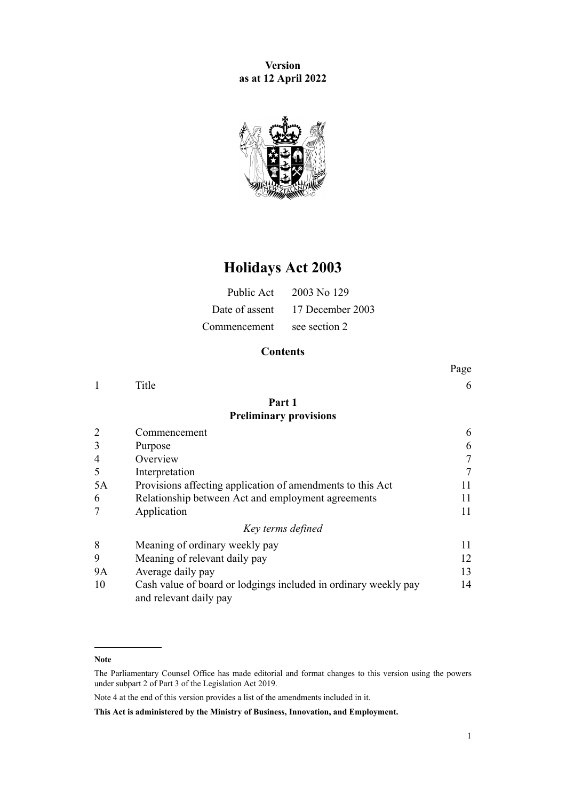**Version as at 12 April 2022**



# **Holidays Act 2003**

|                            | Public Act $2003$ No 129        |
|----------------------------|---------------------------------|
|                            | Date of assent 17 December 2003 |
| Commencement see section 2 |                                 |

## **Contents**

|           |                                                                                           | Page |
|-----------|-------------------------------------------------------------------------------------------|------|
|           | Title                                                                                     | 6    |
|           | Part 1                                                                                    |      |
|           | <b>Preliminary provisions</b>                                                             |      |
|           | Commencement                                                                              | 6    |
| 3         | Purpose                                                                                   | 6    |
| 4         | Overview                                                                                  | 7    |
| 5         | Interpretation                                                                            | 7    |
| 5A        | Provisions affecting application of amendments to this Act                                | 11   |
| 6         | Relationship between Act and employment agreements                                        | 11   |
|           | Application                                                                               | 11   |
|           | Key terms defined                                                                         |      |
| 8         | Meaning of ordinary weekly pay                                                            | 11   |
| 9         | Meaning of relevant daily pay                                                             | 12   |
| <b>9A</b> | Average daily pay                                                                         | 13   |
| 10        | Cash value of board or lodgings included in ordinary weekly pay<br>and relevant daily pay | 14   |

#### **Note**

Note 4 at the end of this version provides a list of the amendments included in it.

**This Act is administered by the Ministry of Business, Innovation, and Employment.**

The Parliamentary Counsel Office has made editorial and format changes to this version using the powers under [subpart 2](http://legislation.govt.nz/pdflink.aspx?id=DLM7298371) of Part 3 of the Legislation Act 2019.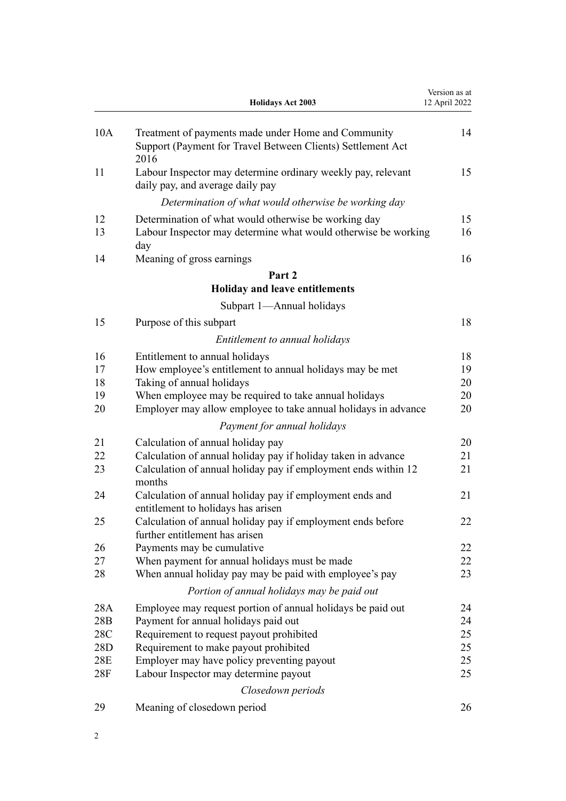|                   | <b>Holidays Act 2003</b>                                                                                                                  | Version as at<br>12 April 2022 |
|-------------------|-------------------------------------------------------------------------------------------------------------------------------------------|--------------------------------|
| 10A               | Treatment of payments made under Home and Community<br>Support (Payment for Travel Between Clients) Settlement Act<br>2016                | 14                             |
| 11                | Labour Inspector may determine ordinary weekly pay, relevant<br>daily pay, and average daily pay                                          | 15                             |
|                   | Determination of what would otherwise be working day                                                                                      |                                |
| 12<br>13          | Determination of what would otherwise be working day<br>Labour Inspector may determine what would otherwise be working<br>day             | 15<br>16                       |
| 14                | Meaning of gross earnings                                                                                                                 | 16                             |
|                   | Part 2<br>Holiday and leave entitlements                                                                                                  |                                |
|                   | Subpart 1-Annual holidays                                                                                                                 |                                |
| 15                | Purpose of this subpart                                                                                                                   | 18                             |
|                   | Entitlement to annual holidays                                                                                                            |                                |
| 16                | Entitlement to annual holidays                                                                                                            | 18                             |
| 17                | How employee's entitlement to annual holidays may be met                                                                                  | 19                             |
| 18                | Taking of annual holidays                                                                                                                 | 20                             |
| 19<br>20          | When employee may be required to take annual holidays<br>Employer may allow employee to take annual holidays in advance                   | 20<br>20                       |
|                   | Payment for annual holidays                                                                                                               |                                |
| 21                | Calculation of annual holiday pay                                                                                                         | 20                             |
| 22<br>23          | Calculation of annual holiday pay if holiday taken in advance<br>Calculation of annual holiday pay if employment ends within 12<br>months | 21<br>21                       |
| 24                | Calculation of annual holiday pay if employment ends and<br>entitlement to holidays has arisen                                            | 21                             |
| 25                | Calculation of annual holiday pay if employment ends before<br>further entitlement has arisen                                             | 22                             |
| 26                | Payments may be cumulative                                                                                                                | 22                             |
| 27                | When payment for annual holidays must be made                                                                                             | 22                             |
| 28                | When annual holiday pay may be paid with employee's pay<br>Portion of annual holidays may be paid out                                     | 23                             |
| 28A               | Employee may request portion of annual holidays be paid out                                                                               | 24                             |
| 28B               | Payment for annual holidays paid out                                                                                                      | 24                             |
| 28C               | Requirement to request payout prohibited                                                                                                  | 25                             |
| 28D               | Requirement to make payout prohibited                                                                                                     | 25                             |
| 28E<br><b>28F</b> | Employer may have policy preventing payout                                                                                                | 25<br>25                       |
|                   | Labour Inspector may determine payout                                                                                                     |                                |
| 29                | Closedown periods                                                                                                                         | 26                             |
|                   | Meaning of closedown period                                                                                                               |                                |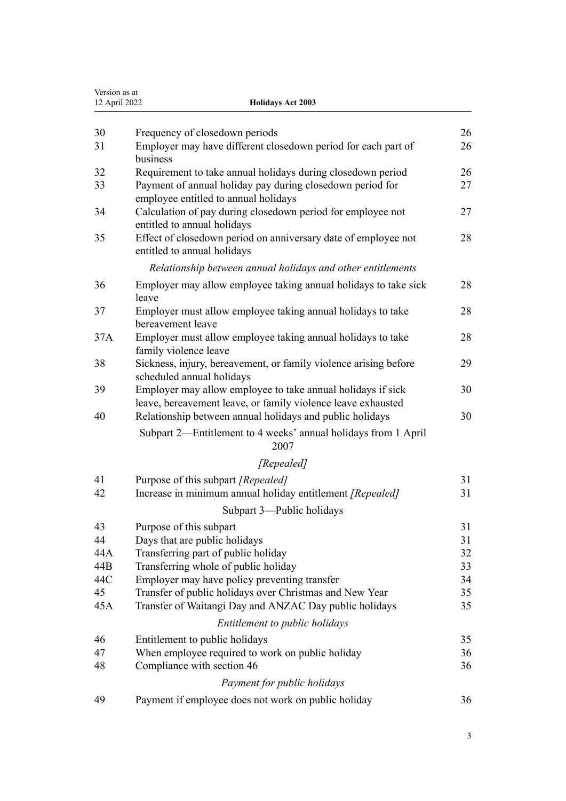| Version as at<br>12 April 2022 | <b>Holidays Act 2003</b>                                                                                                    |    |
|--------------------------------|-----------------------------------------------------------------------------------------------------------------------------|----|
| 30                             | Frequency of closedown periods                                                                                              | 26 |
| 31                             | Employer may have different closedown period for each part of                                                               | 26 |
|                                | business                                                                                                                    |    |
| 32                             | Requirement to take annual holidays during closedown period                                                                 | 26 |
| 33                             | Payment of annual holiday pay during closedown period for<br>employee entitled to annual holidays                           | 27 |
| 34                             | Calculation of pay during closedown period for employee not<br>entitled to annual holidays                                  | 27 |
| 35                             | Effect of closedown period on anniversary date of employee not<br>entitled to annual holidays                               | 28 |
|                                | Relationship between annual holidays and other entitlements                                                                 |    |
| 36                             | Employer may allow employee taking annual holidays to take sick<br>leave                                                    | 28 |
| 37                             | Employer must allow employee taking annual holidays to take<br>bereavement leave                                            | 28 |
| 37A                            | Employer must allow employee taking annual holidays to take<br>family violence leave                                        | 28 |
| 38                             | Sickness, injury, bereavement, or family violence arising before<br>scheduled annual holidays                               |    |
| 39                             | Employer may allow employee to take annual holidays if sick<br>leave, bereavement leave, or family violence leave exhausted | 30 |
| 40                             | Relationship between annual holidays and public holidays                                                                    | 30 |
|                                | Subpart 2—Entitlement to 4 weeks' annual holidays from 1 April<br>2007                                                      |    |
|                                | [Repealed]                                                                                                                  |    |
| 41                             | Purpose of this subpart [Repealed]                                                                                          | 31 |
| 42                             | Increase in minimum annual holiday entitlement [Repealed]                                                                   | 31 |
|                                | Subpart 3-Public holidays                                                                                                   |    |
| 43                             | Purpose of this subpart                                                                                                     | 31 |
| 44                             | Days that are public holidays                                                                                               | 31 |
| 44A                            | Transferring part of public holiday                                                                                         | 32 |
| 44B                            | Transferring whole of public holiday                                                                                        | 33 |
| 44C                            | Employer may have policy preventing transfer                                                                                | 34 |
| 45                             | Transfer of public holidays over Christmas and New Year                                                                     | 35 |
| 45A                            | Transfer of Waitangi Day and ANZAC Day public holidays                                                                      | 35 |
|                                | Entitlement to public holidays                                                                                              |    |
| 46                             | Entitlement to public holidays                                                                                              | 35 |
| 47                             | When employee required to work on public holiday                                                                            | 36 |
| 48                             | Compliance with section 46                                                                                                  | 36 |
|                                | Payment for public holidays                                                                                                 |    |
| 49                             | Payment if employee does not work on public holiday                                                                         | 36 |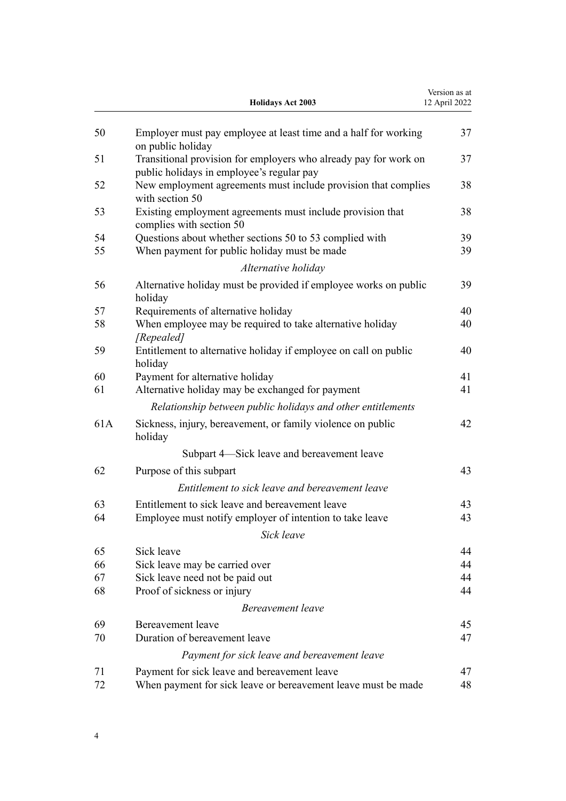|     | <b>Holidays Act 2003</b>                                                                                      | Version as at<br>12 April 2022 |
|-----|---------------------------------------------------------------------------------------------------------------|--------------------------------|
| 50  | Employer must pay employee at least time and a half for working<br>on public holiday                          | 37                             |
| 51  | Transitional provision for employers who already pay for work on<br>public holidays in employee's regular pay | 37                             |
| 52  | New employment agreements must include provision that complies<br>with section 50                             | 38                             |
| 53  | Existing employment agreements must include provision that<br>complies with section 50                        | 38                             |
| 54  | Questions about whether sections 50 to 53 complied with                                                       | 39                             |
| 55  | When payment for public holiday must be made                                                                  | 39                             |
|     | Alternative holiday                                                                                           |                                |
| 56  | Alternative holiday must be provided if employee works on public<br>holiday                                   | 39                             |
| 57  | Requirements of alternative holiday                                                                           | 40                             |
| 58  | When employee may be required to take alternative holiday<br>[Repealed]                                       | 40                             |
| 59  | Entitlement to alternative holiday if employee on call on public<br>holiday                                   | 40                             |
| 60  | Payment for alternative holiday                                                                               | 41                             |
| 61  | Alternative holiday may be exchanged for payment                                                              | 41                             |
|     | Relationship between public holidays and other entitlements                                                   |                                |
| 61A | Sickness, injury, bereavement, or family violence on public<br>holiday                                        | 42                             |
|     | Subpart 4—Sick leave and bereavement leave                                                                    |                                |
| 62  | Purpose of this subpart                                                                                       | 43                             |
|     | Entitlement to sick leave and bereavement leave                                                               |                                |
| 63  | Entitlement to sick leave and bereavement leave                                                               | 43                             |
| 64  | Employee must notify employer of intention to take leave                                                      | 43                             |
|     | Sick leave                                                                                                    |                                |
| 65  | Sick leave                                                                                                    | 44                             |
| 66  | Sick leave may be carried over                                                                                | 44                             |
| 67  | Sick leave need not be paid out                                                                               | 44                             |
| 68  | Proof of sickness or injury                                                                                   | 44                             |
|     | Bereavement leave                                                                                             |                                |
| 69  | <b>Bereavement</b> leave                                                                                      | 45                             |
| 70  | Duration of bereavement leave                                                                                 | 47                             |
|     | Payment for sick leave and bereavement leave                                                                  |                                |
| 71  | Payment for sick leave and bereavement leave                                                                  | 47                             |
| 72  | When payment for sick leave or bereavement leave must be made                                                 | 48                             |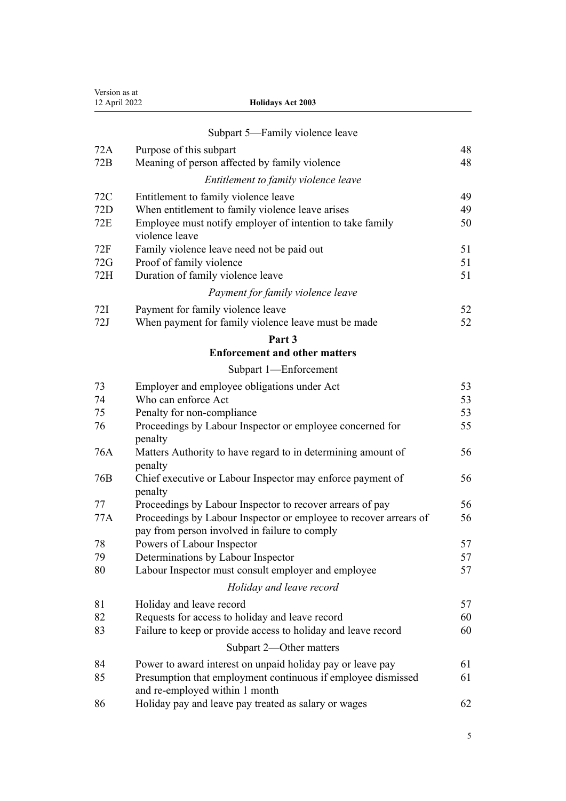| Version as at<br><b>Holidays Act 2003</b><br>12 April 2022 |                                                                                                                                                              |    |
|------------------------------------------------------------|--------------------------------------------------------------------------------------------------------------------------------------------------------------|----|
|                                                            | Subpart 5-Family violence leave                                                                                                                              |    |
| 72A                                                        | Purpose of this subpart                                                                                                                                      | 48 |
| 72B                                                        | Meaning of person affected by family violence                                                                                                                | 48 |
|                                                            | Entitlement to family violence leave                                                                                                                         |    |
| 72C                                                        | Entitlement to family violence leave                                                                                                                         | 49 |
| 72D                                                        | When entitlement to family violence leave arises                                                                                                             | 49 |
| 72E                                                        | Employee must notify employer of intention to take family<br>violence leave                                                                                  | 50 |
| 72F                                                        | Family violence leave need not be paid out                                                                                                                   | 51 |
| 72G                                                        | Proof of family violence                                                                                                                                     | 51 |
| 72H                                                        | Duration of family violence leave                                                                                                                            | 51 |
|                                                            | Payment for family violence leave                                                                                                                            |    |
| 72I                                                        | Payment for family violence leave                                                                                                                            | 52 |
| 72J                                                        | When payment for family violence leave must be made                                                                                                          | 52 |
|                                                            | Part <sub>3</sub>                                                                                                                                            |    |
|                                                            | <b>Enforcement and other matters</b>                                                                                                                         |    |
|                                                            | Subpart 1-Enforcement                                                                                                                                        |    |
| 73                                                         | Employer and employee obligations under Act                                                                                                                  | 53 |
| 74                                                         | Who can enforce Act                                                                                                                                          | 53 |
| 75                                                         | Penalty for non-compliance                                                                                                                                   | 53 |
| 76                                                         | Proceedings by Labour Inspector or employee concerned for                                                                                                    | 55 |
| 76A                                                        | penalty<br>Matters Authority to have regard to in determining amount of<br>penalty                                                                           | 56 |
| 76B                                                        | Chief executive or Labour Inspector may enforce payment of<br>penalty                                                                                        | 56 |
| 77                                                         | Proceedings by Labour Inspector to recover arrears of pay                                                                                                    | 56 |
| 77A                                                        | Proceedings by Labour Inspector or employee to recover arrears of<br>pay from person involved in failure to comply                                           | 56 |
| 78                                                         | Powers of Labour Inspector                                                                                                                                   | 57 |
| 79                                                         | Determinations by Labour Inspector                                                                                                                           | 57 |
| 80                                                         | Labour Inspector must consult employer and employee<br>Holiday and leave record                                                                              | 57 |
| 81                                                         | Holiday and leave record                                                                                                                                     | 57 |
| 82                                                         | Requests for access to holiday and leave record                                                                                                              | 60 |
| 83                                                         | Failure to keep or provide access to holiday and leave record                                                                                                | 60 |
|                                                            | Subpart 2—Other matters                                                                                                                                      |    |
| 84                                                         |                                                                                                                                                              | 61 |
| 85                                                         | Power to award interest on unpaid holiday pay or leave pay<br>Presumption that employment continuous if employee dismissed<br>and re-employed within 1 month | 61 |
| 86                                                         | Holiday pay and leave pay treated as salary or wages                                                                                                         | 62 |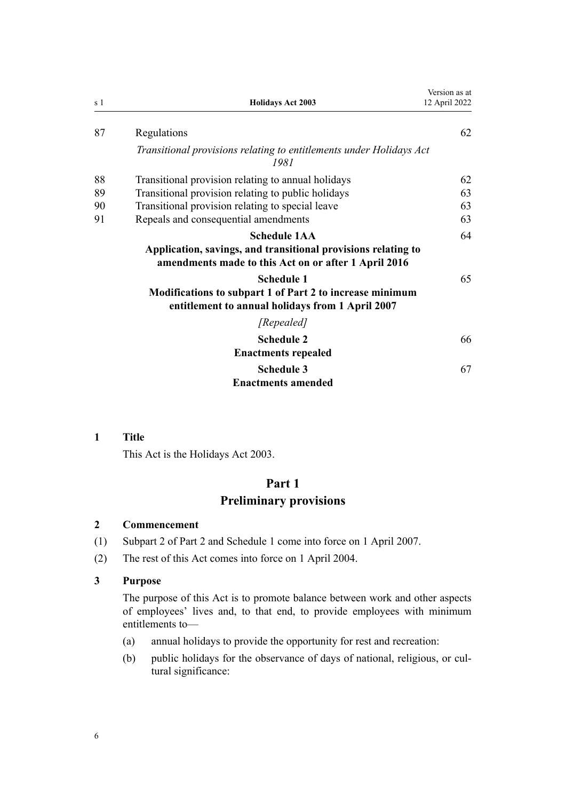<span id="page-5-0"></span>

| s 1 | <b>Holidays Act 2003</b>                                                                                                                     | Version as at<br>12 April 2022 |
|-----|----------------------------------------------------------------------------------------------------------------------------------------------|--------------------------------|
| 87  | Regulations                                                                                                                                  | 62                             |
|     | Transitional provisions relating to entitlements under Holidays Act<br>1981                                                                  |                                |
| 88  | Transitional provision relating to annual holidays                                                                                           | 62                             |
| 89  | Transitional provision relating to public holidays                                                                                           | 63                             |
| 90  | Transitional provision relating to special leave                                                                                             | 63                             |
| 91  | Repeals and consequential amendments                                                                                                         | 63                             |
|     | <b>Schedule 1AA</b><br>Application, savings, and transitional provisions relating to<br>amendments made to this Act on or after 1 April 2016 | 64                             |
|     | <b>Schedule 1</b><br>Modifications to subpart 1 of Part 2 to increase minimum<br>entitlement to annual holidays from 1 April 2007            | 65                             |
|     | [Repealed]                                                                                                                                   |                                |
|     | <b>Schedule 2</b><br><b>Enactments repealed</b>                                                                                              | 66                             |
|     | <b>Schedule 3</b><br><b>Enactments amended</b>                                                                                               | 67                             |

## **1 Title**

This Act is the Holidays Act 2003.

# **Part 1 Preliminary provisions**

#### **2 Commencement**

- (1) [Subpart 2](#page-30-0) of Part 2 and [Schedule 1](#page-64-0) come into force on 1 April 2007.
- (2) The rest of this Act comes into force on 1 April 2004.

## **3 Purpose**

The purpose of this Act is to promote balance between work and other aspects of employees' lives and, to that end, to provide employees with minimum entitlements to—

- (a) annual holidays to provide the opportunity for rest and recreation:
- (b) public holidays for the observance of days of national, religious, or cultural significance: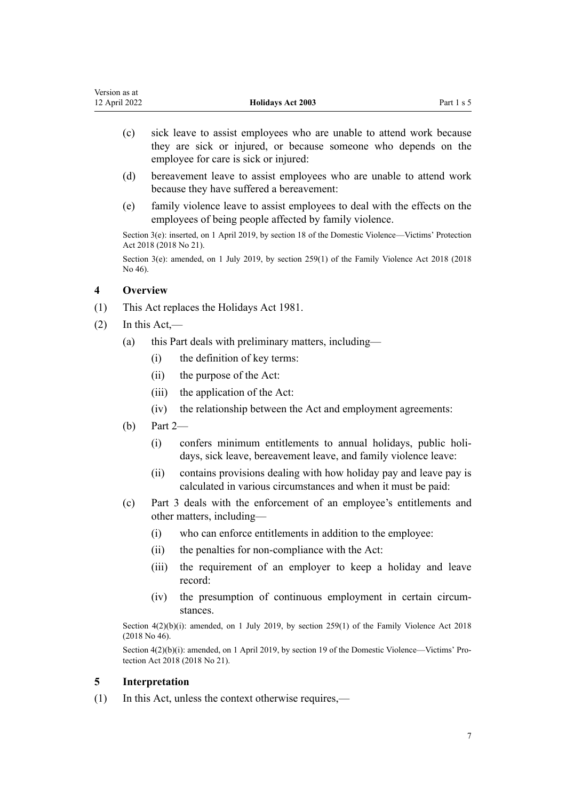<span id="page-6-0"></span>

| Version as at |                          |            |
|---------------|--------------------------|------------|
| 12 April 2022 | <b>Holidays Act 2003</b> | Part 1 s 5 |

- (c) sick leave to assist employees who are unable to attend work because they are sick or injured, or because someone who depends on the employee for care is sick or injured:
- (d) bereavement leave to assist employees who are unable to attend work because they have suffered a bereavement:
- (e) family violence leave to assist employees to deal with the effects on the employees of being people affected by family violence.

Section 3(e): inserted, on 1 April 2019, by [section 18](http://legislation.govt.nz/pdflink.aspx?id=LMS50959) of the Domestic Violence—Victims' Protection Act 2018 (2018 No 21).

Section 3(e): amended, on 1 July 2019, by [section 259\(1\)](http://legislation.govt.nz/pdflink.aspx?id=LMS113400) of the Family Violence Act 2018 (2018) No 46).

## **4 Overview**

- (1) This Act replaces the Holidays Act 1981.
- $(2)$  In this Act,—
	- (a) this Part deals with preliminary matters, including—
		- (i) the definition of key terms:
		- (ii) the purpose of the Act:
		- (iii) the application of the Act:
		- (iv) the relationship between the Act and employment agreements:
	- (b) [Part 2](#page-17-0)
		- (i) confers minimum entitlements to annual holidays, public holi‐ days, sick leave, bereavement leave, and family violence leave:
		- (ii) contains provisions dealing with how holiday pay and leave pay is calculated in various circumstances and when it must be paid:
	- (c) [Part 3](#page-52-0) deals with the enforcement of an employee's entitlements and other matters, including—
		- (i) who can enforce entitlements in addition to the employee:
		- (ii) the penalties for non-compliance with the Act:
		- (iii) the requirement of an employer to keep a holiday and leave record:
		- (iv) the presumption of continuous employment in certain circum‐ stances.

Section  $4(2)(b)(i)$ : amended, on 1 July 2019, by [section 259\(1\)](http://legislation.govt.nz/pdflink.aspx?id=LMS113400) of the Family Violence Act 2018 (2018 No 46).

Section 4(2)(b)(i): amended, on 1 April 2019, by [section 19](http://legislation.govt.nz/pdflink.aspx?id=LMS50960) of the Domestic Violence—Victims' Protection Act 2018 (2018 No 21).

#### **5 Interpretation**

(1) In this Act, unless the context otherwise requires,—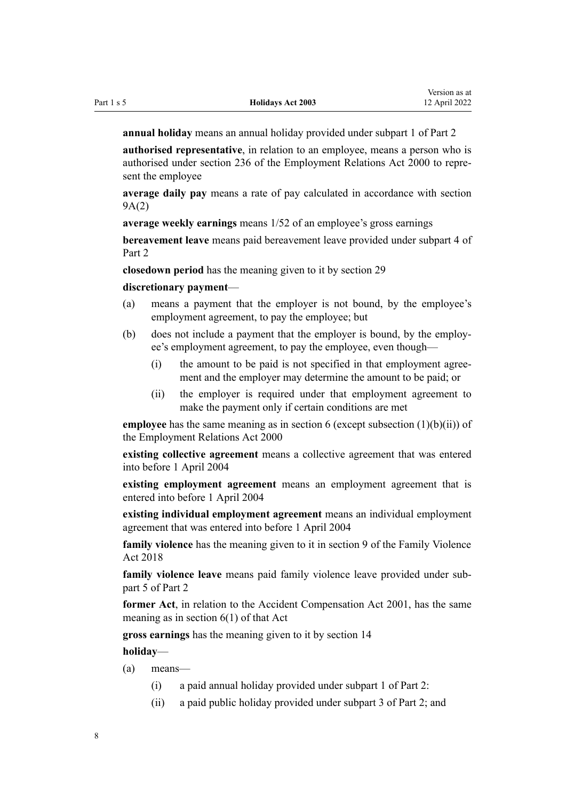Version as at

**annual holiday** means an annual holiday provided under [subpart 1](#page-17-0) of Part 2

**authorised representative**, in relation to an employee, means a person who is authorised under [section 236](http://legislation.govt.nz/pdflink.aspx?id=DLM61477) of the Employment Relations Act 2000 to repre‐ sent the employee

**average daily pay** means a rate of pay calculated in accordance with [section](#page-12-0) [9A\(2\)](#page-12-0)

**average weekly earnings** means 1/52 of an employee's gross earnings

**bereavement leave** means paid bereavement leave provided under [subpart 4](#page-42-0) of Part 2

**closedown period** has the meaning given to it by [section 29](#page-25-0)

#### **discretionary payment**—

- (a) means a payment that the employer is not bound, by the employee's employment agreement, to pay the employee; but
- (b) does not include a payment that the employer is bound, by the employ‐ ee's employment agreement, to pay the employee, even though—
	- (i) the amount to be paid is not specified in that employment agree‐ ment and the employer may determine the amount to be paid; or
	- (ii) the employer is required under that employment agreement to make the payment only if certain conditions are met

**employee** has the same meaning as in [section 6](http://legislation.govt.nz/pdflink.aspx?id=DLM58619) (except subsection (1)(b)(ii)) of the Employment Relations Act 2000

**existing collective agreement** means a collective agreement that was entered into before 1 April 2004

**existing employment agreement** means an employment agreement that is entered into before 1 April 2004

**existing individual employment agreement** means an individual employment agreement that was entered into before 1 April 2004

**family violence** has the meaning given to it in [section 9](http://legislation.govt.nz/pdflink.aspx?id=LMS112966) of the Family Violence Act 2018

family violence leave means paid family violence leave provided under sub[part 5](#page-47-0) of Part 2

**former Act**, in relation to the [Accident Compensation Act 2001,](http://legislation.govt.nz/pdflink.aspx?id=DLM99493) has the same meaning as in [section 6\(1\)](http://legislation.govt.nz/pdflink.aspx?id=DLM100103) of that Act

**gross earnings** has the meaning given to it by [section 14](#page-15-0)

**holiday**—

- (a) means—
	- (i) a paid annual holiday provided under [subpart 1](#page-17-0) of Part 2:
	- (ii) a paid public holiday provided under [subpart 3](#page-30-0) of Part 2; and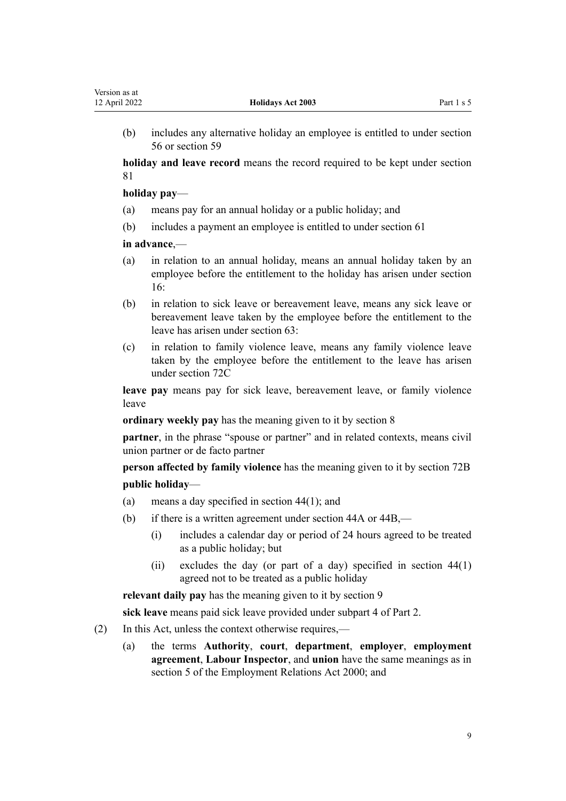(b) includes any alternative holiday an employee is entitled to under [section](#page-38-0) [56](#page-38-0) or [section 59](#page-39-0)

**holiday and leave record** means the record required to be kept under [section](#page-56-0) [81](#page-56-0)

#### **holiday pay**—

- (a) means pay for an annual holiday or a public holiday; and
- (b) includes a payment an employee is entitled to under [section 61](#page-40-0)

#### **in advance**,—

- (a) in relation to an annual holiday, means an annual holiday taken by an employee before the entitlement to the holiday has arisen under [section](#page-17-0) [16:](#page-17-0)
- (b) in relation to sick leave or bereavement leave, means any sick leave or bereavement leave taken by the employee before the entitlement to the leave has arisen under [section 63:](#page-42-0)
- (c) in relation to family violence leave, means any family violence leave taken by the employee before the entitlement to the leave has arisen under [section 72C](#page-48-0)

**leave pay** means pay for sick leave, bereavement leave, or family violence leave

**ordinary weekly pay** has the meaning given to it by [section 8](#page-10-0)

**partner**, in the phrase "spouse or partner" and in related contexts, means civil union partner or de facto partner

**person affected by family violence** has the meaning given to it by [section 72B](#page-47-0) **public holiday**—

- (a) means a day specified in [section 44\(1\)](#page-30-0); and
- (b) if there is a written agreement under [section 44A](#page-31-0) or [44B,](#page-32-0)
	- (i) includes a calendar day or period of 24 hours agreed to be treated as a public holiday; but
	- (ii) excludes the day (or part of a day) specified in [section 44\(1\)](#page-30-0) agreed not to be treated as a public holiday

**relevant daily pay** has the meaning given to it by [section 9](#page-11-0) **sick leave** means paid sick leave provided under [subpart 4](#page-42-0) of Part 2.

- 
- (2) In this Act, unless the context otherwise requires,—
	- (a) the terms **Authority**, **court**, **department**, **employer**, **employment agreement**, **Labour Inspector**, and **union** have the same meanings as in [section 5](http://legislation.govt.nz/pdflink.aspx?id=DLM58337) of the Employment Relations Act 2000; and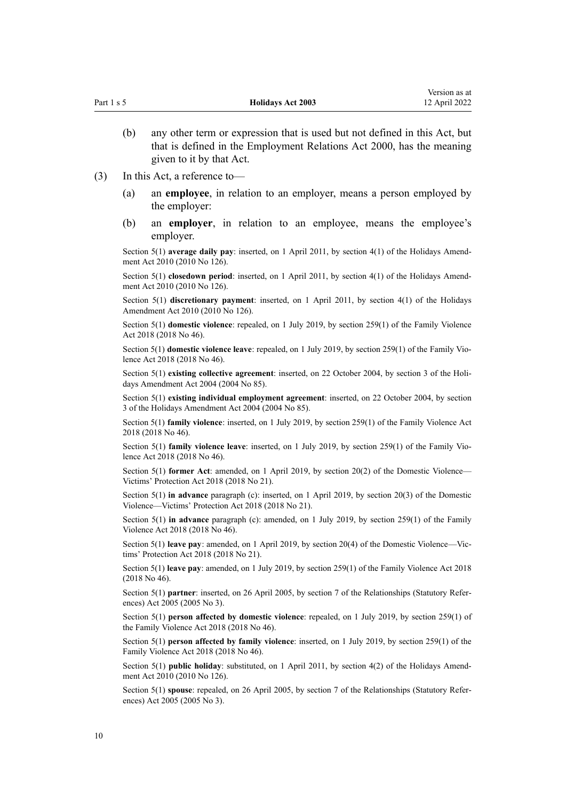- (b) any other term or expression that is used but not defined in this Act, but that is defined in the [Employment Relations Act 2000](http://legislation.govt.nz/pdflink.aspx?id=DLM58316), has the meaning given to it by that Act.
- (3) In this Act, a reference to—
	- (a) an **employee**, in relation to an employer, means a person employed by the employer:
	- (b) an **employer**, in relation to an employee, means the employee's employer.

Section 5(1) **average daily pay**: inserted, on 1 April 2011, by [section 4\(1\)](http://legislation.govt.nz/pdflink.aspx?id=DLM3172313) of the Holidays Amend‐ ment Act 2010 (2010 No 126).

Section 5(1) **closedown period**: inserted, on 1 April 2011, by [section 4\(1\)](http://legislation.govt.nz/pdflink.aspx?id=DLM3172313) of the Holidays Amendment Act 2010 (2010 No 126).

Section 5(1) **discretionary payment**: inserted, on 1 April 2011, by [section 4\(1\)](http://legislation.govt.nz/pdflink.aspx?id=DLM3172313) of the Holidays Amendment Act 2010 (2010 No 126).

Section 5(1) **domestic violence**: repealed, on 1 July 2019, by [section 259\(1\)](http://legislation.govt.nz/pdflink.aspx?id=LMS113400) of the Family Violence Act 2018 (2018 No 46).

Section 5(1) **domestic violence leave**: repealed, on 1 July 2019, by [section 259\(1\)](http://legislation.govt.nz/pdflink.aspx?id=LMS113400) of the Family Violence Act 2018 (2018 No 46).

Section 5(1) **existing collective agreement**: inserted, on 22 October 2004, by [section 3](http://legislation.govt.nz/pdflink.aspx?id=DLM315688) of the Holidays Amendment Act 2004 (2004 No 85).

Section 5(1) **existing individual employment agreement**: inserted, on 22 October 2004, by [section](http://legislation.govt.nz/pdflink.aspx?id=DLM315688) [3](http://legislation.govt.nz/pdflink.aspx?id=DLM315688) of the Holidays Amendment Act 2004 (2004 No 85).

Section 5(1) **family violence**: inserted, on 1 July 2019, by [section 259\(1\)](http://legislation.govt.nz/pdflink.aspx?id=LMS113400) of the Family Violence Act 2018 (2018 No 46).

Section 5(1) **family violence leave**: inserted, on 1 July 2019, by [section 259\(1\)](http://legislation.govt.nz/pdflink.aspx?id=LMS113400) of the Family Violence Act 2018 (2018 No 46).

Section 5(1) **former Act**: amended, on 1 April 2019, by [section 20\(2\)](http://legislation.govt.nz/pdflink.aspx?id=LMS50970) of the Domestic Violence— Victims' Protection Act 2018 (2018 No 21).

Section 5(1) **in advance** paragraph (c): inserted, on 1 April 2019, by [section 20\(3\)](http://legislation.govt.nz/pdflink.aspx?id=LMS50970) of the Domestic Violence—Victims' Protection Act 2018 (2018 No 21).

Section 5(1) **in advance** paragraph (c): amended, on 1 July 2019, by [section 259\(1\)](http://legislation.govt.nz/pdflink.aspx?id=LMS113400) of the Family Violence Act 2018 (2018 No 46).

Section 5(1) **leave pay**: amended, on 1 April 2019, by [section 20\(4\)](http://legislation.govt.nz/pdflink.aspx?id=LMS50970) of the Domestic Violence—Vic‐ tims' Protection Act 2018 (2018 No 21).

Section 5(1) **leave pay**: amended, on 1 July 2019, by [section 259\(1\)](http://legislation.govt.nz/pdflink.aspx?id=LMS113400) of the Family Violence Act 2018 (2018 No 46).

Section 5(1) **partner**: inserted, on 26 April 2005, by [section 7](http://legislation.govt.nz/pdflink.aspx?id=DLM333795) of the Relationships (Statutory References) Act 2005 (2005 No 3).

Section 5(1) **person affected by domestic violence**: repealed, on 1 July 2019, by [section 259\(1\)](http://legislation.govt.nz/pdflink.aspx?id=LMS113400) of the Family Violence Act 2018 (2018 No 46).

Section 5(1) **person affected by family violence**: inserted, on 1 July 2019, by [section 259\(1\)](http://legislation.govt.nz/pdflink.aspx?id=LMS113400) of the Family Violence Act 2018 (2018 No 46).

Section 5(1) **public holiday**: substituted, on 1 April 2011, by [section 4\(2\)](http://legislation.govt.nz/pdflink.aspx?id=DLM3172313) of the Holidays Amendment Act 2010 (2010 No 126).

Section 5(1) **spouse**: repealed, on 26 April 2005, by [section 7](http://legislation.govt.nz/pdflink.aspx?id=DLM333795) of the Relationships (Statutory Refer‐ ences) Act 2005 (2005 No 3).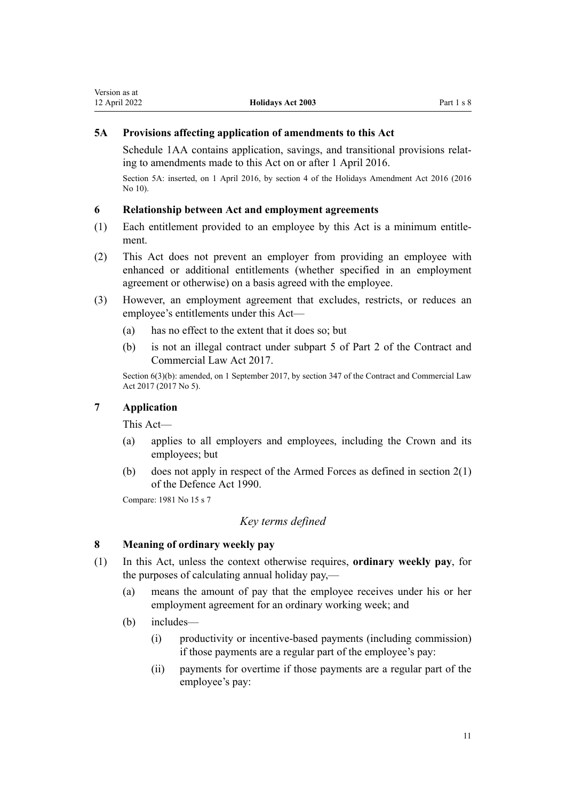#### <span id="page-10-0"></span>**5A Provisions affecting application of amendments to this Act**

[Schedule 1AA](#page-63-0) contains application, savings, and transitional provisions relating to amendments made to this Act on or after 1 April 2016.

Section 5A: inserted, on 1 April 2016, by [section 4](http://legislation.govt.nz/pdflink.aspx?id=DLM6773810) of the Holidays Amendment Act 2016 (2016 No 10).

#### **6 Relationship between Act and employment agreements**

- (1) Each entitlement provided to an employee by this Act is a minimum entitle‐ ment.
- (2) This Act does not prevent an employer from providing an employee with enhanced or additional entitlements (whether specified in an employment agreement or otherwise) on a basis agreed with the employee.
- (3) However, an employment agreement that excludes, restricts, or reduces an employee's entitlements under this Act—
	- (a) has no effect to the extent that it does so; but
	- (b) is not an illegal contract under [subpart 5](http://legislation.govt.nz/pdflink.aspx?id=DLM6844158) of Part 2 of the Contract and Commercial Law Act 2017.

Section 6(3)(b): amended, on 1 September 2017, by [section 347](http://legislation.govt.nz/pdflink.aspx?id=DLM6844761) of the Contract and Commercial Law Act 2017 (2017 No 5).

#### **7 Application**

This Act—

- (a) applies to all employers and employees, including the Crown and its employees; but
- (b) does not apply in respect of the Armed Forces as defined in [section 2\(1\)](http://legislation.govt.nz/pdflink.aspx?id=DLM204978) of the Defence Act 1990.

Compare: 1981 No 15 s 7

#### *Key terms defined*

#### **8 Meaning of ordinary weekly pay**

- (1) In this Act, unless the context otherwise requires, **ordinary weekly pay**, for the purposes of calculating annual holiday pay,—
	- (a) means the amount of pay that the employee receives under his or her employment agreement for an ordinary working week; and
	- (b) includes—
		- (i) productivity or incentive-based payments (including commission) if those payments are a regular part of the employee's pay:
		- (ii) payments for overtime if those payments are a regular part of the employee's pay: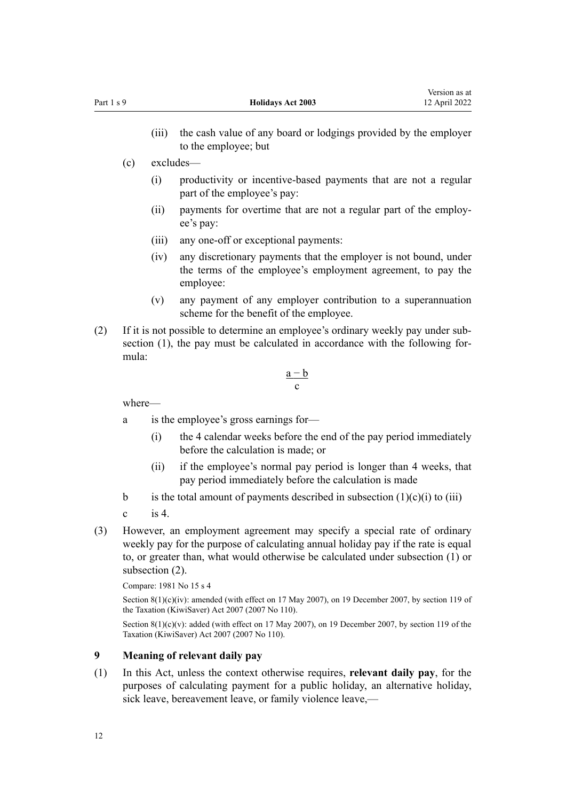- <span id="page-11-0"></span>(c) excludes—
	- (i) productivity or incentive-based payments that are not a regular part of the employee's pay:
	- (ii) payments for overtime that are not a regular part of the employ‐ ee's pay:
	- (iii) any one-off or exceptional payments:
	- (iv) any discretionary payments that the employer is not bound, under the terms of the employee's employment agreement, to pay the employee:
	- (v) any payment of any employer contribution to a superannuation scheme for the benefit of the employee.
- (2) If it is not possible to determine an employee's ordinary weekly pay under sub‐ section (1), the pay must be calculated in accordance with the following formula:

$$
\frac{a-b}{c}
$$

where—

- a is the employee's gross earnings for—
	- (i) the 4 calendar weeks before the end of the pay period immediately before the calculation is made; or
	- (ii) if the employee's normal pay period is longer than 4 weeks, that pay period immediately before the calculation is made
- b is the total amount of payments described in subsection  $(1)(c)(i)$  to  $(iii)$

c is  $4 \cdot 4$ 

(3) However, an employment agreement may specify a special rate of ordinary weekly pay for the purpose of calculating annual holiday pay if the rate is equal to, or greater than, what would otherwise be calculated under subsection (1) or subsection (2).

Compare: 1981 No 15 s 4

Section 8(1)(c)(iv): amended (with effect on 17 May 2007), on 19 December 2007, by [section 119](http://legislation.govt.nz/pdflink.aspx?id=DLM1107383) of the Taxation (KiwiSaver) Act 2007 (2007 No 110).

Section  $8(1)(c)(v)$ : added (with effect on 17 May 2007), on 19 December 2007, by [section 119](http://legislation.govt.nz/pdflink.aspx?id=DLM1107383) of the Taxation (KiwiSaver) Act 2007 (2007 No 110).

## **9 Meaning of relevant daily pay**

(1) In this Act, unless the context otherwise requires, **relevant daily pay**, for the purposes of calculating payment for a public holiday, an alternative holiday, sick leave, bereavement leave, or family violence leave,—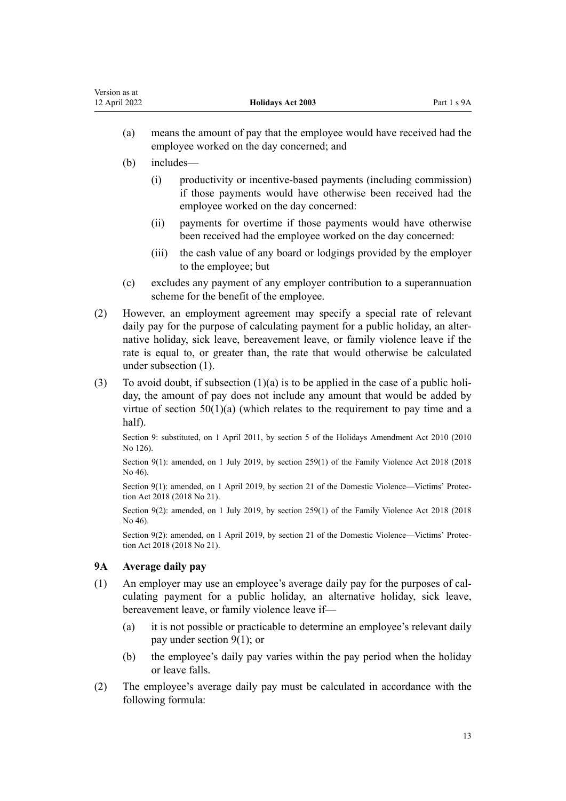| 12 April 2022 | <b>Holidays Act 2003</b>                                                                                           | Part 1 s 9A |
|---------------|--------------------------------------------------------------------------------------------------------------------|-------------|
| (a)           | means the amount of pay that the employee would have received had the<br>employee worked on the day concerned; and |             |

(b) includes—

<span id="page-12-0"></span>Version as at

- (i) productivity or incentive-based payments (including commission) if those payments would have otherwise been received had the employee worked on the day concerned:
- (ii) payments for overtime if those payments would have otherwise been received had the employee worked on the day concerned:
- (iii) the cash value of any board or lodgings provided by the employer to the employee; but
- (c) excludes any payment of any employer contribution to a superannuation scheme for the benefit of the employee.
- (2) However, an employment agreement may specify a special rate of relevant daily pay for the purpose of calculating payment for a public holiday, an alternative holiday, sick leave, bereavement leave, or family violence leave if the rate is equal to, or greater than, the rate that would otherwise be calculated under subsection (1).
- (3) To avoid doubt, if subsection  $(1)(a)$  is to be applied in the case of a public holiday, the amount of pay does not include any amount that would be added by virtue of section  $50(1)(a)$  (which relates to the requirement to pay time and a half).

Section 9: substituted, on 1 April 2011, by [section 5](http://legislation.govt.nz/pdflink.aspx?id=DLM3172323) of the Holidays Amendment Act 2010 (2010 No 126).

Section 9(1): amended, on 1 July 2019, by [section 259\(1\)](http://legislation.govt.nz/pdflink.aspx?id=LMS113400) of the Family Violence Act 2018 (2018 No 46).

Section 9(1): amended, on 1 April 2019, by [section 21](http://legislation.govt.nz/pdflink.aspx?id=LMS50971) of the Domestic Violence—Victims' Protection Act 2018 (2018 No 21).

Section 9(2): amended, on 1 July 2019, by [section 259\(1\)](http://legislation.govt.nz/pdflink.aspx?id=LMS113400) of the Family Violence Act 2018 (2018 No 46).

Section 9(2): amended, on 1 April 2019, by [section 21](http://legislation.govt.nz/pdflink.aspx?id=LMS50971) of the Domestic Violence—Victims' Protection Act 2018 (2018 No 21).

## **9A Average daily pay**

- (1) An employer may use an employee's average daily pay for the purposes of cal‐ culating payment for a public holiday, an alternative holiday, sick leave, bereavement leave, or family violence leave if—
	- (a) it is not possible or practicable to determine an employee's relevant daily pay under [section 9\(1\)](#page-11-0); or
	- (b) the employee's daily pay varies within the pay period when the holiday or leave falls.
- (2) The employee's average daily pay must be calculated in accordance with the following formula: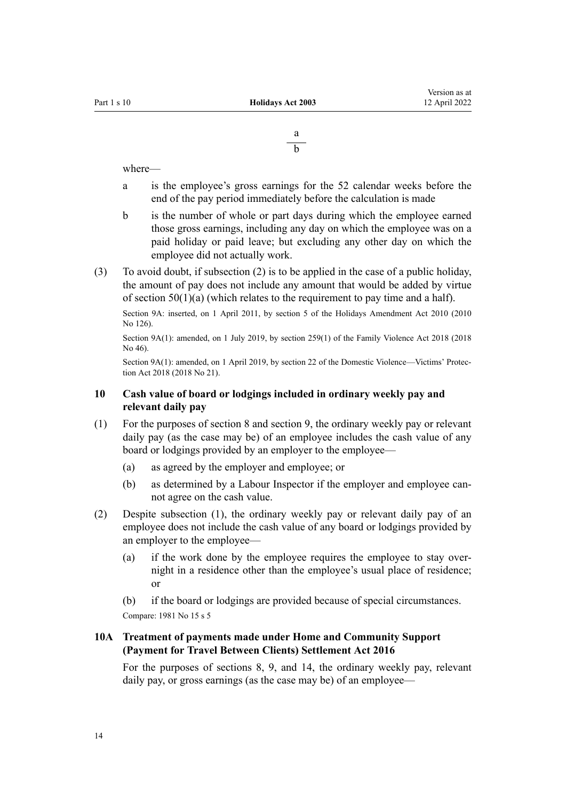$$
\frac{a}{b}
$$

<span id="page-13-0"></span>where—

- a is the employee's gross earnings for the 52 calendar weeks before the end of the pay period immediately before the calculation is made
- b is the number of whole or part days during which the employee earned those gross earnings, including any day on which the employee was on a paid holiday or paid leave; but excluding any other day on which the employee did not actually work.
- (3) To avoid doubt, if subsection (2) is to be applied in the case of a public holiday, the amount of pay does not include any amount that would be added by virtue of section  $50(1)(a)$  (which relates to the requirement to pay time and a half).

Section 9A: inserted, on 1 April 2011, by [section 5](http://legislation.govt.nz/pdflink.aspx?id=DLM3172323) of the Holidays Amendment Act 2010 (2010 No 126).

Section 9A(1): amended, on 1 July 2019, by [section 259\(1\)](http://legislation.govt.nz/pdflink.aspx?id=LMS113400) of the Family Violence Act 2018 (2018 No 46).

Section 9A(1): amended, on 1 April 2019, by [section 22](http://legislation.govt.nz/pdflink.aspx?id=LMS50972) of the Domestic Violence—Victims' Protection Act 2018 (2018 No 21).

## **10 Cash value of board or lodgings included in ordinary weekly pay and relevant daily pay**

- (1) For the purposes of [section 8](#page-10-0) and [section 9](#page-11-0), the ordinary weekly pay or relevant daily pay (as the case may be) of an employee includes the cash value of any board or lodgings provided by an employer to the employee—
	- (a) as agreed by the employer and employee; or
	- (b) as determined by a Labour Inspector if the employer and employee cannot agree on the cash value.
- (2) Despite subsection (1), the ordinary weekly pay or relevant daily pay of an employee does not include the cash value of any board or lodgings provided by an employer to the employee—
	- (a) if the work done by the employee requires the employee to stay overnight in a residence other than the employee's usual place of residence; or
	- (b) if the board or lodgings are provided because of special circumstances.

Compare: 1981 No 15 s 5

## **10A Treatment of payments made under Home and Community Support (Payment for Travel Between Clients) Settlement Act 2016**

For the purposes of [sections 8](#page-10-0), [9](#page-11-0), and [14](#page-15-0), the ordinary weekly pay, relevant daily pay, or gross earnings (as the case may be) of an employee—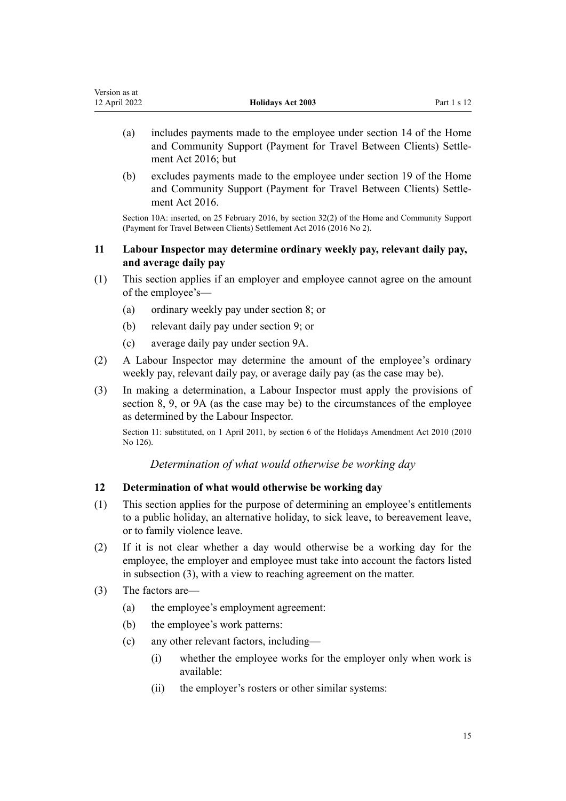<span id="page-14-0"></span>

| Version as at |                          |                    |
|---------------|--------------------------|--------------------|
| 12 April 2022 | <b>Holidays Act 2003</b> | Part $1 \times 12$ |
|               |                          |                    |

- (a) includes payments made to the employee under [section 14](http://legislation.govt.nz/pdflink.aspx?id=DLM6600977) of the Home and Community Support (Payment for Travel Between Clients) Settle‐ ment Act 2016; but
- (b) excludes payments made to the employee under [section 19](http://legislation.govt.nz/pdflink.aspx?id=DLM6600986) of the Home and Community Support (Payment for Travel Between Clients) Settle‐ ment Act 2016.

Section 10A: inserted, on 25 February 2016, by [section 32\(2\)](http://legislation.govt.nz/pdflink.aspx?id=DLM6601011) of the Home and Community Support (Payment for Travel Between Clients) Settlement Act 2016 (2016 No 2).

## **11 Labour Inspector may determine ordinary weekly pay, relevant daily pay, and average daily pay**

- (1) This section applies if an employer and employee cannot agree on the amount of the employee's—
	- (a) ordinary weekly pay under [section 8;](#page-10-0) or
	- (b) relevant daily pay under [section 9;](#page-11-0) or
	- (c) average daily pay under [section 9A.](#page-12-0)
- (2) A Labour Inspector may determine the amount of the employee's ordinary weekly pay, relevant daily pay, or average daily pay (as the case may be).
- (3) In making a determination, a Labour Inspector must apply the provisions of [section 8](#page-10-0), [9,](#page-11-0) or [9A](#page-12-0) (as the case may be) to the circumstances of the employee as determined by the Labour Inspector.

Section 11: substituted, on 1 April 2011, by [section 6](http://legislation.govt.nz/pdflink.aspx?id=DLM3172329) of the Holidays Amendment Act 2010 (2010 No 126).

*Determination of what would otherwise be working day*

#### **12 Determination of what would otherwise be working day**

- (1) This section applies for the purpose of determining an employee's entitlements to a public holiday, an alternative holiday, to sick leave, to bereavement leave, or to family violence leave.
- (2) If it is not clear whether a day would otherwise be a working day for the employee, the employer and employee must take into account the factors listed in subsection (3), with a view to reaching agreement on the matter.
- (3) The factors are—
	- (a) the employee's employment agreement:
	- (b) the employee's work patterns:
	- (c) any other relevant factors, including—
		- (i) whether the employee works for the employer only when work is available:
		- (ii) the employer's rosters or other similar systems: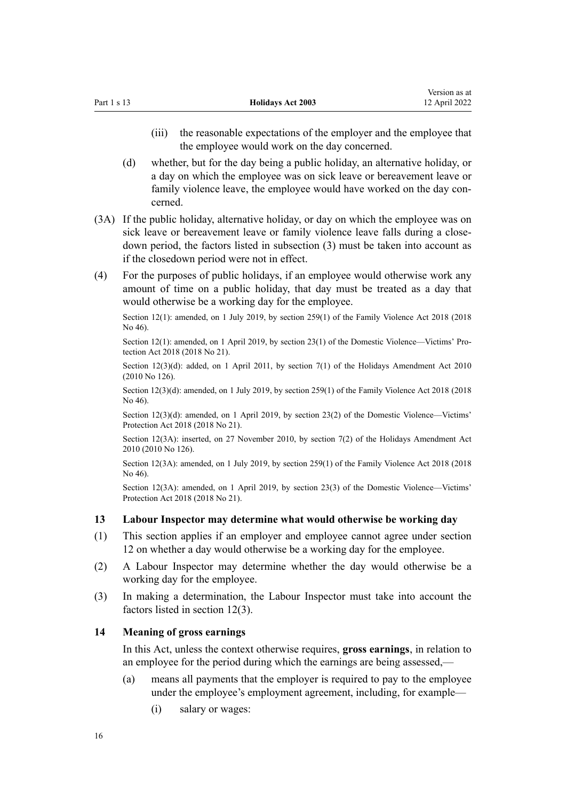<span id="page-15-0"></span>(iii) the reasonable expectations of the employer and the employee that the employee would work on the day concerned.

Version as at

- (d) whether, but for the day being a public holiday, an alternative holiday, or a day on which the employee was on sick leave or bereavement leave or family violence leave, the employee would have worked on the day concerned.
- (3A) If the public holiday, alternative holiday, or day on which the employee was on sick leave or bereavement leave or family violence leave falls during a closedown period, the factors listed in subsection (3) must be taken into account as if the closedown period were not in effect.
- (4) For the purposes of public holidays, if an employee would otherwise work any amount of time on a public holiday, that day must be treated as a day that would otherwise be a working day for the employee.

Section 12(1): amended, on 1 July 2019, by [section 259\(1\)](http://legislation.govt.nz/pdflink.aspx?id=LMS113400) of the Family Violence Act 2018 (2018 No 46).

Section 12(1): amended, on 1 April 2019, by [section 23\(1\)](http://legislation.govt.nz/pdflink.aspx?id=LMS50973) of the Domestic Violence—Victims' Protection Act 2018 (2018 No 21).

Section 12(3)(d): added, on 1 April 2011, by [section 7\(1\)](http://legislation.govt.nz/pdflink.aspx?id=DLM3172331) of the Holidays Amendment Act 2010 (2010 No 126).

Section 12(3)(d): amended, on 1 July 2019, by [section 259\(1\)](http://legislation.govt.nz/pdflink.aspx?id=LMS113400) of the Family Violence Act 2018 (2018) No 46).

Section 12(3)(d): amended, on 1 April 2019, by [section 23\(2\)](http://legislation.govt.nz/pdflink.aspx?id=LMS50973) of the Domestic Violence—Victims' Protection Act 2018 (2018 No 21).

Section 12(3A): inserted, on 27 November 2010, by [section 7\(2\)](http://legislation.govt.nz/pdflink.aspx?id=DLM3172331) of the Holidays Amendment Act 2010 (2010 No 126).

Section 12(3A): amended, on 1 July 2019, by [section 259\(1\)](http://legislation.govt.nz/pdflink.aspx?id=LMS113400) of the Family Violence Act 2018 (2018 No 46).

Section 12(3A): amended, on 1 April 2019, by [section 23\(3\)](http://legislation.govt.nz/pdflink.aspx?id=LMS50973) of the Domestic Violence—Victims' Protection Act 2018 (2018 No 21).

#### **13 Labour Inspector may determine what would otherwise be working day**

- (1) This section applies if an employer and employee cannot agree under [section](#page-14-0) [12](#page-14-0) on whether a day would otherwise be a working day for the employee.
- (2) A Labour Inspector may determine whether the day would otherwise be a working day for the employee.
- (3) In making a determination, the Labour Inspector must take into account the factors listed in [section 12\(3\)](#page-14-0).

#### **14 Meaning of gross earnings**

In this Act, unless the context otherwise requires, **gross earnings**, in relation to an employee for the period during which the earnings are being assessed,—

- (a) means all payments that the employer is required to pay to the employee under the employee's employment agreement, including, for example—
	- (i) salary or wages: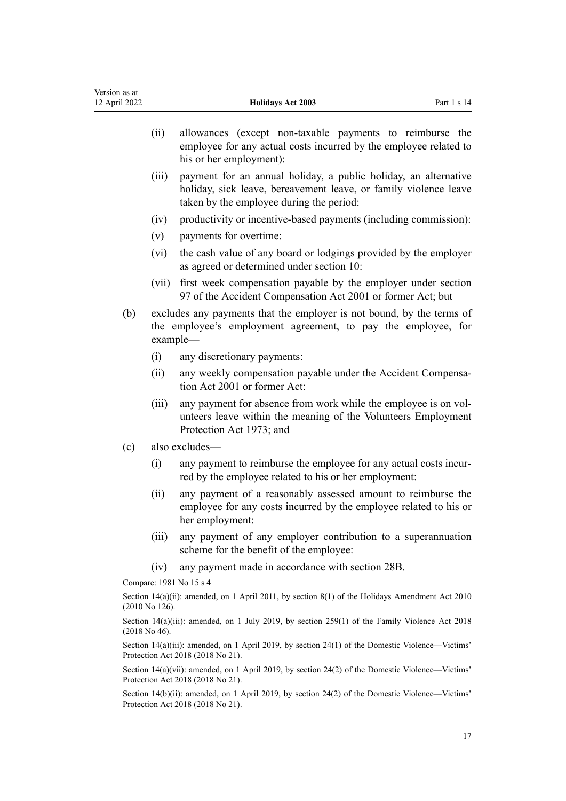| Version as at<br>12 April 2022 |                  | <b>Holidays Act 2003</b><br>Part 1 s 14                                                                                                                                         |  |
|--------------------------------|------------------|---------------------------------------------------------------------------------------------------------------------------------------------------------------------------------|--|
|                                | (ii)             | allowances (except non-taxable payments to reimburse the<br>employee for any actual costs incurred by the employee related to<br>his or her employment):                        |  |
|                                | (iii)            | payment for an annual holiday, a public holiday, an alternative<br>holiday, sick leave, bereavement leave, or family violence leave<br>taken by the employee during the period: |  |
|                                | (iv)             | productivity or incentive-based payments (including commission):                                                                                                                |  |
|                                | (v)              | payments for overtime:                                                                                                                                                          |  |
|                                | (vi)             | the cash value of any board or lodgings provided by the employer<br>as agreed or determined under section 10:                                                                   |  |
|                                | (vii)            | first week compensation payable by the employer under section<br>97 of the Accident Compensation Act 2001 or former Act; but                                                    |  |
| (b)                            |                  | excludes any payments that the employer is not bound, by the terms of<br>the employee's employment agreement, to pay the employee, for<br>$example$ —                           |  |
|                                | (i)              | any discretionary payments:                                                                                                                                                     |  |
|                                | (ii)             | any weekly compensation payable under the Accident Compensa-<br>tion Act 2001 or former Act:                                                                                    |  |
|                                | (iii)            | any payment for absence from work while the employee is on vol-<br>unteers leave within the meaning of the Volunteers Employment<br>Protection Act 1973; and                    |  |
| (c)                            |                  | also excludes-                                                                                                                                                                  |  |
|                                | (i)              | any payment to reimburse the employee for any actual costs incur-<br>red by the employee related to his or her employment:                                                      |  |
|                                | (ii)             | any payment of a reasonably assessed amount to reimburse the<br>employee for any costs incurred by the employee related to his or<br>her employment:                            |  |
|                                | (iii)            | any payment of any employer contribution to a superannuation<br>scheme for the benefit of the employee:                                                                         |  |
|                                | (iv)             | any payment made in accordance with section 28B.                                                                                                                                |  |
|                                |                  | Compare: 1981 No 15 s 4                                                                                                                                                         |  |
|                                | $(2010$ No 126). | Section $14(a)(ii)$ : amended, on 1 April 2011, by section 8(1) of the Holidays Amendment Act 2010                                                                              |  |
|                                | $(2018$ No 46).  | Section 14(a)(iii): amended, on 1 July 2019, by section 259(1) of the Family Violence Act 2018                                                                                  |  |
|                                |                  | Section 14(a)(iii): amended, on 1 April 2019, by section 24(1) of the Domestic Violence—Victims'<br>Protection Act 2018 (2018 No 21).                                           |  |
|                                |                  | Section $14(a)(vii)$ : amended, on 1 April 2019, by section 24(2) of the Domestic Violence—Victims'<br>Protection Act 2018 (2018 No 21).                                        |  |

Section 14(b)(ii): amended, on 1 April 2019, by [section 24\(2\)](http://legislation.govt.nz/pdflink.aspx?id=LMS50974) of the Domestic Violence—Victims' Protection Act 2018 (2018 No 21).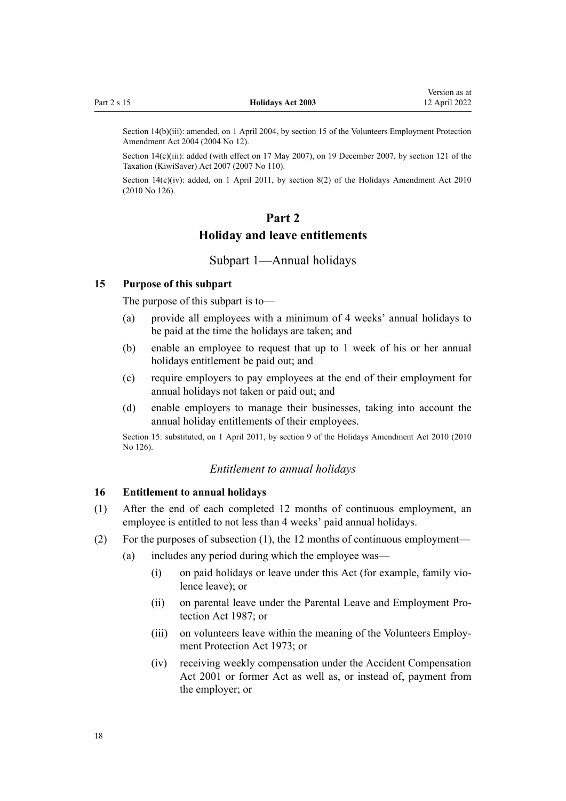<span id="page-17-0"></span>Section 14(b)(iii): amended, on 1 April 2004, by [section 15](http://legislation.govt.nz/pdflink.aspx?id=DLM240793) of the Volunteers Employment Protection Amendment Act 2004 (2004 No 12).

Section 14(c)(iii): added (with effect on 17 May 2007), on 19 December 2007, by [section 121](http://legislation.govt.nz/pdflink.aspx?id=DLM1107385) of the Taxation (KiwiSaver) Act 2007 (2007 No 110).

Section 14(c)(iv): added, on 1 April 2011, by [section 8\(2\)](http://legislation.govt.nz/pdflink.aspx?id=DLM3172332) of the Holidays Amendment Act 2010 (2010 No 126).

# **Part 2 Holiday and leave entitlements**

## Subpart 1—Annual holidays

#### **15 Purpose of this subpart**

The purpose of this subpart is to—

- (a) provide all employees with a minimum of 4 weeks' annual holidays to be paid at the time the holidays are taken; and
- (b) enable an employee to request that up to 1 week of his or her annual holidays entitlement be paid out; and
- (c) require employers to pay employees at the end of their employment for annual holidays not taken or paid out; and
- (d) enable employers to manage their businesses, taking into account the annual holiday entitlements of their employees.

Section 15: substituted, on 1 April 2011, by [section 9](http://legislation.govt.nz/pdflink.aspx?id=DLM3172333) of the Holidays Amendment Act 2010 (2010 No 126).

## *Entitlement to annual holidays*

#### **16 Entitlement to annual holidays**

- (1) After the end of each completed 12 months of continuous employment, an employee is entitled to not less than 4 weeks' paid annual holidays.
- (2) For the purposes of subsection (1), the 12 months of continuous employment—
	- (a) includes any period during which the employee was—
		- (i) on paid holidays or leave under this Act (for example, family vio‐ lence leave); or
		- (ii) on parental leave under the [Parental Leave and Employment Pro‐](http://legislation.govt.nz/pdflink.aspx?id=DLM120103) [tection Act 1987;](http://legislation.govt.nz/pdflink.aspx?id=DLM120103) or
		- (iii) on volunteers leave within the meaning of the Volunteers Employ[ment Protection Act 1973;](http://legislation.govt.nz/pdflink.aspx?id=DLM409765) or
		- (iv) receiving weekly compensation under the [Accident Compensation](http://legislation.govt.nz/pdflink.aspx?id=DLM99493) [Act 2001](http://legislation.govt.nz/pdflink.aspx?id=DLM99493) or former Act as well as, or instead of, payment from the employer; or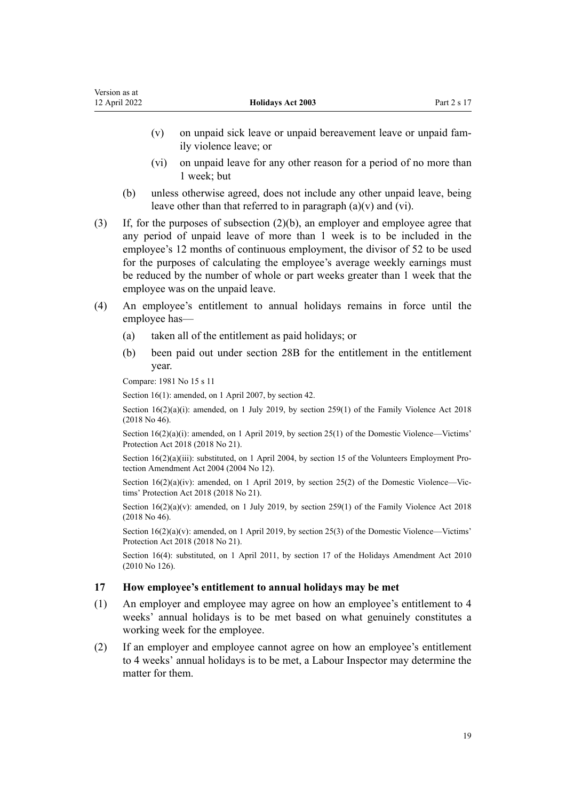- <span id="page-18-0"></span>(v) on unpaid sick leave or unpaid bereavement leave or unpaid fam‐ ily violence leave; or
- (vi) on unpaid leave for any other reason for a period of no more than 1 week; but
- (b) unless otherwise agreed, does not include any other unpaid leave, being leave other than that referred to in paragraph  $(a)(v)$  and  $(vi)$ .
- (3) If, for the purposes of subsection (2)(b), an employer and employee agree that any period of unpaid leave of more than 1 week is to be included in the employee's 12 months of continuous employment, the divisor of 52 to be used for the purposes of calculating the employee's average weekly earnings must be reduced by the number of whole or part weeks greater than 1 week that the employee was on the unpaid leave.
- (4) An employee's entitlement to annual holidays remains in force until the employee has—
	- (a) taken all of the entitlement as paid holidays; or
	- (b) been paid out under [section 28B](#page-23-0) for the entitlement in the entitlement year.

Compare: 1981 No 15 s 11

Section 16(1): amended, on 1 April 2007, by [section 42](#page-30-0).

Section  $16(2)(a)(i)$ : amended, on 1 July 2019, by [section 259\(1\)](http://legislation.govt.nz/pdflink.aspx?id=LMS113400) of the Family Violence Act 2018 (2018 No 46).

Section 16(2)(a)(i): amended, on 1 April 2019, by [section 25\(1\)](http://legislation.govt.nz/pdflink.aspx?id=LMS50975) of the Domestic Violence—Victims' Protection Act 2018 (2018 No 21).

Section  $16(2)(a)(iii)$ : substituted, on 1 April 2004, by [section 15](http://legislation.govt.nz/pdflink.aspx?id=DLM240793) of the Volunteers Employment Protection Amendment Act 2004 (2004 No 12).

Section  $16(2)(a)(iv)$ : amended, on 1 April 2019, by [section 25\(2\)](http://legislation.govt.nz/pdflink.aspx?id=LMS50975) of the Domestic Violence—Victims' Protection Act 2018 (2018 No 21).

Section  $16(2)(a)(y)$ : amended, on 1 July 2019, by [section 259\(1\)](http://legislation.govt.nz/pdflink.aspx?id=LMS113400) of the Family Violence Act 2018 (2018 No 46).

Section  $16(2)(a)(v)$ : amended, on 1 April 2019, by [section 25\(3\)](http://legislation.govt.nz/pdflink.aspx?id=LMS50975) of the Domestic Violence—Victims' Protection Act 2018 (2018 No 21).

Section 16(4): substituted, on 1 April 2011, by [section 17](http://legislation.govt.nz/pdflink.aspx?id=DLM3172354) of the Holidays Amendment Act 2010 (2010 No 126).

#### **17 How employee's entitlement to annual holidays may be met**

- (1) An employer and employee may agree on how an employee's entitlement to 4 weeks' annual holidays is to be met based on what genuinely constitutes a working week for the employee.
- (2) If an employer and employee cannot agree on how an employee's entitlement to 4 weeks' annual holidays is to be met, a Labour Inspector may determine the matter for them.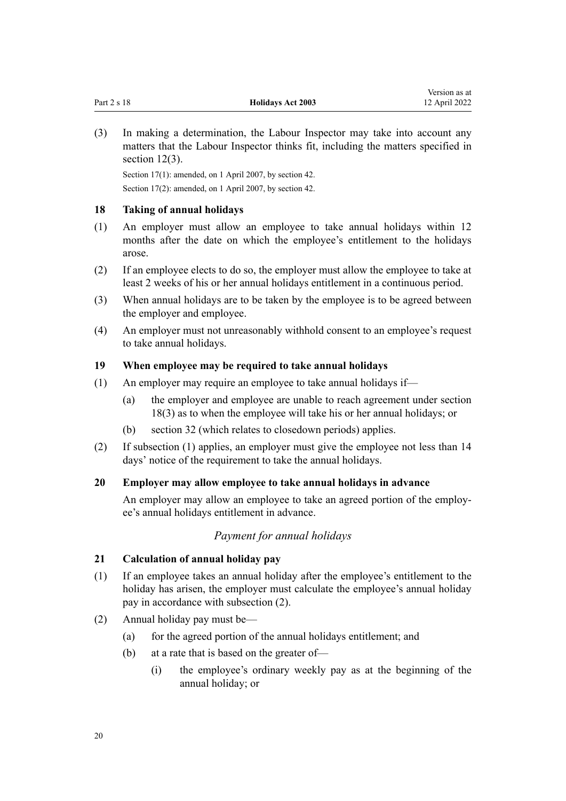Version as at

<span id="page-19-0"></span>(3) In making a determination, the Labour Inspector may take into account any matters that the Labour Inspector thinks fit, including the matters specified in [section 12\(3\).](#page-14-0)

Section 17(1): amended, on 1 April 2007, by [section 42](#page-30-0). Section 17(2): amended, on 1 April 2007, by [section 42](#page-30-0).

## **18 Taking of annual holidays**

- (1) An employer must allow an employee to take annual holidays within 12 months after the date on which the employee's entitlement to the holidays arose.
- (2) If an employee elects to do so, the employer must allow the employee to take at least 2 weeks of his or her annual holidays entitlement in a continuous period.
- (3) When annual holidays are to be taken by the employee is to be agreed between the employer and employee.
- (4) An employer must not unreasonably withhold consent to an employee's request to take annual holidays.

## **19 When employee may be required to take annual holidays**

- (1) An employer may require an employee to take annual holidays if—
	- (a) the employer and employee are unable to reach agreement under section 18(3) as to when the employee will take his or her annual holidays; or
	- (b) [section 32](#page-25-0) (which relates to closedown periods) applies.
- (2) If subsection (1) applies, an employer must give the employee not less than 14 days' notice of the requirement to take the annual holidays.

## **20 Employer may allow employee to take annual holidays in advance**

An employer may allow an employee to take an agreed portion of the employ‐ ee's annual holidays entitlement in advance.

## *Payment for annual holidays*

## **21 Calculation of annual holiday pay**

- (1) If an employee takes an annual holiday after the employee's entitlement to the holiday has arisen, the employer must calculate the employee's annual holiday pay in accordance with subsection (2).
- (2) Annual holiday pay must be—
	- (a) for the agreed portion of the annual holidays entitlement; and
	- (b) at a rate that is based on the greater of—
		- (i) the employee's ordinary weekly pay as at the beginning of the annual holiday; or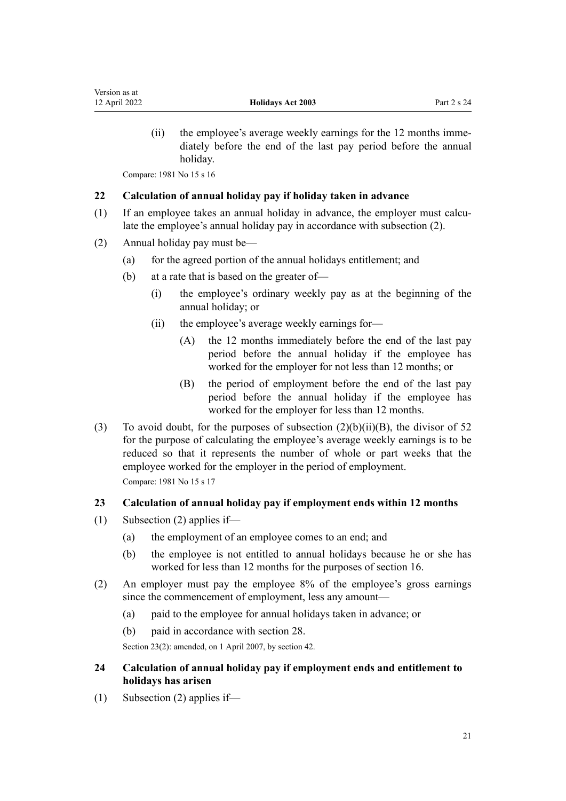<span id="page-20-0"></span>(ii) the employee's average weekly earnings for the 12 months immediately before the end of the last pay period before the annual holiday.

Compare: 1981 No 15 s 16

#### **22 Calculation of annual holiday pay if holiday taken in advance**

- (1) If an employee takes an annual holiday in advance, the employer must calculate the employee's annual holiday pay in accordance with subsection (2).
- (2) Annual holiday pay must be—
	- (a) for the agreed portion of the annual holidays entitlement; and
	- (b) at a rate that is based on the greater of—
		- (i) the employee's ordinary weekly pay as at the beginning of the annual holiday; or
		- (ii) the employee's average weekly earnings for—
			- (A) the 12 months immediately before the end of the last pay period before the annual holiday if the employee has worked for the employer for not less than 12 months; or
			- (B) the period of employment before the end of the last pay period before the annual holiday if the employee has worked for the employer for less than 12 months.
- (3) To avoid doubt, for the purposes of subsection  $(2)(b)(ii)(B)$ , the divisor of 52 for the purpose of calculating the employee's average weekly earnings is to be reduced so that it represents the number of whole or part weeks that the employee worked for the employer in the period of employment. Compare: 1981 No 15 s 17

## **23 Calculation of annual holiday pay if employment ends within 12 months**

- (1) Subsection (2) applies if—
	- (a) the employment of an employee comes to an end; and
	- (b) the employee is not entitled to annual holidays because he or she has worked for less than 12 months for the purposes of [section 16](#page-17-0).
- (2) An employer must pay the employee 8% of the employee's gross earnings since the commencement of employment, less any amount—
	- (a) paid to the employee for annual holidays taken in advance; or
	- (b) paid in accordance with [section 28.](#page-22-0)

Section 23(2): amended, on 1 April 2007, by [section 42](#page-30-0).

- **24 Calculation of annual holiday pay if employment ends and entitlement to holidays has arisen**
- (1) Subsection (2) applies if—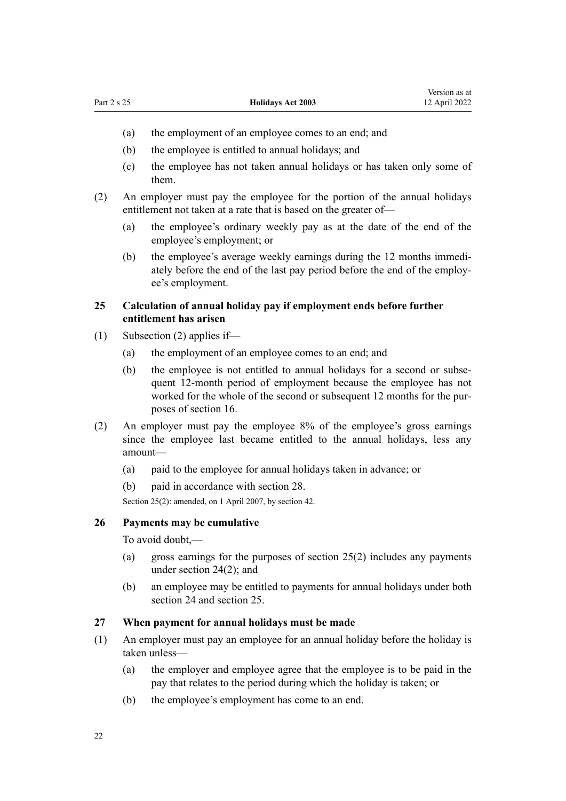- <span id="page-21-0"></span>(a) the employment of an employee comes to an end; and
- (b) the employee is entitled to annual holidays; and
- (c) the employee has not taken annual holidays or has taken only some of them.
- (2) An employer must pay the employee for the portion of the annual holidays entitlement not taken at a rate that is based on the greater of—
	- (a) the employee's ordinary weekly pay as at the date of the end of the employee's employment; or
	- (b) the employee's average weekly earnings during the 12 months immediately before the end of the last pay period before the end of the employ‐ ee's employment.

## **25 Calculation of annual holiday pay if employment ends before further entitlement has arisen**

- (1) Subsection (2) applies if—
	- (a) the employment of an employee comes to an end; and
	- (b) the employee is not entitled to annual holidays for a second or subsequent 12-month period of employment because the employee has not worked for the whole of the second or subsequent 12 months for the purposes of [section 16](#page-17-0).
- (2) An employer must pay the employee 8% of the employee's gross earnings since the employee last became entitled to the annual holidays, less any amount—
	- (a) paid to the employee for annual holidays taken in advance; or
	- (b) paid in accordance with [section 28.](#page-22-0)

Section 25(2): amended, on 1 April 2007, by [section 42](#page-30-0).

#### **26 Payments may be cumulative**

To avoid doubt,—

- (a) gross earnings for the purposes of section 25(2) includes any payments under [section 24\(2\);](#page-20-0) and
- (b) an employee may be entitled to payments for annual holidays under both [section 24](#page-20-0) and section 25.

## **27 When payment for annual holidays must be made**

- (1) An employer must pay an employee for an annual holiday before the holiday is taken unless—
	- (a) the employer and employee agree that the employee is to be paid in the pay that relates to the period during which the holiday is taken; or
	- (b) the employee's employment has come to an end.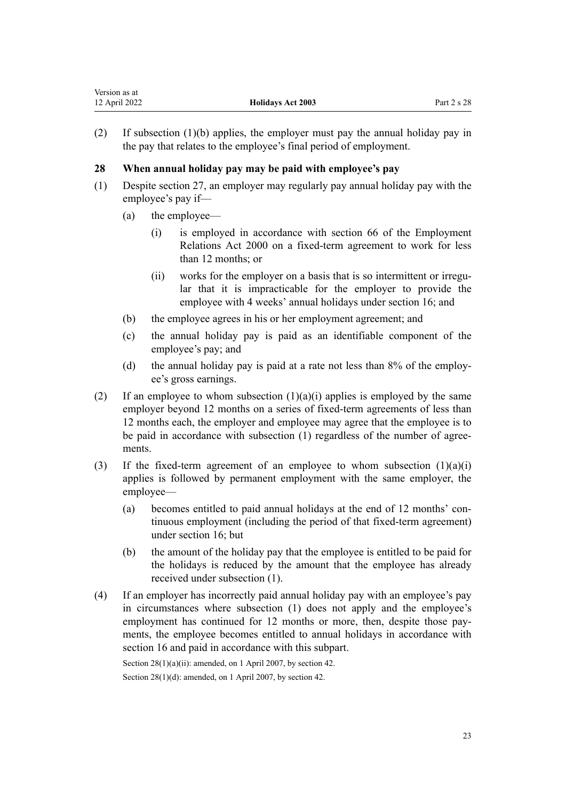<span id="page-22-0"></span>

| Version as at |                          |             |
|---------------|--------------------------|-------------|
| 12 April 2022 | <b>Holidays Act 2003</b> | Part 2 s 28 |

(2) If subsection (1)(b) applies, the employer must pay the annual holiday pay in the pay that relates to the employee's final period of employment.

## **28 When annual holiday pay may be paid with employee's pay**

- (1) Despite [section 27](#page-21-0), an employer may regularly pay annual holiday pay with the employee's pay if—
	- (a) the employee—
		- (i) is employed in accordance with [section 66](http://legislation.govt.nz/pdflink.aspx?id=DLM59161) of the Employment Relations Act 2000 on a fixed-term agreement to work for less than 12 months; or
		- (ii) works for the employer on a basis that is so intermittent or irregular that it is impracticable for the employer to provide the employee with 4 weeks' annual holidays under [section 16;](#page-17-0) and
	- (b) the employee agrees in his or her employment agreement; and
	- (c) the annual holiday pay is paid as an identifiable component of the employee's pay; and
	- (d) the annual holiday pay is paid at a rate not less than 8% of the employee's gross earnings.
- (2) If an employee to whom subsection  $(1)(a)(i)$  applies is employed by the same employer beyond 12 months on a series of fixed-term agreements of less than 12 months each, the employer and employee may agree that the employee is to be paid in accordance with subsection (1) regardless of the number of agreements.
- (3) If the fixed-term agreement of an employee to whom subsection  $(1)(a)(i)$ applies is followed by permanent employment with the same employer, the employee—
	- (a) becomes entitled to paid annual holidays at the end of 12 months' continuous employment (including the period of that fixed-term agreement) under [section 16](#page-17-0); but
	- (b) the amount of the holiday pay that the employee is entitled to be paid for the holidays is reduced by the amount that the employee has already received under subsection (1).
- (4) If an employer has incorrectly paid annual holiday pay with an employee's pay in circumstances where subsection (1) does not apply and the employee's employment has continued for 12 months or more, then, despite those payments, the employee becomes entitled to annual holidays in accordance with [section 16](#page-17-0) and paid in accordance with this subpart.

```
section 42.
section 42.
```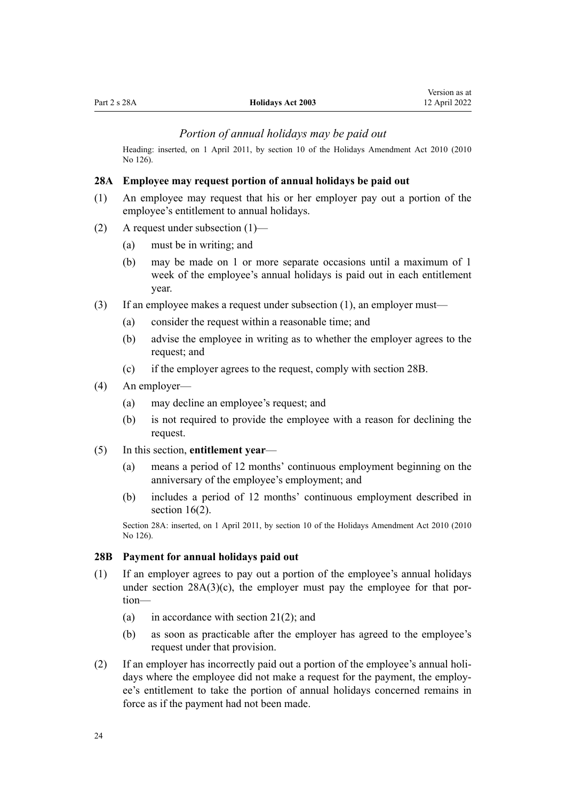#### *Portion of annual holidays may be paid out*

<span id="page-23-0"></span>Heading: inserted, on 1 April 2011, by [section 10](http://legislation.govt.nz/pdflink.aspx?id=DLM3172335) of the Holidays Amendment Act 2010 (2010 No 126).

#### **28A Employee may request portion of annual holidays be paid out**

- (1) An employee may request that his or her employer pay out a portion of the employee's entitlement to annual holidays.
- (2) A request under subsection (1)—
	- (a) must be in writing; and
	- (b) may be made on 1 or more separate occasions until a maximum of 1 week of the employee's annual holidays is paid out in each entitlement year.
- (3) If an employee makes a request under subsection (1), an employer must—
	- (a) consider the request within a reasonable time; and
	- (b) advise the employee in writing as to whether the employer agrees to the request; and
	- (c) if the employer agrees to the request, comply with section 28B.
- (4) An employer—
	- (a) may decline an employee's request; and
	- (b) is not required to provide the employee with a reason for declining the request.
- (5) In this section, **entitlement year**
	- (a) means a period of 12 months' continuous employment beginning on the anniversary of the employee's employment; and
	- (b) includes a period of 12 months' continuous employment described in [section 16\(2\).](#page-17-0)

Section 28A: inserted, on 1 April 2011, by [section 10](http://legislation.govt.nz/pdflink.aspx?id=DLM3172335) of the Holidays Amendment Act 2010 (2010 No 126).

#### **28B Payment for annual holidays paid out**

- (1) If an employer agrees to pay out a portion of the employee's annual holidays under section  $28A(3)(c)$ , the employer must pay the employee for that portion—
	- (a) in accordance with section  $21(2)$ ; and
	- (b) as soon as practicable after the employer has agreed to the employee's request under that provision.
- (2) If an employer has incorrectly paid out a portion of the employee's annual holi‐ days where the employee did not make a request for the payment, the employee's entitlement to take the portion of annual holidays concerned remains in force as if the payment had not been made.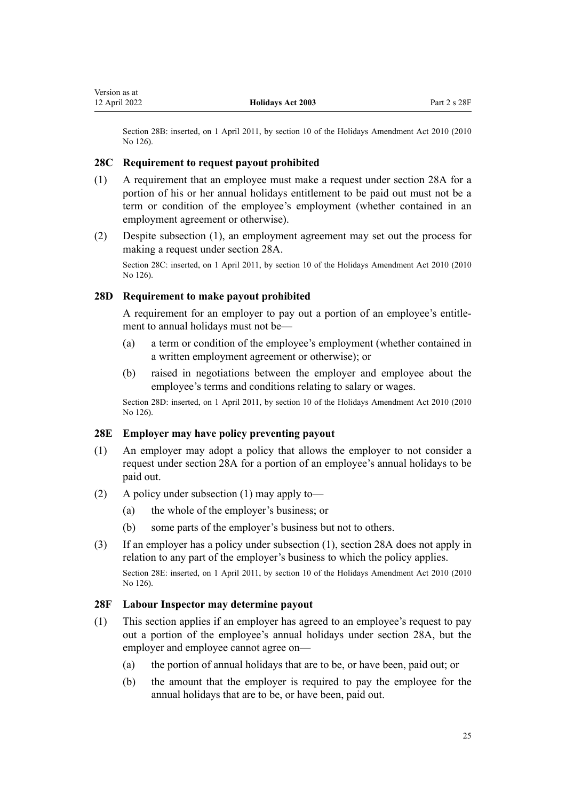<span id="page-24-0"></span>Section 28B: inserted, on 1 April 2011, by [section 10](http://legislation.govt.nz/pdflink.aspx?id=DLM3172335) of the Holidays Amendment Act 2010 (2010 No 126).

## **28C Requirement to request payout prohibited**

- (1) A requirement that an employee must make a request under [section 28A](#page-23-0) for a portion of his or her annual holidays entitlement to be paid out must not be a term or condition of the employee's employment (whether contained in an employment agreement or otherwise).
- (2) Despite subsection (1), an employment agreement may set out the process for making a request under [section 28A.](#page-23-0)

Section 28C: inserted, on 1 April 2011, by [section 10](http://legislation.govt.nz/pdflink.aspx?id=DLM3172335) of the Holidays Amendment Act 2010 (2010 No 126).

## **28D Requirement to make payout prohibited**

A requirement for an employer to pay out a portion of an employee's entitle‐ ment to annual holidays must not be—

- (a) a term or condition of the employee's employment (whether contained in a written employment agreement or otherwise); or
- (b) raised in negotiations between the employer and employee about the employee's terms and conditions relating to salary or wages.

Section 28D: inserted, on 1 April 2011, by [section 10](http://legislation.govt.nz/pdflink.aspx?id=DLM3172335) of the Holidays Amendment Act 2010 (2010 No 126).

#### **28E Employer may have policy preventing payout**

- (1) An employer may adopt a policy that allows the employer to not consider a request under [section 28A](#page-23-0) for a portion of an employee's annual holidays to be paid out.
- (2) A policy under subsection (1) may apply to—
	- (a) the whole of the employer's business; or
	- (b) some parts of the employer's business but not to others.
- (3) If an employer has a policy under subsection (1), [section 28A](#page-23-0) does not apply in relation to any part of the employer's business to which the policy applies. Section 28E: inserted, on 1 April 2011, by [section 10](http://legislation.govt.nz/pdflink.aspx?id=DLM3172335) of the Holidays Amendment Act 2010 (2010 No 126).

#### **28F Labour Inspector may determine payout**

- (1) This section applies if an employer has agreed to an employee's request to pay out a portion of the employee's annual holidays under [section 28A,](#page-23-0) but the employer and employee cannot agree on—
	- (a) the portion of annual holidays that are to be, or have been, paid out; or
	- (b) the amount that the employer is required to pay the employee for the annual holidays that are to be, or have been, paid out.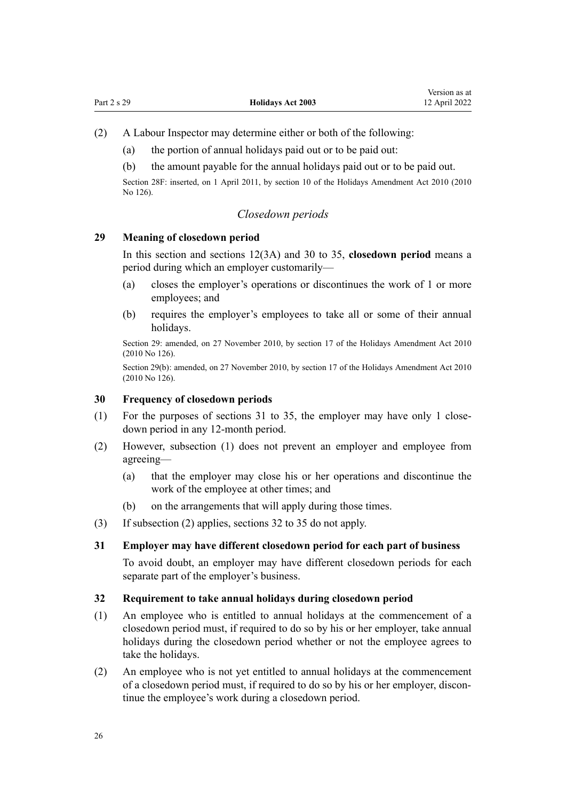<span id="page-25-0"></span>(2) A Labour Inspector may determine either or both of the following:

- (a) the portion of annual holidays paid out or to be paid out:
- (b) the amount payable for the annual holidays paid out or to be paid out.

Section 28F: inserted, on 1 April 2011, by [section 10](http://legislation.govt.nz/pdflink.aspx?id=DLM3172335) of the Holidays Amendment Act 2010 (2010 No 126).

## *Closedown periods*

#### **29 Meaning of closedown period**

In this section and [sections 12\(3A\)](#page-14-0) and 30 to 35, **closedown period** means a period during which an employer customarily—

- (a) closes the employer's operations or discontinues the work of 1 or more employees; and
- (b) requires the employer's employees to take all or some of their annual holidays.

Section 29: amended, on 27 November 2010, by [section 17](http://legislation.govt.nz/pdflink.aspx?id=DLM3172354) of the Holidays Amendment Act 2010 (2010 No 126).

Section 29(b): amended, on 27 November 2010, by [section 17](http://legislation.govt.nz/pdflink.aspx?id=DLM3172354) of the Holidays Amendment Act 2010 (2010 No 126).

## **30 Frequency of closedown periods**

- (1) For the purposes of sections 31 to 35, the employer may have only 1 closedown period in any 12-month period.
- (2) However, subsection (1) does not prevent an employer and employee from agreeing—
	- (a) that the employer may close his or her operations and discontinue the work of the employee at other times; and
	- (b) on the arrangements that will apply during those times.
- (3) If subsection (2) applies, sections 32 to 35 do not apply.

#### **31 Employer may have different closedown period for each part of business**

To avoid doubt, an employer may have different closedown periods for each separate part of the employer's business.

#### **32 Requirement to take annual holidays during closedown period**

- (1) An employee who is entitled to annual holidays at the commencement of a closedown period must, if required to do so by his or her employer, take annual holidays during the closedown period whether or not the employee agrees to take the holidays.
- (2) An employee who is not yet entitled to annual holidays at the commencement of a closedown period must, if required to do so by his or her employer, discon‐ tinue the employee's work during a closedown period.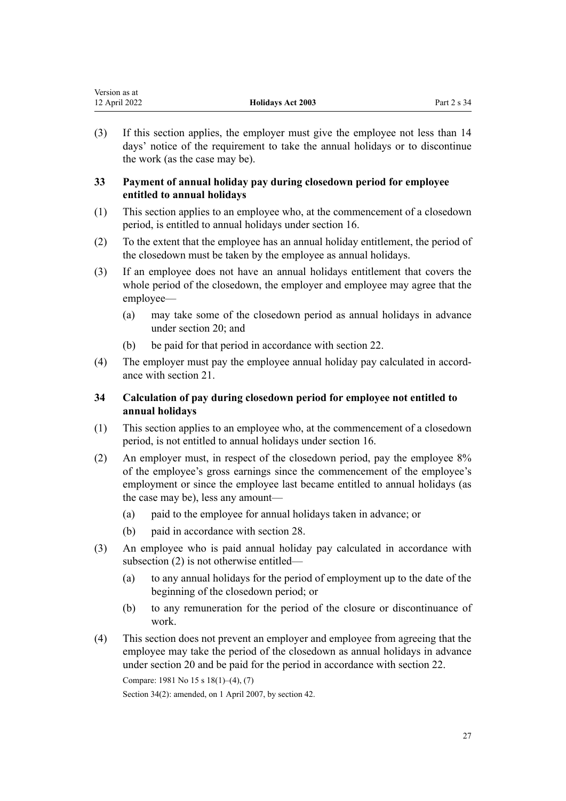<span id="page-26-0"></span>

| Version as at |                          |             |
|---------------|--------------------------|-------------|
| 12 April 2022 | <b>Holidays Act 2003</b> | Part 2 s 34 |

(3) If this section applies, the employer must give the employee not less than 14 days' notice of the requirement to take the annual holidays or to discontinue the work (as the case may be).

## **33 Payment of annual holiday pay during closedown period for employee entitled to annual holidays**

- (1) This section applies to an employee who, at the commencement of a closedown period, is entitled to annual holidays under [section 16](#page-17-0).
- (2) To the extent that the employee has an annual holiday entitlement, the period of the closedown must be taken by the employee as annual holidays.
- (3) If an employee does not have an annual holidays entitlement that covers the whole period of the closedown, the employer and employee may agree that the employee—
	- (a) may take some of the closedown period as annual holidays in advance under [section 20](#page-19-0); and
	- (b) be paid for that period in accordance with [section 22.](#page-20-0)
- (4) The employer must pay the employee annual holiday pay calculated in accord‐ ance with [section 21](#page-19-0).

## **34 Calculation of pay during closedown period for employee not entitled to annual holidays**

- (1) This section applies to an employee who, at the commencement of a closedown period, is not entitled to annual holidays under [section 16](#page-17-0).
- (2) An employer must, in respect of the closedown period, pay the employee 8% of the employee's gross earnings since the commencement of the employee's employment or since the employee last became entitled to annual holidays (as the case may be), less any amount—
	- (a) paid to the employee for annual holidays taken in advance; or
	- (b) paid in accordance with [section 28.](#page-22-0)
- (3) An employee who is paid annual holiday pay calculated in accordance with subsection (2) is not otherwise entitled—
	- (a) to any annual holidays for the period of employment up to the date of the beginning of the closedown period; or
	- (b) to any remuneration for the period of the closure or discontinuance of work.
- (4) This section does not prevent an employer and employee from agreeing that the employee may take the period of the closedown as annual holidays in advance under [section 20](#page-19-0) and be paid for the period in accordance with [section 22](#page-20-0).

```
Compare: 1981 No 15 s 18(1)–(4), (7)
```
Section 34(2): amended, on 1 April 2007, by [section 42](#page-30-0).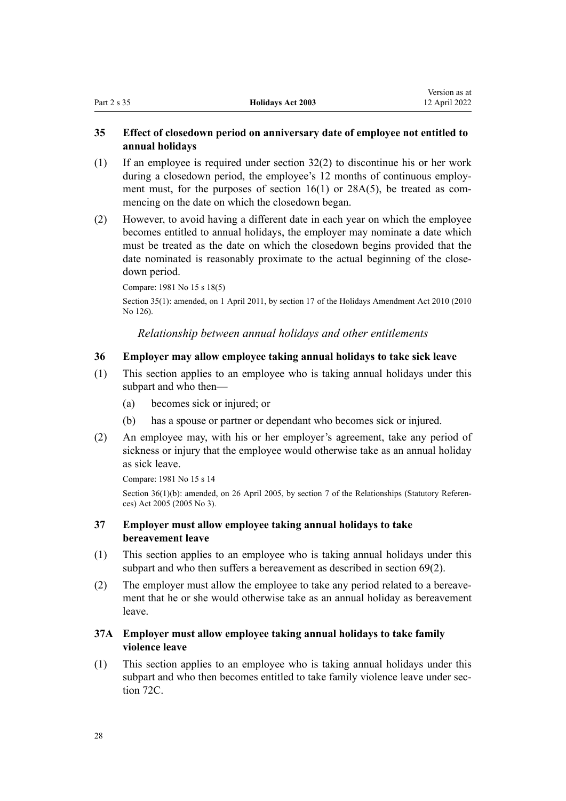Version as at

## <span id="page-27-0"></span>**35 Effect of closedown period on anniversary date of employee not entitled to annual holidays**

- $(1)$  If an employee is required under [section 32\(2\)](#page-25-0) to discontinue his or her work during a closedown period, the employee's 12 months of continuous employment must, for the purposes of section  $16(1)$  or  $28A(5)$ , be treated as commencing on the date on which the closedown began.
- (2) However, to avoid having a different date in each year on which the employee becomes entitled to annual holidays, the employer may nominate a date which must be treated as the date on which the closedown begins provided that the date nominated is reasonably proximate to the actual beginning of the closedown period.

Compare: 1981 No 15 s 18(5) Section 35(1): amended, on 1 April 2011, by [section 17](http://legislation.govt.nz/pdflink.aspx?id=DLM3172354) of the Holidays Amendment Act 2010 (2010 No 126).

*Relationship between annual holidays and other entitlements*

## **36 Employer may allow employee taking annual holidays to take sick leave**

- (1) This section applies to an employee who is taking annual holidays under this subpart and who then—
	- (a) becomes sick or injured; or
	- (b) has a spouse or partner or dependant who becomes sick or injured.
- (2) An employee may, with his or her employer's agreement, take any period of sickness or injury that the employee would otherwise take as an annual holiday as sick leave.

```
Compare: 1981 No 15 s 14
```
Section 36(1)(b): amended, on 26 April 2005, by [section 7](http://legislation.govt.nz/pdflink.aspx?id=DLM333795) of the Relationships (Statutory References) Act 2005 (2005 No 3).

## **37 Employer must allow employee taking annual holidays to take bereavement leave**

- (1) This section applies to an employee who is taking annual holidays under this subpart and who then suffers a bereavement as described in [section 69\(2\).](#page-44-0)
- (2) The employer must allow the employee to take any period related to a bereave‐ ment that he or she would otherwise take as an annual holiday as bereavement leave.

## **37A Employer must allow employee taking annual holidays to take family violence leave**

(1) This section applies to an employee who is taking annual holidays under this subpart and who then becomes entitled to take family violence leave under sec[tion 72C](#page-48-0).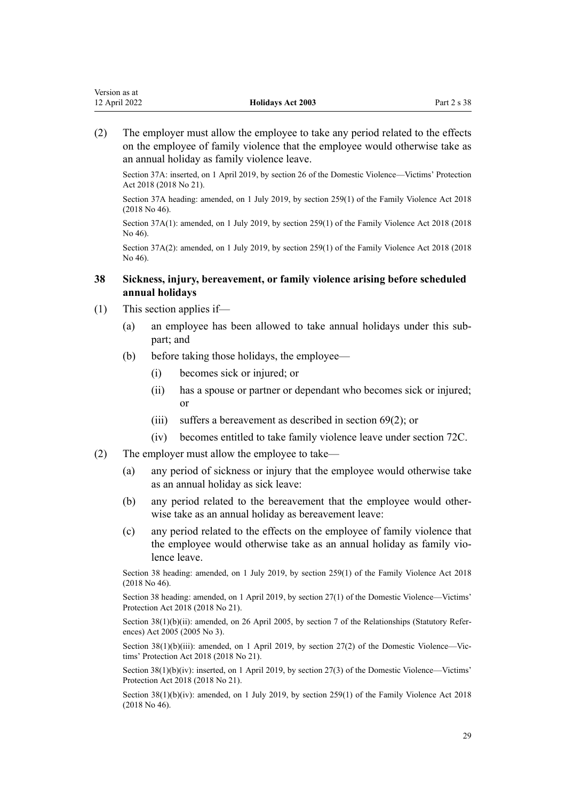<span id="page-28-0"></span>(2) The employer must allow the employee to take any period related to the effects on the employee of family violence that the employee would otherwise take as an annual holiday as family violence leave.

Section 37A: inserted, on 1 April 2019, by [section 26](http://legislation.govt.nz/pdflink.aspx?id=LMS50977) of the Domestic Violence—Victims' Protection Act 2018 (2018 No 21).

Section 37A heading: amended, on 1 July 2019, by [section 259\(1\)](http://legislation.govt.nz/pdflink.aspx?id=LMS113400) of the Family Violence Act 2018 (2018 No 46).

Section 37A(1): amended, on 1 July 2019, by [section 259\(1\)](http://legislation.govt.nz/pdflink.aspx?id=LMS113400) of the Family Violence Act 2018 (2018 No 46).

Section 37A(2): amended, on 1 July 2019, by [section 259\(1\)](http://legislation.govt.nz/pdflink.aspx?id=LMS113400) of the Family Violence Act 2018 (2018 No 46).

## **38 Sickness, injury, bereavement, or family violence arising before scheduled annual holidays**

- (1) This section applies if—
	- (a) an employee has been allowed to take annual holidays under this sub‐ part; and
	- (b) before taking those holidays, the employee—
		- (i) becomes sick or injured; or
		- (ii) has a spouse or partner or dependant who becomes sick or injured; or
		- (iii) suffers a bereavement as described in [section 69\(2\)](#page-44-0); or
		- (iv) becomes entitled to take family violence leave under [section 72C](#page-48-0).
- (2) The employer must allow the employee to take—
	- (a) any period of sickness or injury that the employee would otherwise take as an annual holiday as sick leave:
	- (b) any period related to the bereavement that the employee would other‐ wise take as an annual holiday as bereavement leave:
	- (c) any period related to the effects on the employee of family violence that the employee would otherwise take as an annual holiday as family vio‐ lence leave.

Section 38 heading: amended, on 1 July 2019, by [section 259\(1\)](http://legislation.govt.nz/pdflink.aspx?id=LMS113400) of the Family Violence Act 2018 (2018 No 46).

Section 38 heading: amended, on 1 April 2019, by [section 27\(1\)](http://legislation.govt.nz/pdflink.aspx?id=LMS50978) of the Domestic Violence—Victims' Protection Act 2018 (2018 No 21).

Section 38(1)(b)(ii): amended, on 26 April 2005, by [section 7](http://legislation.govt.nz/pdflink.aspx?id=DLM333795) of the Relationships (Statutory References) Act 2005 (2005 No 3).

Section 38(1)(b)(iii): amended, on 1 April 2019, by [section 27\(2\)](http://legislation.govt.nz/pdflink.aspx?id=LMS50978) of the Domestic Violence—Victims' Protection Act 2018 (2018 No 21).

Section 38(1)(b)(iv): inserted, on 1 April 2019, by [section 27\(3\)](http://legislation.govt.nz/pdflink.aspx?id=LMS50978) of the Domestic Violence—Victims' Protection Act 2018 (2018 No 21).

Section 38(1)(b)(iv): amended, on 1 July 2019, by [section 259\(1\)](http://legislation.govt.nz/pdflink.aspx?id=LMS113400) of the Family Violence Act 2018 (2018 No 46).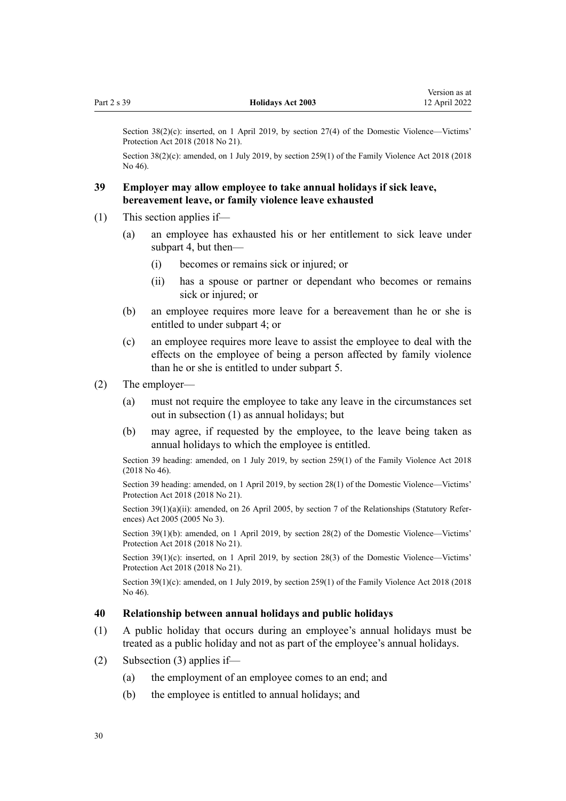<span id="page-29-0"></span>

| Part |  | 0 |  |
|------|--|---|--|

Section  $38(2)(c)$ : inserted, on 1 April 2019, by [section 27\(4\)](http://legislation.govt.nz/pdflink.aspx?id=LMS50978) of the Domestic Violence—Victims' Protection Act 2018 (2018 No 21).

Section 38(2)(c): amended, on 1 July 2019, by [section 259\(1\)](http://legislation.govt.nz/pdflink.aspx?id=LMS113400) of the Family Violence Act 2018 (2018) No 46).

#### **39 Employer may allow employee to take annual holidays if sick leave, bereavement leave, or family violence leave exhausted**

- (1) This section applies if—
	- (a) an employee has exhausted his or her entitlement to sick leave under [subpart 4,](#page-42-0) but then—
		- (i) becomes or remains sick or injured; or
		- (ii) has a spouse or partner or dependant who becomes or remains sick or injured; or
	- (b) an employee requires more leave for a bereavement than he or she is entitled to under [subpart 4;](#page-42-0) or
	- (c) an employee requires more leave to assist the employee to deal with the effects on the employee of being a person affected by family violence than he or she is entitled to under [subpart 5.](#page-47-0)
- (2) The employer—
	- (a) must not require the employee to take any leave in the circumstances set out in subsection (1) as annual holidays; but
	- (b) may agree, if requested by the employee, to the leave being taken as annual holidays to which the employee is entitled.

Section 39 heading: amended, on 1 July 2019, by [section 259\(1\)](http://legislation.govt.nz/pdflink.aspx?id=LMS113400) of the Family Violence Act 2018 (2018 No 46).

Section 39 heading: amended, on 1 April 2019, by [section 28\(1\)](http://legislation.govt.nz/pdflink.aspx?id=LMS50979) of the Domestic Violence—Victims' Protection Act 2018 (2018 No 21).

Section 39(1)(a)(ii): amended, on 26 April 2005, by [section 7](http://legislation.govt.nz/pdflink.aspx?id=DLM333795) of the Relationships (Statutory References) Act 2005 (2005 No 3).

Section 39(1)(b): amended, on 1 April 2019, by [section 28\(2\)](http://legislation.govt.nz/pdflink.aspx?id=LMS50979) of the Domestic Violence—Victims' Protection Act 2018 (2018 No 21).

Section 39(1)(c): inserted, on 1 April 2019, by [section 28\(3\)](http://legislation.govt.nz/pdflink.aspx?id=LMS50979) of the Domestic Violence—Victims' Protection Act 2018 (2018 No 21).

Section 39(1)(c): amended, on 1 July 2019, by [section 259\(1\)](http://legislation.govt.nz/pdflink.aspx?id=LMS113400) of the Family Violence Act 2018 (2018 No 46).

#### **40 Relationship between annual holidays and public holidays**

- (1) A public holiday that occurs during an employee's annual holidays must be treated as a public holiday and not as part of the employee's annual holidays.
- (2) Subsection (3) applies if—
	- (a) the employment of an employee comes to an end; and
	- (b) the employee is entitled to annual holidays; and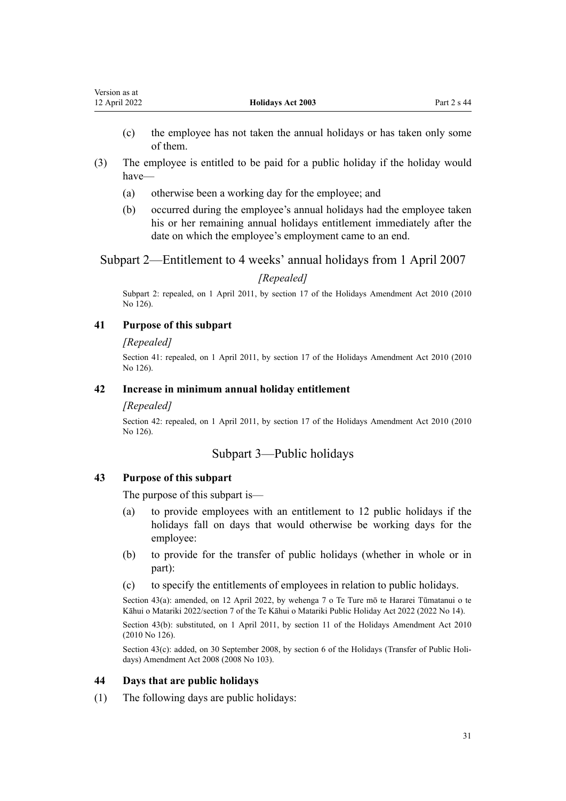- <span id="page-30-0"></span>(c) the employee has not taken the annual holidays or has taken only some of them.
- (3) The employee is entitled to be paid for a public holiday if the holiday would have—
	- (a) otherwise been a working day for the employee; and
	- (b) occurred during the employee's annual holidays had the employee taken his or her remaining annual holidays entitlement immediately after the date on which the employee's employment came to an end.

Subpart 2—Entitlement to 4 weeks' annual holidays from 1 April 2007

#### *[Repealed]*

Subpart 2: repealed, on 1 April 2011, by [section 17](http://legislation.govt.nz/pdflink.aspx?id=DLM3172354) of the Holidays Amendment Act 2010 (2010 No 126).

#### **41 Purpose of this subpart**

#### *[Repealed]*

Section 41: repealed, on 1 April 2011, by [section 17](http://legislation.govt.nz/pdflink.aspx?id=DLM3172354) of the Holidays Amendment Act 2010 (2010 No 126).

#### **42 Increase in minimum annual holiday entitlement**

#### *[Repealed]*

Section 42: repealed, on 1 April 2011, by [section 17](http://legislation.govt.nz/pdflink.aspx?id=DLM3172354) of the Holidays Amendment Act 2010 (2010 No 126).

## Subpart 3—Public holidays

#### **43 Purpose of this subpart**

The purpose of this subpart is—

- (a) to provide employees with an entitlement to 12 public holidays if the holidays fall on days that would otherwise be working days for the employee:
- (b) to provide for the transfer of public holidays (whether in whole or in part):
- (c) to specify the entitlements of employees in relation to public holidays.

Section 43(a): amended, on 12 April 2022, by [wehenga 7](http://legislation.govt.nz/pdflink.aspx?id=LMS557838) o Te Ture mō te Hararei Tūmatanui o te Kāhui o Matariki 2022/[section 7](http://legislation.govt.nz/pdflink.aspx?id=LMS557848) of the Te Kāhui o Matariki Public Holiday Act 2022 (2022 No 14).

Section 43(b): substituted, on 1 April 2011, by [section 11](http://legislation.govt.nz/pdflink.aspx?id=DLM3172344) of the Holidays Amendment Act 2010 (2010 No 126).

Section 43(c): added, on 30 September 2008, by [section 6](http://legislation.govt.nz/pdflink.aspx?id=DLM1242417) of the Holidays (Transfer of Public Holidays) Amendment Act 2008 (2008 No 103).

## **44 Days that are public holidays**

(1) The following days are public holidays: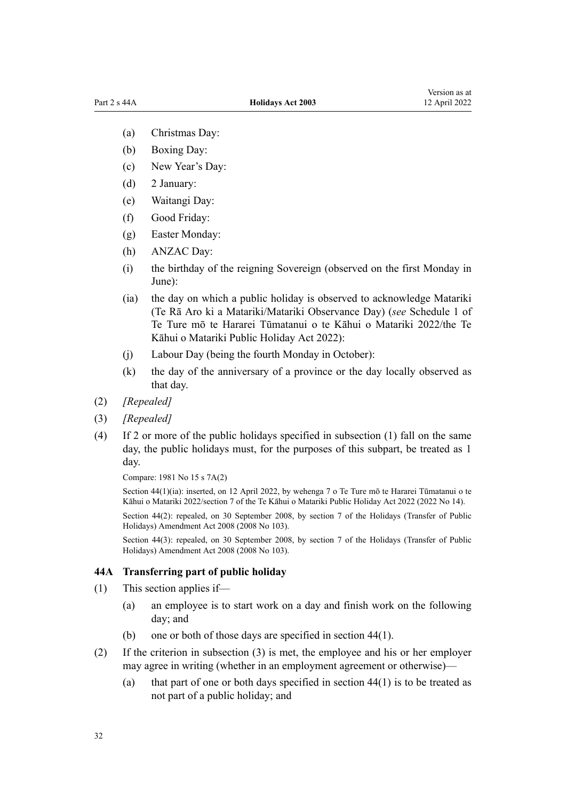- <span id="page-31-0"></span>(a) Christmas Day:
- (b) Boxing Day:
- (c) New Year's Day:
- (d) 2 January:
- (e) Waitangi Day:
- (f) Good Friday:
- (g) Easter Monday:
- (h) ANZAC Day:
- (i) the birthday of the reigning Sovereign (observed on the first Monday in June):
- (ia) the day on which a public holiday is observed to acknowledge Matariki (Te Rā Aro ki a Matariki/Matariki Observance Day) (*see* [Schedule 1](http://legislation.govt.nz/pdflink.aspx?id=LMS557893) of Te Ture mō te Hararei Tūmatanui o te Kāhui o Matariki 2022/the Te Kāhui o Matariki Public Holiday Act 2022):
- (j) Labour Day (being the fourth Monday in October):
- (k) the day of the anniversary of a province or the day locally observed as that day.
- (2) *[Repealed]*
- (3) *[Repealed]*
- (4) If 2 or more of the public holidays specified in subsection (1) fall on the same day, the public holidays must, for the purposes of this subpart, be treated as 1 day.

Compare: 1981 No 15 s 7A(2)

Section 44(1)(ia): inserted, on 12 April 2022, by [wehenga 7](http://legislation.govt.nz/pdflink.aspx?id=LMS557838) o Te Ture mō te Hararei Tūmatanui o te Kāhui o Matariki 2022/[section 7](http://legislation.govt.nz/pdflink.aspx?id=LMS557848) of the Te Kāhui o Matariki Public Holiday Act 2022 (2022 No 14).

Section 44(2): repealed, on 30 September 2008, by [section 7](http://legislation.govt.nz/pdflink.aspx?id=DLM1242418) of the Holidays (Transfer of Public Holidays) Amendment Act 2008 (2008 No 103).

Section 44(3): repealed, on 30 September 2008, by [section 7](http://legislation.govt.nz/pdflink.aspx?id=DLM1242418) of the Holidays (Transfer of Public Holidays) Amendment Act 2008 (2008 No 103).

#### **44A Transferring part of public holiday**

- (1) This section applies if—
	- (a) an employee is to start work on a day and finish work on the following day; and
	- (b) one or both of those days are specified in [section 44\(1\)](#page-30-0).
- (2) If the criterion in subsection (3) is met, the employee and his or her employer may agree in writing (whether in an employment agreement or otherwise)—
	- (a) that part of one or both days specified in section  $44(1)$  is to be treated as not part of a public holiday; and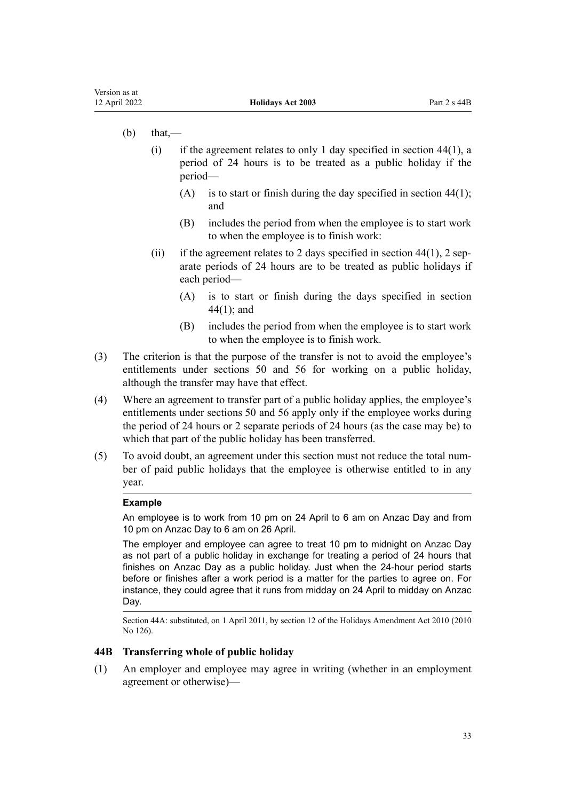- <span id="page-32-0"></span> $(b)$  that,—
	- (i) if the agreement relates to only 1 day specified in section  $44(1)$ , a period of 24 hours is to be treated as a public holiday if the period—
		- (A) is to start or finish during the day specified in section  $44(1)$ ; and
		- (B) includes the period from when the employee is to start work to when the employee is to finish work:
	- (ii) if the agreement relates to 2 days specified in section  $44(1)$ , 2 separate periods of 24 hours are to be treated as public holidays if each period—
		- (A) is to start or finish during the days specified in [section](#page-30-0) [44\(1\)](#page-30-0); and
		- (B) includes the period from when the employee is to start work to when the employee is to finish work.
- (3) The criterion is that the purpose of the transfer is not to avoid the employee's entitlements under [sections 50](#page-36-0) and [56](#page-38-0) for working on a public holiday, although the transfer may have that effect.
- (4) Where an agreement to transfer part of a public holiday applies, the employee's entitlements under [sections 50](#page-36-0) and [56](#page-38-0) apply only if the employee works during the period of 24 hours or 2 separate periods of 24 hours (as the case may be) to which that part of the public holiday has been transferred.
- (5) To avoid doubt, an agreement under this section must not reduce the total num‐ ber of paid public holidays that the employee is otherwise entitled to in any year.

#### **Example**

An employee is to work from 10 pm on 24 April to 6 am on Anzac Day and from 10 pm on Anzac Day to 6 am on 26 April.

The employer and employee can agree to treat 10 pm to midnight on Anzac Day as not part of a public holiday in exchange for treating a period of 24 hours that finishes on Anzac Day as a public holiday. Just when the 24-hour period starts before or finishes after a work period is a matter for the parties to agree on. For instance, they could agree that it runs from midday on 24 April to midday on Anzac Day.

Section 44A: substituted, on 1 April 2011, by [section 12](http://legislation.govt.nz/pdflink.aspx?id=DLM3172345) of the Holidays Amendment Act 2010 (2010 No 126).

#### **44B Transferring whole of public holiday**

(1) An employer and employee may agree in writing (whether in an employment agreement or otherwise)—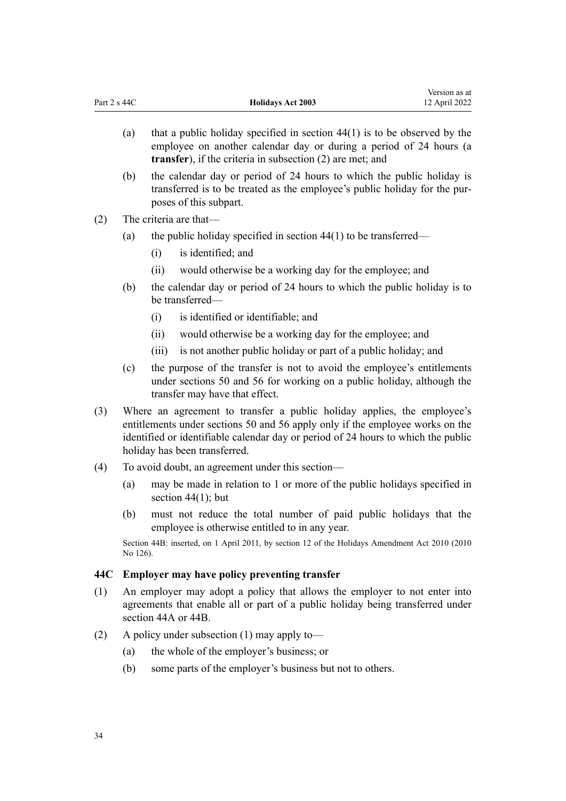<span id="page-33-0"></span>

| Part $2s$ 44C | <b>Holidays Act 2003</b>                                                                                                                                                                                       | 12 April 2022 |
|---------------|----------------------------------------------------------------------------------------------------------------------------------------------------------------------------------------------------------------|---------------|
| (a)           | that a public holiday specified in section $44(1)$ is to be observed by the<br>employee on another calendar day or during a period of 24 hours (a<br>transfer), if the criteria in subsection (2) are met; and |               |

(b) the calendar day or period of 24 hours to which the public holiday is transferred is to be treated as the employee's public holiday for the pur‐ poses of this subpart.

Version as at

- (2) The criteria are that—
	- (a) the public holiday specified in section  $44(1)$  to be transferred—
		- (i) is identified; and
		- (ii) would otherwise be a working day for the employee; and
	- (b) the calendar day or period of 24 hours to which the public holiday is to be transferred—
		- (i) is identified or identifiable; and
		- (ii) would otherwise be a working day for the employee; and
		- (iii) is not another public holiday or part of a public holiday; and
	- (c) the purpose of the transfer is not to avoid the employee's entitlements under sections 50 and 56 for working on a public holiday, although the transfer may have that effect.
- (3) Where an agreement to transfer a public holiday applies, the employee's entitlements under [sections 50](#page-36-0) and [56](#page-38-0) apply only if the employee works on the identified or identifiable calendar day or period of 24 hours to which the public holiday has been transferred.
- (4) To avoid doubt, an agreement under this section—
	- (a) may be made in relation to 1 or more of the public holidays specified in [section 44\(1\);](#page-30-0) but
	- (b) must not reduce the total number of paid public holidays that the employee is otherwise entitled to in any year.

Section 44B: inserted, on 1 April 2011, by [section 12](http://legislation.govt.nz/pdflink.aspx?id=DLM3172345) of the Holidays Amendment Act 2010 (2010 No 126).

#### **44C Employer may have policy preventing transfer**

- (1) An employer may adopt a policy that allows the employer to not enter into agreements that enable all or part of a public holiday being transferred under [section 44A](#page-31-0) or [44B.](#page-32-0)
- (2) A policy under subsection (1) may apply to—
	- (a) the whole of the employer's business; or
	- (b) some parts of the employer's business but not to others.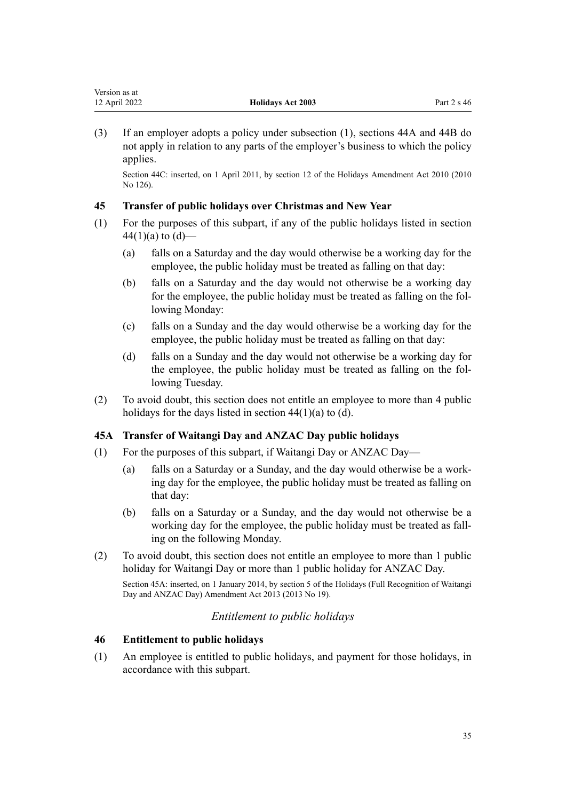<span id="page-34-0"></span>(3) If an employer adopts a policy under subsection (1), [sections 44A](#page-31-0) and [44B](#page-32-0) do not apply in relation to any parts of the employer's business to which the policy applies.

Section 44C: inserted, on 1 April 2011, by [section 12](http://legislation.govt.nz/pdflink.aspx?id=DLM3172345) of the Holidays Amendment Act 2010 (2010 No 126).

## **45 Transfer of public holidays over Christmas and New Year**

- (1) For the purposes of this subpart, if any of the public holidays listed in [section](#page-30-0) 44(1)(a) to  $(d)$ —
	- (a) falls on a Saturday and the day would otherwise be a working day for the employee, the public holiday must be treated as falling on that day:
	- (b) falls on a Saturday and the day would not otherwise be a working day for the employee, the public holiday must be treated as falling on the fol‐ lowing Monday:
	- (c) falls on a Sunday and the day would otherwise be a working day for the employee, the public holiday must be treated as falling on that day:
	- (d) falls on a Sunday and the day would not otherwise be a working day for the employee, the public holiday must be treated as falling on the fol‐ lowing Tuesday.
- (2) To avoid doubt, this section does not entitle an employee to more than 4 public holidays for the days listed in section  $44(1)(a)$  to (d).

## **45A Transfer of Waitangi Day and ANZAC Day public holidays**

- (1) For the purposes of this subpart, if Waitangi Day or ANZAC Day—
	- (a) falls on a Saturday or a Sunday, and the day would otherwise be a work‐ ing day for the employee, the public holiday must be treated as falling on that day:
	- (b) falls on a Saturday or a Sunday, and the day would not otherwise be a working day for the employee, the public holiday must be treated as falling on the following Monday.
- (2) To avoid doubt, this section does not entitle an employee to more than 1 public holiday for Waitangi Day or more than 1 public holiday for ANZAC Day.

Section 45A: inserted, on 1 January 2014, by [section 5](http://legislation.govt.nz/pdflink.aspx?id=DLM4274709) of the Holidays (Full Recognition of Waitangi Day and ANZAC Day) Amendment Act 2013 (2013 No 19).

## *Entitlement to public holidays*

## **46 Entitlement to public holidays**

(1) An employee is entitled to public holidays, and payment for those holidays, in accordance with this subpart.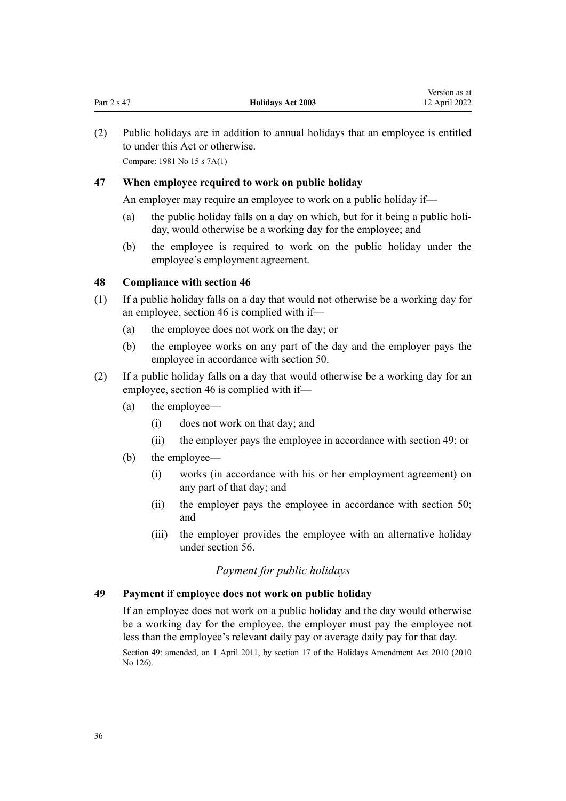Version as at

<span id="page-35-0"></span>(2) Public holidays are in addition to annual holidays that an employee is entitled to under this Act or otherwise. Compare: 1981 No 15 s 7A(1)

## **47 When employee required to work on public holiday**

An employer may require an employee to work on a public holiday if—

- (a) the public holiday falls on a day on which, but for it being a public holiday, would otherwise be a working day for the employee; and
- (b) the employee is required to work on the public holiday under the employee's employment agreement.

#### **48 Compliance with section 46**

- (1) If a public holiday falls on a day that would not otherwise be a working day for an employee, [section 46](#page-34-0) is complied with if—
	- (a) the employee does not work on the day; or
	- (b) the employee works on any part of the day and the employer pays the employee in accordance with [section 50](#page-36-0).
- (2) If a public holiday falls on a day that would otherwise be a working day for an employee, [section 46](#page-34-0) is complied with if—
	- (a) the employee—
		- (i) does not work on that day; and
		- (ii) the employer pays the employee in accordance with section 49; or
	- (b) the employee—
		- (i) works (in accordance with his or her employment agreement) on any part of that day; and
		- (ii) the employer pays the employee in accordance with [section 50;](#page-36-0) and
		- (iii) the employer provides the employee with an alternative holiday under [section 56](#page-38-0).

## *Payment for public holidays*

### **49 Payment if employee does not work on public holiday**

If an employee does not work on a public holiday and the day would otherwise be a working day for the employee, the employer must pay the employee not less than the employee's relevant daily pay or average daily pay for that day.

Section 49: amended, on 1 April 2011, by [section 17](http://legislation.govt.nz/pdflink.aspx?id=DLM3172354) of the Holidays Amendment Act 2010 (2010 No 126).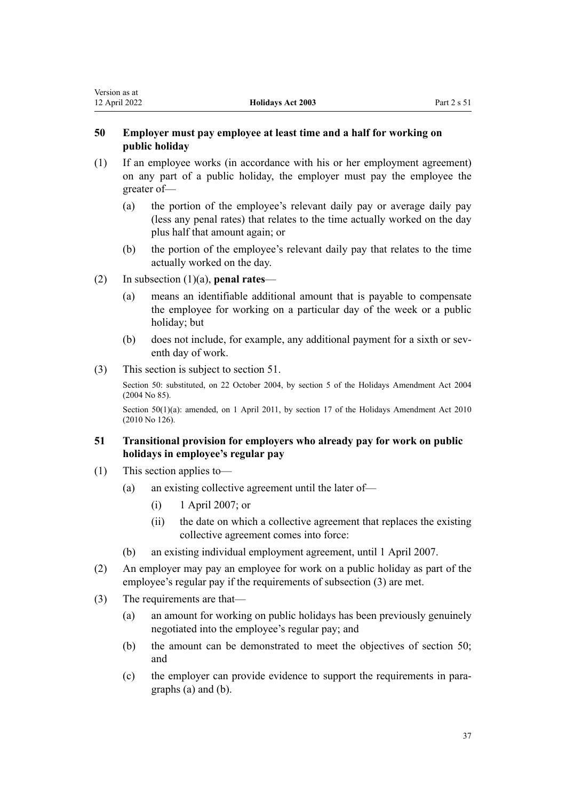## <span id="page-36-0"></span>**50 Employer must pay employee at least time and a half for working on public holiday**

- (1) If an employee works (in accordance with his or her employment agreement) on any part of a public holiday, the employer must pay the employee the greater of—
	- (a) the portion of the employee's relevant daily pay or average daily pay (less any penal rates) that relates to the time actually worked on the day plus half that amount again; or
	- (b) the portion of the employee's relevant daily pay that relates to the time actually worked on the day.
- (2) In subsection (1)(a), **penal rates**
	- (a) means an identifiable additional amount that is payable to compensate the employee for working on a particular day of the week or a public holiday; but
	- (b) does not include, for example, any additional payment for a sixth or seventh day of work.
- (3) This section is subject to section 51.

Section 50: substituted, on 22 October 2004, by [section 5](http://legislation.govt.nz/pdflink.aspx?id=DLM315694) of the Holidays Amendment Act 2004 (2004 No 85).

Section 50(1)(a): amended, on 1 April 2011, by [section 17](http://legislation.govt.nz/pdflink.aspx?id=DLM3172354) of the Holidays Amendment Act 2010 (2010 No 126).

## **51 Transitional provision for employers who already pay for work on public holidays in employee's regular pay**

- (1) This section applies to—
	- (a) an existing collective agreement until the later of—
		- (i) 1 April 2007; or
		- (ii) the date on which a collective agreement that replaces the existing collective agreement comes into force:
	- (b) an existing individual employment agreement, until 1 April 2007.
- (2) An employer may pay an employee for work on a public holiday as part of the employee's regular pay if the requirements of subsection (3) are met.
- (3) The requirements are that—
	- (a) an amount for working on public holidays has been previously genuinely negotiated into the employee's regular pay; and
	- (b) the amount can be demonstrated to meet the objectives of section 50; and
	- (c) the employer can provide evidence to support the requirements in para‐ graphs (a) and (b).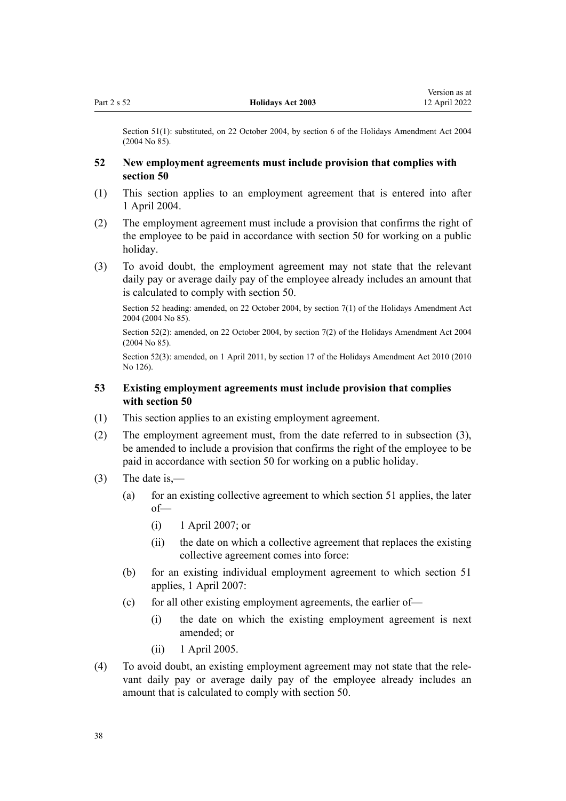<span id="page-37-0"></span>Section 51(1): substituted, on 22 October 2004, by [section 6](http://legislation.govt.nz/pdflink.aspx?id=DLM315697) of the Holidays Amendment Act 2004 (2004 No 85).

## **52 New employment agreements must include provision that complies with section 50**

- (1) This section applies to an employment agreement that is entered into after 1 April 2004.
- (2) The employment agreement must include a provision that confirms the right of the employee to be paid in accordance with [section 50](#page-36-0) for working on a public holiday.
- (3) To avoid doubt, the employment agreement may not state that the relevant daily pay or average daily pay of the employee already includes an amount that is calculated to comply with [section 50.](#page-36-0)

Section 52 heading: amended, on 22 October 2004, by [section 7\(1\)](http://legislation.govt.nz/pdflink.aspx?id=DLM315698) of the Holidays Amendment Act 2004 (2004 No 85).

Section 52(2): amended, on 22 October 2004, by [section 7\(2\)](http://legislation.govt.nz/pdflink.aspx?id=DLM315698) of the Holidays Amendment Act 2004 (2004 No 85).

Section 52(3): amended, on 1 April 2011, by [section 17](http://legislation.govt.nz/pdflink.aspx?id=DLM3172354) of the Holidays Amendment Act 2010 (2010 No 126).

#### **53 Existing employment agreements must include provision that complies with section 50**

- (1) This section applies to an existing employment agreement.
- (2) The employment agreement must, from the date referred to in subsection (3), be amended to include a provision that confirms the right of the employee to be paid in accordance with [section 50](#page-36-0) for working on a public holiday.
- $(3)$  The date is,-
	- (a) for an existing collective agreement to which [section 51](#page-36-0) applies, the later of—
		- (i) 1 April 2007; or
		- (ii) the date on which a collective agreement that replaces the existing collective agreement comes into force:
	- (b) for an existing individual employment agreement to which [section 51](#page-36-0) applies, 1 April 2007:
	- (c) for all other existing employment agreements, the earlier of—
		- (i) the date on which the existing employment agreement is next amended; or
		- (ii) 1 April 2005.
- (4) To avoid doubt, an existing employment agreement may not state that the rele‐ vant daily pay or average daily pay of the employee already includes an amount that is calculated to comply with [section 50](#page-36-0).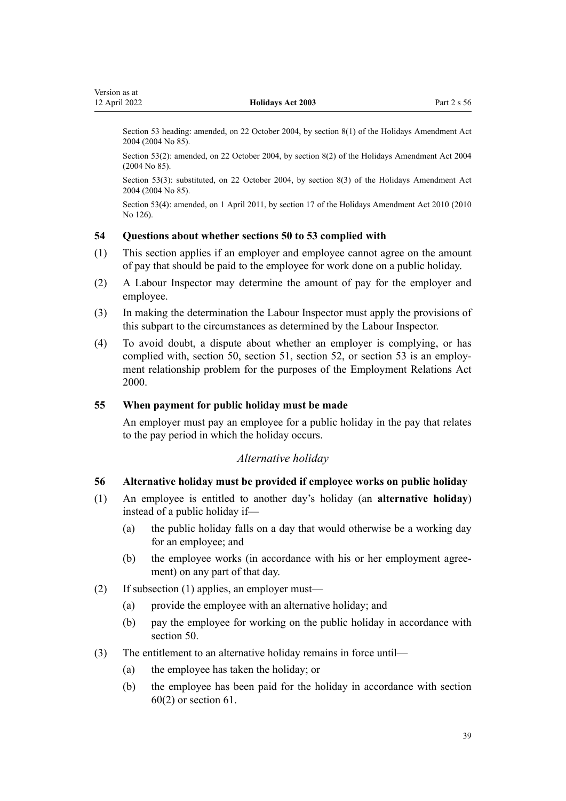<span id="page-38-0"></span>Section 53 heading: amended, on 22 October 2004, by [section 8\(1\)](http://legislation.govt.nz/pdflink.aspx?id=DLM315699) of the Holidays Amendment Act 2004 (2004 No 85).

Section 53(2): amended, on 22 October 2004, by [section 8\(2\)](http://legislation.govt.nz/pdflink.aspx?id=DLM315699) of the Holidays Amendment Act 2004 (2004 No 85).

Section 53(3): substituted, on 22 October 2004, by [section 8\(3\)](http://legislation.govt.nz/pdflink.aspx?id=DLM315699) of the Holidays Amendment Act 2004 (2004 No 85).

Section 53(4): amended, on 1 April 2011, by [section 17](http://legislation.govt.nz/pdflink.aspx?id=DLM3172354) of the Holidays Amendment Act 2010 (2010 No 126).

#### **54 Questions about whether sections 50 to 53 complied with**

- (1) This section applies if an employer and employee cannot agree on the amount of pay that should be paid to the employee for work done on a public holiday.
- (2) A Labour Inspector may determine the amount of pay for the employer and employee.
- (3) In making the determination the Labour Inspector must apply the provisions of this subpart to the circumstances as determined by the Labour Inspector.
- (4) To avoid doubt, a dispute about whether an employer is complying, or has complied with, [section 50,](#page-36-0) [section 51](#page-36-0), [section 52,](#page-37-0) or [section 53](#page-37-0) is an employment relationship problem for the purposes of the [Employment Relations Act](http://legislation.govt.nz/pdflink.aspx?id=DLM58316) [2000](http://legislation.govt.nz/pdflink.aspx?id=DLM58316).

## **55 When payment for public holiday must be made**

An employer must pay an employee for a public holiday in the pay that relates to the pay period in which the holiday occurs.

#### *Alternative holiday*

## **56 Alternative holiday must be provided if employee works on public holiday**

- (1) An employee is entitled to another day's holiday (an **alternative holiday**) instead of a public holiday if—
	- (a) the public holiday falls on a day that would otherwise be a working day for an employee; and
	- (b) the employee works (in accordance with his or her employment agreement) on any part of that day.
- (2) If subsection (1) applies, an employer must—
	- (a) provide the employee with an alternative holiday; and
	- (b) pay the employee for working on the public holiday in accordance with [section 50](#page-36-0).
- (3) The entitlement to an alternative holiday remains in force until—
	- (a) the employee has taken the holiday; or
	- (b) the employee has been paid for the holiday in accordance with [section](#page-40-0) [60\(2\)](#page-40-0) or [section 61](#page-40-0).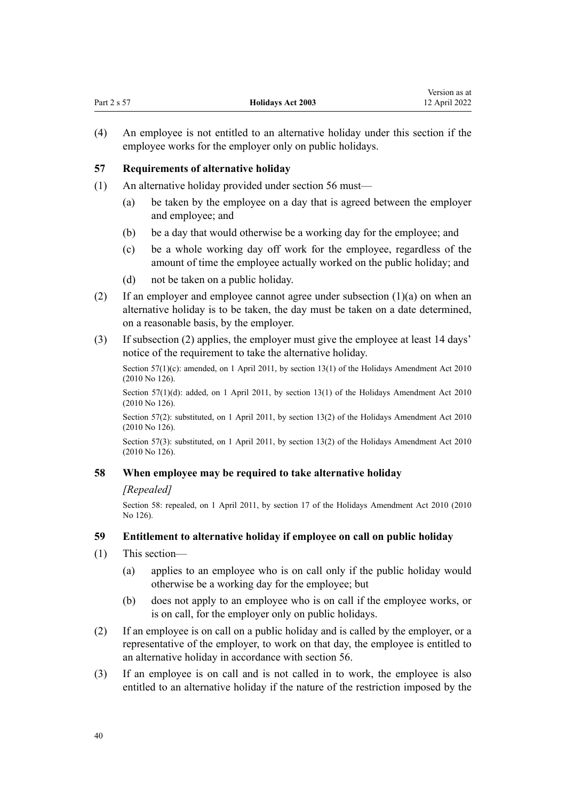<span id="page-39-0"></span>

| 12 April 2022 |
|---------------|
|               |

Version as at

(4) An employee is not entitled to an alternative holiday under this section if the employee works for the employer only on public holidays.

## **57 Requirements of alternative holiday**

- (1) An alternative holiday provided under [section 56](#page-38-0) must—
	- (a) be taken by the employee on a day that is agreed between the employer and employee; and
	- (b) be a day that would otherwise be a working day for the employee; and
	- (c) be a whole working day off work for the employee, regardless of the amount of time the employee actually worked on the public holiday; and
	- (d) not be taken on a public holiday.
- (2) If an employer and employee cannot agree under subsection (1)(a) on when an alternative holiday is to be taken, the day must be taken on a date determined, on a reasonable basis, by the employer.
- (3) If subsection (2) applies, the employer must give the employee at least 14 days' notice of the requirement to take the alternative holiday.

Section 57(1)(c): amended, on 1 April 2011, by [section 13\(1\)](http://legislation.govt.nz/pdflink.aspx?id=DLM3172350) of the Holidays Amendment Act 2010 (2010 No 126).

Section 57(1)(d): added, on 1 April 2011, by [section 13\(1\)](http://legislation.govt.nz/pdflink.aspx?id=DLM3172350) of the Holidays Amendment Act 2010 (2010 No 126).

Section 57(2): substituted, on 1 April 2011, by [section 13\(2\)](http://legislation.govt.nz/pdflink.aspx?id=DLM3172350) of the Holidays Amendment Act 2010 (2010 No 126).

Section 57(3): substituted, on 1 April 2011, by [section 13\(2\)](http://legislation.govt.nz/pdflink.aspx?id=DLM3172350) of the Holidays Amendment Act 2010 (2010 No 126).

## **58 When employee may be required to take alternative holiday**

#### *[Repealed]*

Section 58: repealed, on 1 April 2011, by [section 17](http://legislation.govt.nz/pdflink.aspx?id=DLM3172354) of the Holidays Amendment Act 2010 (2010 No 126).

## **59 Entitlement to alternative holiday if employee on call on public holiday**

- (1) This section—
	- (a) applies to an employee who is on call only if the public holiday would otherwise be a working day for the employee; but
	- (b) does not apply to an employee who is on call if the employee works, or is on call, for the employer only on public holidays.
- (2) If an employee is on call on a public holiday and is called by the employer, or a representative of the employer, to work on that day, the employee is entitled to an alternative holiday in accordance with [section 56](#page-38-0).
- (3) If an employee is on call and is not called in to work, the employee is also entitled to an alternative holiday if the nature of the restriction imposed by the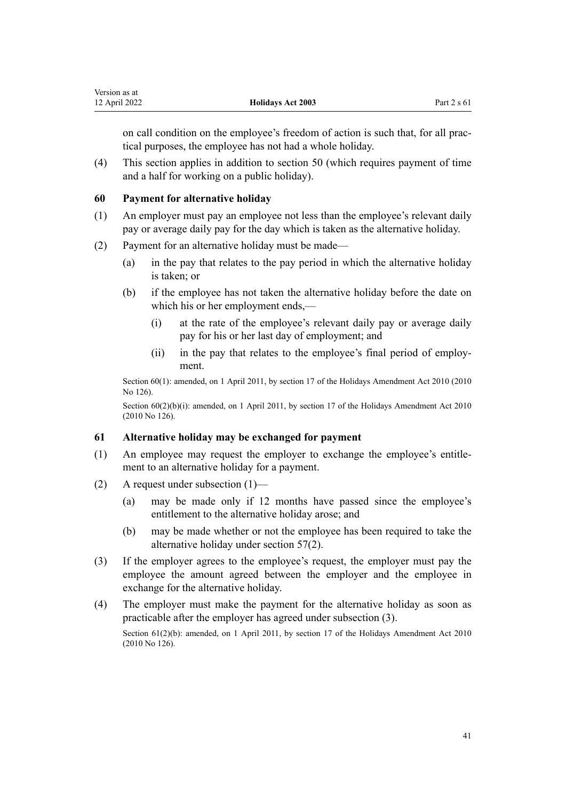<span id="page-40-0"></span>

| Version as at |                          |               |
|---------------|--------------------------|---------------|
| 12 April 2022 | <b>Holidays Act 2003</b> | Part $2 s 61$ |

on call condition on the employee's freedom of action is such that, for all prac‐ tical purposes, the employee has not had a whole holiday.

(4) This section applies in addition to [section 50](#page-36-0) (which requires payment of time and a half for working on a public holiday).

#### **60 Payment for alternative holiday**

- (1) An employer must pay an employee not less than the employee's relevant daily pay or average daily pay for the day which is taken as the alternative holiday.
- (2) Payment for an alternative holiday must be made—
	- (a) in the pay that relates to the pay period in which the alternative holiday is taken; or
	- (b) if the employee has not taken the alternative holiday before the date on which his or her employment ends,—
		- (i) at the rate of the employee's relevant daily pay or average daily pay for his or her last day of employment; and
		- (ii) in the pay that relates to the employee's final period of employment.

Section 60(1): amended, on 1 April 2011, by [section 17](http://legislation.govt.nz/pdflink.aspx?id=DLM3172354) of the Holidays Amendment Act 2010 (2010 No 126).

Section  $60(2)(b)(i)$ : amended, on 1 April 2011, by [section 17](http://legislation.govt.nz/pdflink.aspx?id=DLM3172354) of the Holidays Amendment Act 2010 (2010 No 126).

## **61 Alternative holiday may be exchanged for payment**

- (1) An employee may request the employer to exchange the employee's entitle‐ ment to an alternative holiday for a payment.
- (2) A request under subsection (1)—
	- (a) may be made only if 12 months have passed since the employee's entitlement to the alternative holiday arose; and
	- (b) may be made whether or not the employee has been required to take the alternative holiday under [section 57\(2\)](#page-39-0).
- (3) If the employer agrees to the employee's request, the employer must pay the employee the amount agreed between the employer and the employee in exchange for the alternative holiday.
- (4) The employer must make the payment for the alternative holiday as soon as practicable after the employer has agreed under subsection (3).

Section 61(2)(b): amended, on 1 April 2011, by [section 17](http://legislation.govt.nz/pdflink.aspx?id=DLM3172354) of the Holidays Amendment Act 2010 (2010 No 126).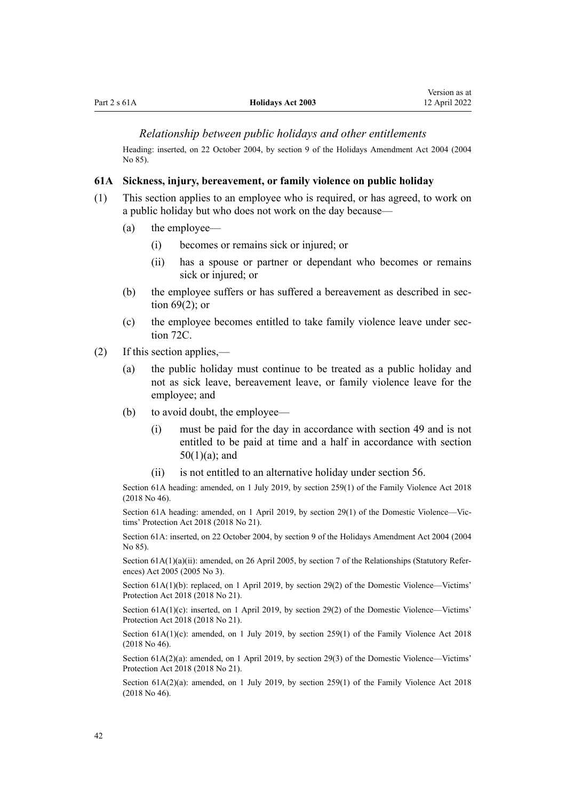#### <span id="page-41-0"></span>*Relationship between public holidays and other entitlements*

Heading: inserted, on 22 October 2004, by [section 9](http://legislation.govt.nz/pdflink.aspx?id=DLM315901) of the Holidays Amendment Act 2004 (2004 No 85).

#### **61A Sickness, injury, bereavement, or family violence on public holiday**

- (1) This section applies to an employee who is required, or has agreed, to work on a public holiday but who does not work on the day because—
	- (a) the employee—
		- (i) becomes or remains sick or injured; or
		- (ii) has a spouse or partner or dependant who becomes or remains sick or injured; or
	- (b) the employee suffers or has suffered a bereavement as described in sec[tion 69\(2\);](#page-44-0) or
	- (c) the employee becomes entitled to take family violence leave under sec[tion 72C](#page-48-0).
- (2) If this section applies,—
	- (a) the public holiday must continue to be treated as a public holiday and not as sick leave, bereavement leave, or family violence leave for the employee; and
	- (b) to avoid doubt, the employee—
		- (i) must be paid for the day in accordance with [section 49](#page-35-0) and is not entitled to be paid at time and a half in accordance with [section](#page-36-0) [50\(1\)\(a\);](#page-36-0) and
		- (ii) is not entitled to an alternative holiday under [section 56](#page-38-0).

Section 61A heading: amended, on 1 July 2019, by [section 259\(1\)](http://legislation.govt.nz/pdflink.aspx?id=LMS113400) of the Family Violence Act 2018 (2018 No 46).

Section 61A heading: amended, on 1 April 2019, by [section 29\(1\)](http://legislation.govt.nz/pdflink.aspx?id=LMS50980) of the Domestic Violence—Vic‐ tims' Protection Act 2018 (2018 No 21).

Section 61A: inserted, on 22 October 2004, by [section 9](http://legislation.govt.nz/pdflink.aspx?id=DLM315901) of the Holidays Amendment Act 2004 (2004 No 85).

Section 61A(1)(a)(ii): amended, on 26 April 2005, by [section 7](http://legislation.govt.nz/pdflink.aspx?id=DLM333795) of the Relationships (Statutory References) Act 2005 (2005 No 3).

Section 61A(1)(b): replaced, on 1 April 2019, by [section 29\(2\)](http://legislation.govt.nz/pdflink.aspx?id=LMS50980) of the Domestic Violence—Victims' Protection Act 2018 (2018 No 21).

Section 61A(1)(c): inserted, on 1 April 2019, by [section 29\(2\)](http://legislation.govt.nz/pdflink.aspx?id=LMS50980) of the Domestic Violence—Victims' Protection Act 2018 (2018 No 21).

Section 61A(1)(c): amended, on 1 July 2019, by [section 259\(1\)](http://legislation.govt.nz/pdflink.aspx?id=LMS113400) of the Family Violence Act 2018 (2018 No 46).

Section 61A(2)(a): amended, on 1 April 2019, by [section 29\(3\)](http://legislation.govt.nz/pdflink.aspx?id=LMS50980) of the Domestic Violence—Victims' Protection Act 2018 (2018 No 21).

Section 61A(2)(a): amended, on 1 July 2019, by [section 259\(1\)](http://legislation.govt.nz/pdflink.aspx?id=LMS113400) of the Family Violence Act 2018 (2018 No 46).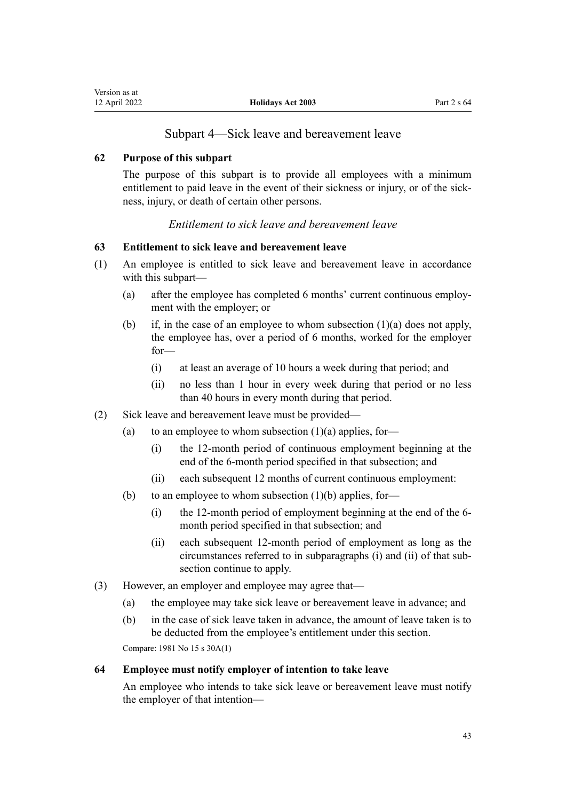## Subpart 4—Sick leave and bereavement leave

## <span id="page-42-0"></span>**62 Purpose of this subpart**

The purpose of this subpart is to provide all employees with a minimum entitlement to paid leave in the event of their sickness or injury, or of the sickness, injury, or death of certain other persons.

## *Entitlement to sick leave and bereavement leave*

## **63 Entitlement to sick leave and bereavement leave**

- (1) An employee is entitled to sick leave and bereavement leave in accordance with this subpart—
	- (a) after the employee has completed 6 months' current continuous employ‐ ment with the employer; or
	- (b) if, in the case of an employee to whom subsection  $(1)(a)$  does not apply, the employee has, over a period of 6 months, worked for the employer for—
		- (i) at least an average of 10 hours a week during that period; and
		- (ii) no less than 1 hour in every week during that period or no less than 40 hours in every month during that period.
- (2) Sick leave and bereavement leave must be provided—
	- (a) to an employee to whom subsection  $(1)(a)$  applies, for-
		- (i) the 12-month period of continuous employment beginning at the end of the 6-month period specified in that subsection; and
		- (ii) each subsequent 12 months of current continuous employment:
	- (b) to an employee to whom subsection  $(1)(b)$  applies, for-
		- (i) the 12-month period of employment beginning at the end of the 6 month period specified in that subsection; and
		- (ii) each subsequent 12-month period of employment as long as the circumstances referred to in subparagraphs (i) and (ii) of that sub‐ section continue to apply.
- (3) However, an employer and employee may agree that—
	- (a) the employee may take sick leave or bereavement leave in advance; and
	- (b) in the case of sick leave taken in advance, the amount of leave taken is to be deducted from the employee's entitlement under this section.

Compare: 1981 No 15 s 30A(1)

#### **64 Employee must notify employer of intention to take leave**

An employee who intends to take sick leave or bereavement leave must notify the employer of that intention—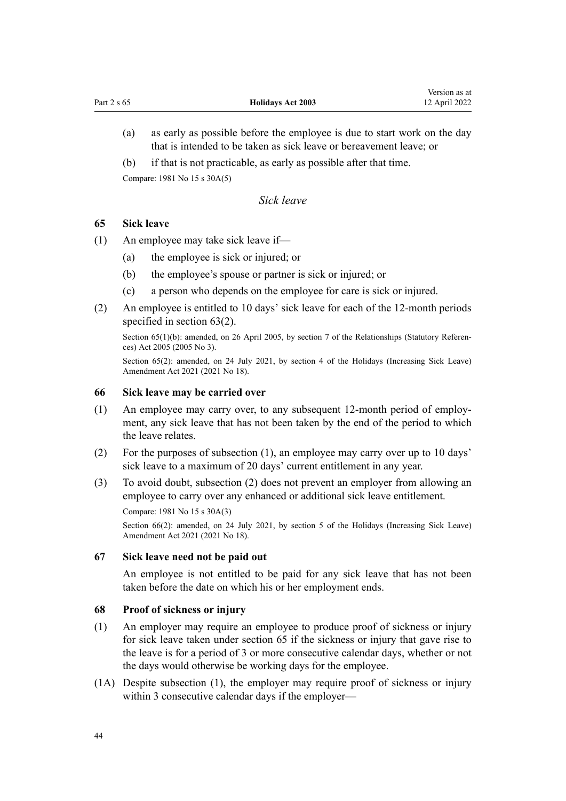- <span id="page-43-0"></span>(a) as early as possible before the employee is due to start work on the day that is intended to be taken as sick leave or bereavement leave; or
- (b) if that is not practicable, as early as possible after that time.

Compare: 1981 No 15 s 30A(5)

## *Sick leave*

#### **65 Sick leave**

- (1) An employee may take sick leave if—
	- (a) the employee is sick or injured; or
	- (b) the employee's spouse or partner is sick or injured; or
	- (c) a person who depends on the employee for care is sick or injured.
- (2) An employee is entitled to 10 days' sick leave for each of the 12-month periods specified in [section 63\(2\).](#page-42-0)

Section  $65(1)(b)$ : amended, on 26 April 2005, by [section 7](http://legislation.govt.nz/pdflink.aspx?id=DLM333795) of the Relationships (Statutory References) Act 2005 (2005 No 3).

Section 65(2): amended, on 24 July 2021, by [section 4](http://legislation.govt.nz/pdflink.aspx?id=LMS430537) of the Holidays (Increasing Sick Leave) Amendment Act 2021 (2021 No 18).

#### **66 Sick leave may be carried over**

- (1) An employee may carry over, to any subsequent 12-month period of employ‐ ment, any sick leave that has not been taken by the end of the period to which the leave relates.
- (2) For the purposes of subsection (1), an employee may carry over up to 10 days' sick leave to a maximum of 20 days' current entitlement in any year.
- (3) To avoid doubt, subsection (2) does not prevent an employer from allowing an employee to carry over any enhanced or additional sick leave entitlement. Compare: 1981 No 15 s 30A(3)

Section 66(2): amended, on 24 July 2021, by [section 5](http://legislation.govt.nz/pdflink.aspx?id=LMS430538) of the Holidays (Increasing Sick Leave) Amendment Act 2021 (2021 No 18).

#### **67 Sick leave need not be paid out**

An employee is not entitled to be paid for any sick leave that has not been taken before the date on which his or her employment ends.

#### **68 Proof of sickness or injury**

- (1) An employer may require an employee to produce proof of sickness or injury for sick leave taken under section 65 if the sickness or injury that gave rise to the leave is for a period of 3 or more consecutive calendar days, whether or not the days would otherwise be working days for the employee.
- (1A) Despite subsection (1), the employer may require proof of sickness or injury within 3 consecutive calendar days if the employer—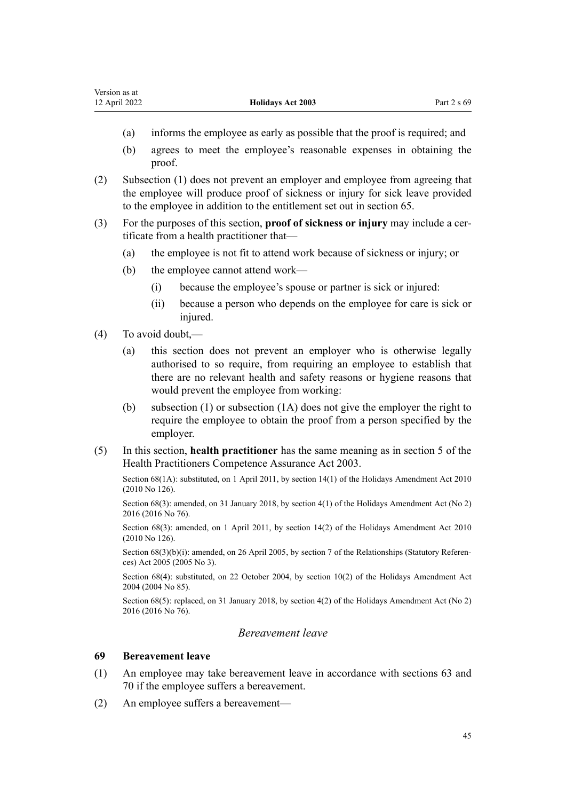- <span id="page-44-0"></span>(a) informs the employee as early as possible that the proof is required; and
- (b) agrees to meet the employee's reasonable expenses in obtaining the proof.
- (2) Subsection (1) does not prevent an employer and employee from agreeing that the employee will produce proof of sickness or injury for sick leave provided to the employee in addition to the entitlement set out in [section 65](#page-43-0).
- (3) For the purposes of this section, **proof of sickness or injury** may include a cer‐ tificate from a health practitioner that—
	- (a) the employee is not fit to attend work because of sickness or injury; or
	- (b) the employee cannot attend work—
		- (i) because the employee's spouse or partner is sick or injured:
		- (ii) because a person who depends on the employee for care is sick or injured.
- (4) To avoid doubt,—
	- (a) this section does not prevent an employer who is otherwise legally authorised to so require, from requiring an employee to establish that there are no relevant health and safety reasons or hygiene reasons that would prevent the employee from working:
	- (b) subsection (1) or subsection (1A) does not give the employer the right to require the employee to obtain the proof from a person specified by the employer.
- (5) In this section, **health practitioner** has the same meaning as in [section 5](http://legislation.govt.nz/pdflink.aspx?id=DLM203321) of the Health Practitioners Competence Assurance Act 2003.

Section 68(1A): substituted, on 1 April 2011, by [section 14\(1\)](http://legislation.govt.nz/pdflink.aspx?id=DLM3172351) of the Holidays Amendment Act 2010 (2010 No 126).

Section 68(3): amended, on 31 January 2018, by [section 4\(1\)](http://legislation.govt.nz/pdflink.aspx?id=DLM6984008) of the Holidays Amendment Act (No 2) 2016 (2016 No 76).

Section 68(3): amended, on 1 April 2011, by [section 14\(2\)](http://legislation.govt.nz/pdflink.aspx?id=DLM3172351) of the Holidays Amendment Act 2010 (2010 No 126).

Section 68(3)(b)(i): amended, on 26 April 2005, by [section 7](http://legislation.govt.nz/pdflink.aspx?id=DLM333795) of the Relationships (Statutory References) Act 2005 (2005 No 3).

Section 68(4): substituted, on 22 October 2004, by [section 10\(2\)](http://legislation.govt.nz/pdflink.aspx?id=DLM315904) of the Holidays Amendment Act 2004 (2004 No 85).

Section 68(5): replaced, on 31 January 2018, by [section 4\(2\)](http://legislation.govt.nz/pdflink.aspx?id=DLM6984008) of the Holidays Amendment Act (No 2) 2016 (2016 No 76).

#### *Bereavement leave*

#### **69 Bereavement leave**

- (1) An employee may take bereavement leave in accordance with [sections 63](#page-42-0) and [70](#page-46-0) if the employee suffers a bereavement.
- (2) An employee suffers a bereavement—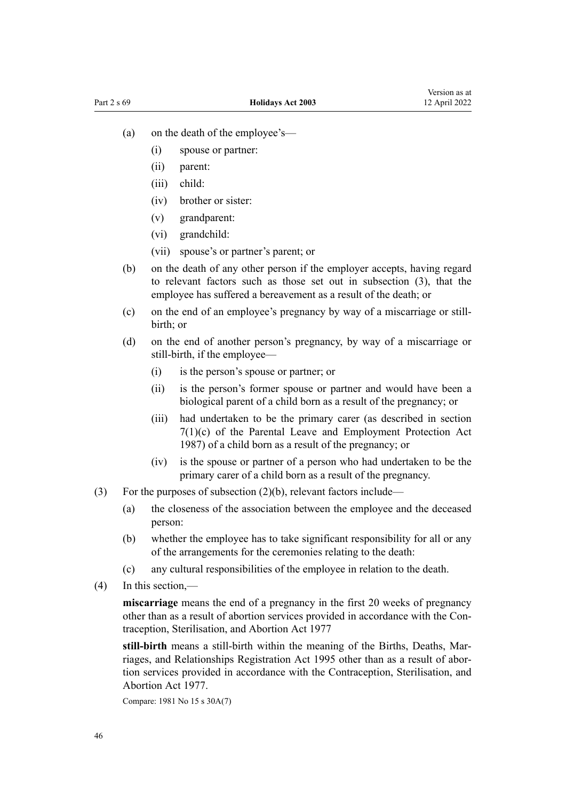- (a) on the death of the employee's—
	- (i) spouse or partner:
	- (ii) parent:
	- (iii) child:
	- (iv) brother or sister:
	- (v) grandparent:
	- (vi) grandchild:
	- (vii) spouse's or partner's parent; or
- (b) on the death of any other person if the employer accepts, having regard to relevant factors such as those set out in subsection (3), that the employee has suffered a bereavement as a result of the death; or
- (c) on the end of an employee's pregnancy by way of a miscarriage or stillbirth; or
- (d) on the end of another person's pregnancy, by way of a miscarriage or still-birth, if the employee—
	- (i) is the person's spouse or partner; or
	- (ii) is the person's former spouse or partner and would have been a biological parent of a child born as a result of the pregnancy; or
	- (iii) had undertaken to be the primary carer (as described in [section](http://legislation.govt.nz/pdflink.aspx?id=DLM120458) [7\(1\)\(c\)](http://legislation.govt.nz/pdflink.aspx?id=DLM120458) of the Parental Leave and Employment Protection Act 1987) of a child born as a result of the pregnancy; or
	- (iv) is the spouse or partner of a person who had undertaken to be the primary carer of a child born as a result of the pregnancy.
- (3) For the purposes of subsection (2)(b), relevant factors include—
	- (a) the closeness of the association between the employee and the deceased person:
	- (b) whether the employee has to take significant responsibility for all or any of the arrangements for the ceremonies relating to the death:
	- (c) any cultural responsibilities of the employee in relation to the death.
- (4) In this section,—

**miscarriage** means the end of a pregnancy in the first 20 weeks of pregnancy other than as a result of abortion services provided in accordance with the [Con‐](http://legislation.govt.nz/pdflink.aspx?id=DLM17679) [traception, Sterilisation, and Abortion Act 1977](http://legislation.govt.nz/pdflink.aspx?id=DLM17679)

**still-birth** means a still-birth within the meaning of the [Births, Deaths, Mar‐](http://legislation.govt.nz/pdflink.aspx?id=DLM359368) [riages, and Relationships Registration Act 1995](http://legislation.govt.nz/pdflink.aspx?id=DLM359368) other than as a result of abor‐ tion services provided in accordance with the [Contraception, Sterilisation, and](http://legislation.govt.nz/pdflink.aspx?id=DLM17679) [Abortion Act 1977](http://legislation.govt.nz/pdflink.aspx?id=DLM17679).

Compare: 1981 No 15 s 30A(7)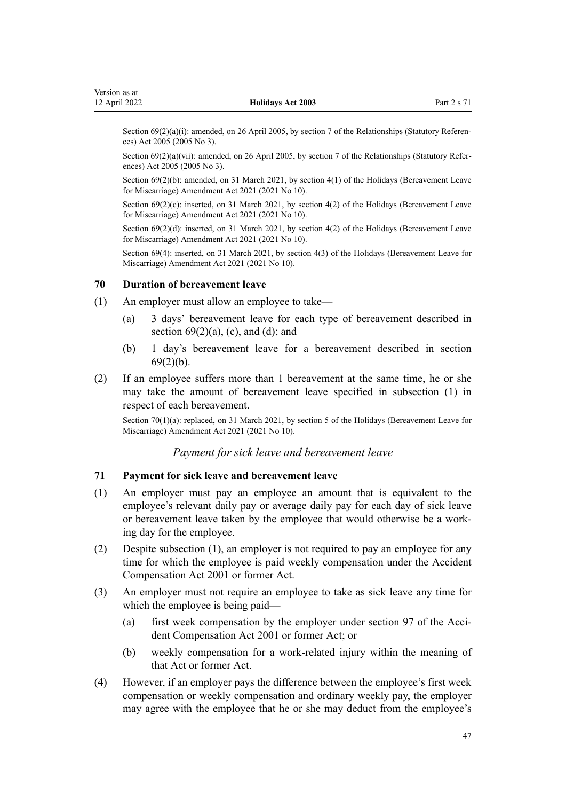<span id="page-46-0"></span>Section 69(2)(a)(i): amended, on 26 April 2005, by [section 7](http://legislation.govt.nz/pdflink.aspx?id=DLM333795) of the Relationships (Statutory References) Act 2005 (2005 No 3).

Section 69(2)(a)(vii): amended, on 26 April 2005, by [section 7](http://legislation.govt.nz/pdflink.aspx?id=DLM333795) of the Relationships (Statutory References) Act 2005 (2005 No 3).

Section 69(2)(b): amended, on 31 March 2021, by [section 4\(1\)](http://legislation.govt.nz/pdflink.aspx?id=LMS220716) of the Holidays (Bereavement Leave for Miscarriage) Amendment Act 2021 (2021 No 10).

Section 69(2)(c): inserted, on 31 March 2021, by [section 4\(2\)](http://legislation.govt.nz/pdflink.aspx?id=LMS220716) of the Holidays (Bereavement Leave for Miscarriage) Amendment Act 2021 (2021 No 10).

Section 69(2)(d): inserted, on 31 March 2021, by [section 4\(2\)](http://legislation.govt.nz/pdflink.aspx?id=LMS220716) of the Holidays (Bereavement Leave for Miscarriage) Amendment Act 2021 (2021 No 10).

Section 69(4): inserted, on 31 March 2021, by [section 4\(3\)](http://legislation.govt.nz/pdflink.aspx?id=LMS220716) of the Holidays (Bereavement Leave for Miscarriage) Amendment Act 2021 (2021 No 10).

#### **70 Duration of bereavement leave**

- (1) An employer must allow an employee to take—
	- (a) 3 days' bereavement leave for each type of bereavement described in section  $69(2)(a)$ , (c), and (d); and
	- (b) 1 day's bereavement leave for a bereavement described in [section](#page-44-0) [69\(2\)\(b\).](#page-44-0)
- (2) If an employee suffers more than 1 bereavement at the same time, he or she may take the amount of bereavement leave specified in subsection (1) in respect of each bereavement.

Section 70(1)(a): replaced, on 31 March 2021, by [section 5](http://legislation.govt.nz/pdflink.aspx?id=LMS220717) of the Holidays (Bereavement Leave for Miscarriage) Amendment Act 2021 (2021 No 10).

*Payment for sick leave and bereavement leave*

#### **71 Payment for sick leave and bereavement leave**

- (1) An employer must pay an employee an amount that is equivalent to the employee's relevant daily pay or average daily pay for each day of sick leave or bereavement leave taken by the employee that would otherwise be a work‐ ing day for the employee.
- (2) Despite subsection (1), an employer is not required to pay an employee for any time for which the employee is paid weekly compensation under the [Accident](http://legislation.govt.nz/pdflink.aspx?id=DLM99493) [Compensation Act 2001](http://legislation.govt.nz/pdflink.aspx?id=DLM99493) or former Act.
- (3) An employer must not require an employee to take as sick leave any time for which the employee is being paid
	- (a) first week compensation by the employer under [section 97](http://legislation.govt.nz/pdflink.aspx?id=DLM101448) of the Accident Compensation Act 2001 or former Act; or
	- (b) weekly compensation for a work-related injury within the meaning of that Act or former Act.
- (4) However, if an employer pays the difference between the employee's first week compensation or weekly compensation and ordinary weekly pay, the employer may agree with the employee that he or she may deduct from the employee's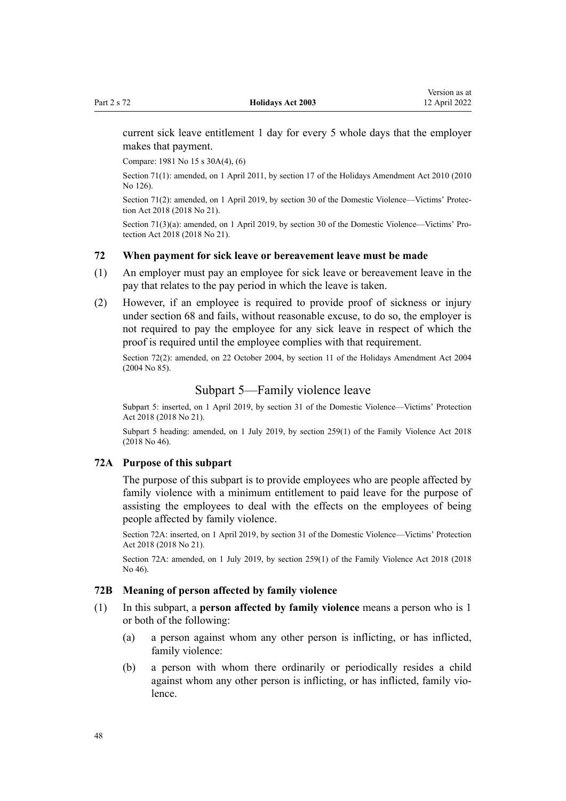<span id="page-47-0"></span>current sick leave entitlement 1 day for every 5 whole days that the employer makes that payment.

Compare: 1981 No 15 s 30A(4), (6)

Section 71(1): amended, on 1 April 2011, by [section 17](http://legislation.govt.nz/pdflink.aspx?id=DLM3172354) of the Holidays Amendment Act 2010 (2010 No 126).

Section 71(2): amended, on 1 April 2019, by [section 30](http://legislation.govt.nz/pdflink.aspx?id=LMS50981) of the Domestic Violence—Victims' Protection Act 2018 (2018 No 21).

Section 71(3)(a): amended, on 1 April 2019, by [section 30](http://legislation.govt.nz/pdflink.aspx?id=LMS50981) of the Domestic Violence—Victims' Protection Act 2018 (2018 No 21).

#### **72 When payment for sick leave or bereavement leave must be made**

- (1) An employer must pay an employee for sick leave or bereavement leave in the pay that relates to the pay period in which the leave is taken.
- (2) However, if an employee is required to provide proof of sickness or injury under [section 68](#page-43-0) and fails, without reasonable excuse, to do so, the employer is not required to pay the employee for any sick leave in respect of which the proof is required until the employee complies with that requirement.

Section 72(2): amended, on 22 October 2004, by [section 11](http://legislation.govt.nz/pdflink.aspx?id=DLM315905) of the Holidays Amendment Act 2004 (2004 No 85).

## Subpart 5—Family violence leave

Subpart 5: inserted, on 1 April 2019, by [section 31](http://legislation.govt.nz/pdflink.aspx?id=DLM7054366) of the Domestic Violence—Victims' Protection Act 2018 (2018 No 21).

Subpart 5 heading: amended, on 1 July 2019, by [section 259\(1\)](http://legislation.govt.nz/pdflink.aspx?id=LMS113400) of the Family Violence Act 2018 (2018 No 46).

#### **72A Purpose of this subpart**

The purpose of this subpart is to provide employees who are people affected by family violence with a minimum entitlement to paid leave for the purpose of assisting the employees to deal with the effects on the employees of being people affected by family violence.

Section 72A: inserted, on 1 April 2019, by [section 31](http://legislation.govt.nz/pdflink.aspx?id=DLM7054366) of the Domestic Violence—Victims' Protection Act 2018 (2018 No 21).

Section 72A: amended, on 1 July 2019, by [section 259\(1\)](http://legislation.govt.nz/pdflink.aspx?id=LMS113400) of the Family Violence Act 2018 (2018 No 46).

## **72B Meaning of person affected by family violence**

- (1) In this subpart, a **person affected by family violence** means a person who is 1 or both of the following:
	- (a) a person against whom any other person is inflicting, or has inflicted, family violence:
	- (b) a person with whom there ordinarily or periodically resides a child against whom any other person is inflicting, or has inflicted, family violence.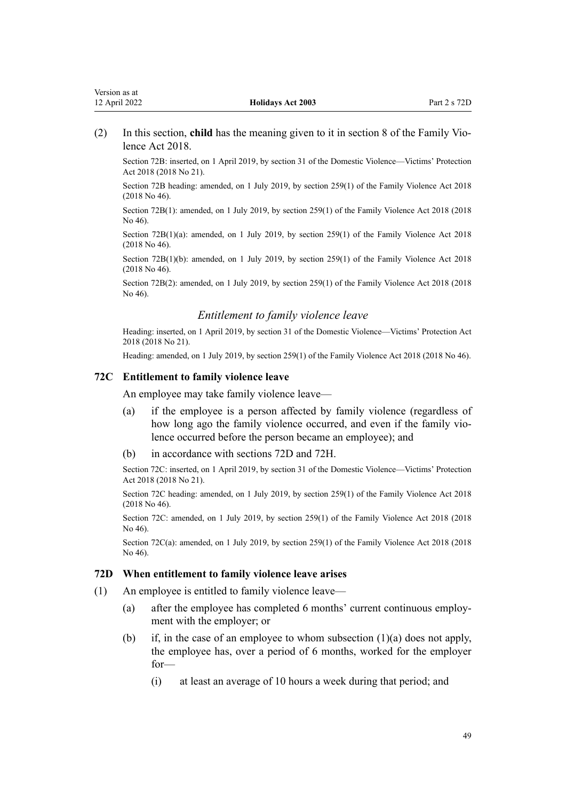#### <span id="page-48-0"></span>(2) In this section, **child** has the meaning given to it in [section 8](http://legislation.govt.nz/pdflink.aspx?id=LMS112963) of the Family Vio‐ lence Act 2018.

Section 72B: inserted, on 1 April 2019, by [section 31](http://legislation.govt.nz/pdflink.aspx?id=DLM7054366) of the Domestic Violence—Victims' Protection Act 2018 (2018 No 21).

Section 72B heading: amended, on 1 July 2019, by [section 259\(1\)](http://legislation.govt.nz/pdflink.aspx?id=LMS113400) of the Family Violence Act 2018 (2018 No 46).

Section 72B(1): amended, on 1 July 2019, by [section 259\(1\)](http://legislation.govt.nz/pdflink.aspx?id=LMS113400) of the Family Violence Act 2018 (2018 No 46).

Section 72B(1)(a): amended, on 1 July 2019, by [section 259\(1\)](http://legislation.govt.nz/pdflink.aspx?id=LMS113400) of the Family Violence Act 2018 (2018 No 46).

Section 72B(1)(b): amended, on 1 July 2019, by [section 259\(1\)](http://legislation.govt.nz/pdflink.aspx?id=LMS113400) of the Family Violence Act 2018 (2018 No 46).

Section 72B(2): amended, on 1 July 2019, by [section 259\(1\)](http://legislation.govt.nz/pdflink.aspx?id=LMS113400) of the Family Violence Act 2018 (2018 No 46).

#### *Entitlement to family violence leave*

Heading: inserted, on 1 April 2019, by [section 31](http://legislation.govt.nz/pdflink.aspx?id=DLM7054366) of the Domestic Violence—Victims' Protection Act 2018 (2018 No 21).

Heading: amended, on 1 July 2019, by [section 259\(1\)](http://legislation.govt.nz/pdflink.aspx?id=LMS113400) of the Family Violence Act 2018 (2018 No 46).

#### **72C Entitlement to family violence leave**

An employee may take family violence leave—

- (a) if the employee is a person affected by family violence (regardless of how long ago the family violence occurred, and even if the family violence occurred before the person became an employee); and
- (b) in accordance with sections 72D and [72H.](#page-50-0)

Section 72C: inserted, on 1 April 2019, by [section 31](http://legislation.govt.nz/pdflink.aspx?id=DLM7054366) of the Domestic Violence—Victims' Protection Act 2018 (2018 No 21).

Section 72C heading: amended, on 1 July 2019, by [section 259\(1\)](http://legislation.govt.nz/pdflink.aspx?id=LMS113400) of the Family Violence Act 2018 (2018 No 46).

Section 72C: amended, on 1 July 2019, by [section 259\(1\)](http://legislation.govt.nz/pdflink.aspx?id=LMS113400) of the Family Violence Act 2018 (2018 No 46).

Section 72C(a): amended, on 1 July 2019, by [section 259\(1\)](http://legislation.govt.nz/pdflink.aspx?id=LMS113400) of the Family Violence Act 2018 (2018 No 46).

#### **72D When entitlement to family violence leave arises**

- (1) An employee is entitled to family violence leave—
	- (a) after the employee has completed 6 months' current continuous employ‐ ment with the employer; or
	- (b) if, in the case of an employee to whom subsection  $(1)(a)$  does not apply, the employee has, over a period of 6 months, worked for the employer for—
		- (i) at least an average of 10 hours a week during that period; and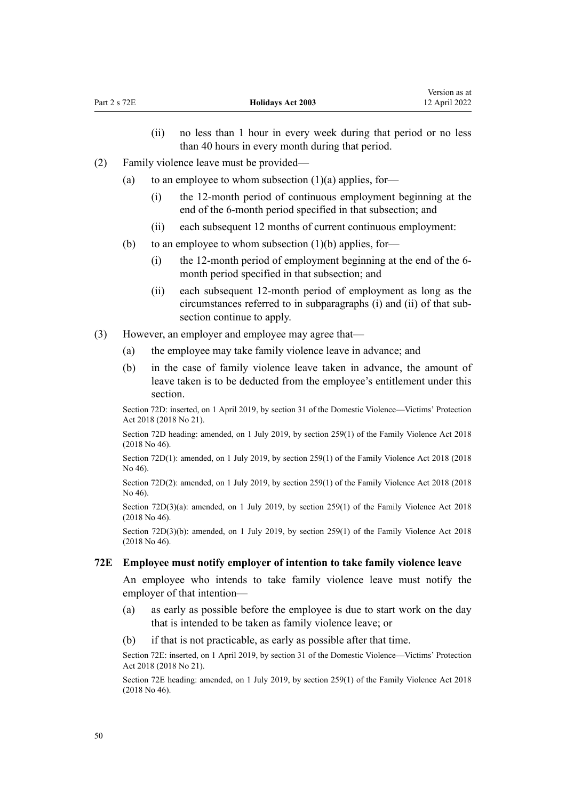- (ii) no less than 1 hour in every week during that period or no less than 40 hours in every month during that period.
- <span id="page-49-0"></span>(2) Family violence leave must be provided—
	- (a) to an employee to whom subsection  $(1)(a)$  applies, for-
		- (i) the 12-month period of continuous employment beginning at the end of the 6-month period specified in that subsection; and
		- (ii) each subsequent 12 months of current continuous employment:
	- (b) to an employee to whom subsection  $(1)(b)$  applies, for-
		- (i) the 12-month period of employment beginning at the end of the 6 month period specified in that subsection; and
		- (ii) each subsequent 12-month period of employment as long as the circumstances referred to in subparagraphs (i) and (ii) of that sub‐ section continue to apply.
- (3) However, an employer and employee may agree that—
	- (a) the employee may take family violence leave in advance; and
	- (b) in the case of family violence leave taken in advance, the amount of leave taken is to be deducted from the employee's entitlement under this section.

Section 72D: inserted, on 1 April 2019, by [section 31](http://legislation.govt.nz/pdflink.aspx?id=DLM7054366) of the Domestic Violence—Victims' Protection Act 2018 (2018 No 21).

Section 72D heading: amended, on 1 July 2019, by [section 259\(1\)](http://legislation.govt.nz/pdflink.aspx?id=LMS113400) of the Family Violence Act 2018 (2018 No 46).

Section 72D(1): amended, on 1 July 2019, by [section 259\(1\)](http://legislation.govt.nz/pdflink.aspx?id=LMS113400) of the Family Violence Act 2018 (2018 No 46).

Section 72D(2): amended, on 1 July 2019, by [section 259\(1\)](http://legislation.govt.nz/pdflink.aspx?id=LMS113400) of the Family Violence Act 2018 (2018 No 46).

Section  $72D(3)(a)$ : amended, on 1 July 2019, by [section 259\(1\)](http://legislation.govt.nz/pdflink.aspx?id=LMS113400) of the Family Violence Act 2018 (2018 No 46).

Section 72D(3)(b): amended, on 1 July 2019, by [section 259\(1\)](http://legislation.govt.nz/pdflink.aspx?id=LMS113400) of the Family Violence Act 2018 (2018 No 46).

#### **72E Employee must notify employer of intention to take family violence leave**

An employee who intends to take family violence leave must notify the employer of that intention—

- (a) as early as possible before the employee is due to start work on the day that is intended to be taken as family violence leave; or
- (b) if that is not practicable, as early as possible after that time.

Section 72E: inserted, on 1 April 2019, by [section 31](http://legislation.govt.nz/pdflink.aspx?id=DLM7054366) of the Domestic Violence—Victims' Protection Act 2018 (2018 No 21).

Section 72E heading: amended, on 1 July 2019, by [section 259\(1\)](http://legislation.govt.nz/pdflink.aspx?id=LMS113400) of the Family Violence Act 2018 (2018 No 46).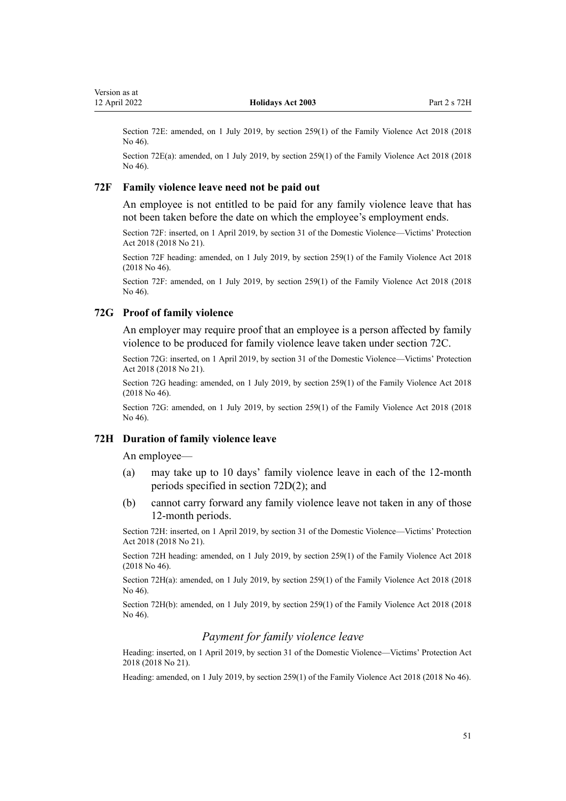<span id="page-50-0"></span>Section 72E: amended, on 1 July 2019, by [section 259\(1\)](http://legislation.govt.nz/pdflink.aspx?id=LMS113400) of the Family Violence Act 2018 (2018) No 46).

Section 72E(a): amended, on 1 July 2019, by [section 259\(1\)](http://legislation.govt.nz/pdflink.aspx?id=LMS113400) of the Family Violence Act 2018 (2018 No 46).

#### **72F Family violence leave need not be paid out**

An employee is not entitled to be paid for any family violence leave that has not been taken before the date on which the employee's employment ends.

Section 72F: inserted, on 1 April 2019, by [section 31](http://legislation.govt.nz/pdflink.aspx?id=DLM7054366) of the Domestic Violence—Victims' Protection Act 2018 (2018 No 21).

Section 72F heading: amended, on 1 July 2019, by [section 259\(1\)](http://legislation.govt.nz/pdflink.aspx?id=LMS113400) of the Family Violence Act 2018 (2018 No 46).

Section 72F: amended, on 1 July 2019, by [section 259\(1\)](http://legislation.govt.nz/pdflink.aspx?id=LMS113400) of the Family Violence Act 2018 (2018 No 46).

#### **72G Proof of family violence**

An employer may require proof that an employee is a person affected by family violence to be produced for family violence leave taken under [section 72C.](#page-48-0)

Section 72G: inserted, on 1 April 2019, by [section 31](http://legislation.govt.nz/pdflink.aspx?id=DLM7054366) of the Domestic Violence—Victims' Protection Act 2018 (2018 No 21).

Section 72G heading: amended, on 1 July 2019, by [section 259\(1\)](http://legislation.govt.nz/pdflink.aspx?id=LMS113400) of the Family Violence Act 2018 (2018 No 46).

Section 72G: amended, on 1 July 2019, by [section 259\(1\)](http://legislation.govt.nz/pdflink.aspx?id=LMS113400) of the Family Violence Act 2018 (2018 No 46).

#### **72H Duration of family violence leave**

An employee—

- (a) may take up to 10 days' family violence leave in each of the 12-month periods specified in [section 72D\(2\);](#page-48-0) and
- (b) cannot carry forward any family violence leave not taken in any of those 12-month periods.

Section 72H: inserted, on 1 April 2019, by [section 31](http://legislation.govt.nz/pdflink.aspx?id=DLM7054366) of the Domestic Violence—Victims' Protection Act 2018 (2018 No 21).

Section 72H heading: amended, on 1 July 2019, by [section 259\(1\)](http://legislation.govt.nz/pdflink.aspx?id=LMS113400) of the Family Violence Act 2018 (2018 No 46).

Section 72H(a): amended, on 1 July 2019, by [section 259\(1\)](http://legislation.govt.nz/pdflink.aspx?id=LMS113400) of the Family Violence Act 2018 (2018  $N_0$  46).

Section 72H(b): amended, on 1 July 2019, by [section 259\(1\)](http://legislation.govt.nz/pdflink.aspx?id=LMS113400) of the Family Violence Act 2018 (2018 No 46).

#### *Payment for family violence leave*

Heading: inserted, on 1 April 2019, by [section 31](http://legislation.govt.nz/pdflink.aspx?id=DLM7054366) of the Domestic Violence—Victims' Protection Act 2018 (2018 No 21).

Heading: amended, on 1 July 2019, by [section 259\(1\)](http://legislation.govt.nz/pdflink.aspx?id=LMS113400) of the Family Violence Act 2018 (2018 No 46).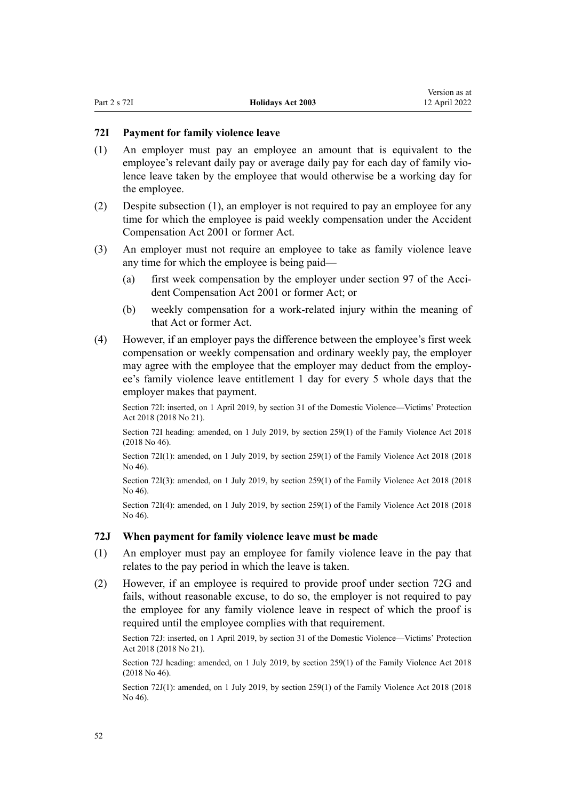<span id="page-51-0"></span>

| Part 2 s 72I | <b>Holidays Act 2003</b> | 12 April 2022 |
|--------------|--------------------------|---------------|
|              |                          |               |

Version as at

## **72I Payment for family violence leave**

- (1) An employer must pay an employee an amount that is equivalent to the employee's relevant daily pay or average daily pay for each day of family violence leave taken by the employee that would otherwise be a working day for the employee.
- (2) Despite subsection (1), an employer is not required to pay an employee for any time for which the employee is paid weekly compensation under the [Accident](http://legislation.govt.nz/pdflink.aspx?id=DLM99493) [Compensation Act 2001](http://legislation.govt.nz/pdflink.aspx?id=DLM99493) or former Act.
- (3) An employer must not require an employee to take as family violence leave any time for which the employee is being paid
	- (a) first week compensation by the employer under [section 97](http://legislation.govt.nz/pdflink.aspx?id=DLM101448) of the Accident Compensation Act 2001 or former Act; or
	- (b) weekly compensation for a work-related injury within the meaning of that Act or former Act.
- (4) However, if an employer pays the difference between the employee's first week compensation or weekly compensation and ordinary weekly pay, the employer may agree with the employee that the employer may deduct from the employee's family violence leave entitlement 1 day for every 5 whole days that the employer makes that payment.

Section 72I: inserted, on 1 April 2019, by [section 31](http://legislation.govt.nz/pdflink.aspx?id=DLM7054366) of the Domestic Violence—Victims' Protection Act 2018 (2018 No 21).

Section 72I heading: amended, on 1 July 2019, by [section 259\(1\)](http://legislation.govt.nz/pdflink.aspx?id=LMS113400) of the Family Violence Act 2018 (2018 No 46).

Section 72I(1): amended, on 1 July 2019, by [section 259\(1\)](http://legislation.govt.nz/pdflink.aspx?id=LMS113400) of the Family Violence Act 2018 (2018 No 46).

Section 72I(3): amended, on 1 July 2019, by [section 259\(1\)](http://legislation.govt.nz/pdflink.aspx?id=LMS113400) of the Family Violence Act 2018 (2018 No 46).

Section 72I(4): amended, on 1 July 2019, by [section 259\(1\)](http://legislation.govt.nz/pdflink.aspx?id=LMS113400) of the Family Violence Act 2018 (2018 No 46).

#### **72J When payment for family violence leave must be made**

- (1) An employer must pay an employee for family violence leave in the pay that relates to the pay period in which the leave is taken.
- (2) However, if an employee is required to provide proof under [section 72G](#page-50-0) and fails, without reasonable excuse, to do so, the employer is not required to pay the employee for any family violence leave in respect of which the proof is required until the employee complies with that requirement.

Section 72J: inserted, on 1 April 2019, by [section 31](http://legislation.govt.nz/pdflink.aspx?id=DLM7054366) of the Domestic Violence—Victims' Protection Act 2018 (2018 No 21).

Section 72J heading: amended, on 1 July 2019, by [section 259\(1\)](http://legislation.govt.nz/pdflink.aspx?id=LMS113400) of the Family Violence Act 2018 (2018 No 46).

Section 72J(1): amended, on 1 July 2019, by [section 259\(1\)](http://legislation.govt.nz/pdflink.aspx?id=LMS113400) of the Family Violence Act 2018 (2018) No 46).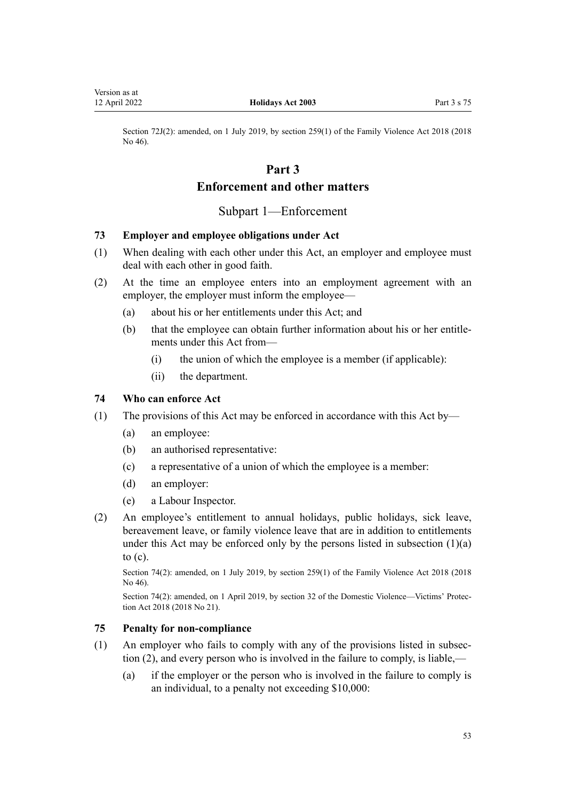<span id="page-52-0"></span>Section 72J(2): amended, on 1 July 2019, by [section 259\(1\)](http://legislation.govt.nz/pdflink.aspx?id=LMS113400) of the Family Violence Act 2018 (2018) No 46).

## **Part 3**

## **Enforcement and other matters**

### Subpart 1—Enforcement

#### **73 Employer and employee obligations under Act**

- (1) When dealing with each other under this Act, an employer and employee must deal with each other in good faith.
- (2) At the time an employee enters into an employment agreement with an employer, the employer must inform the employee—
	- (a) about his or her entitlements under this Act; and
	- (b) that the employee can obtain further information about his or her entitle‐ ments under this Act from—
		- (i) the union of which the employee is a member (if applicable):
		- (ii) the department.

#### **74 Who can enforce Act**

- (1) The provisions of this Act may be enforced in accordance with this Act by—
	- (a) an employee:
	- (b) an authorised representative:
	- (c) a representative of a union of which the employee is a member:
	- (d) an employer:
	- (e) a Labour Inspector.
- (2) An employee's entitlement to annual holidays, public holidays, sick leave, bereavement leave, or family violence leave that are in addition to entitlements under this Act may be enforced only by the persons listed in subsection  $(1)(a)$ to (c).

Section 74(2): amended, on 1 July 2019, by [section 259\(1\)](http://legislation.govt.nz/pdflink.aspx?id=LMS113400) of the Family Violence Act 2018 (2018 No 46).

Section 74(2): amended, on 1 April 2019, by [section 32](http://legislation.govt.nz/pdflink.aspx?id=LMS50992) of the Domestic Violence—Victims' Protec‐ tion Act 2018 (2018 No 21).

#### **75 Penalty for non-compliance**

- (1) An employer who fails to comply with any of the provisions listed in subsec‐ tion (2), and every person who is involved in the failure to comply, is liable,—
	- (a) if the employer or the person who is involved in the failure to comply is an individual, to a penalty not exceeding \$10,000: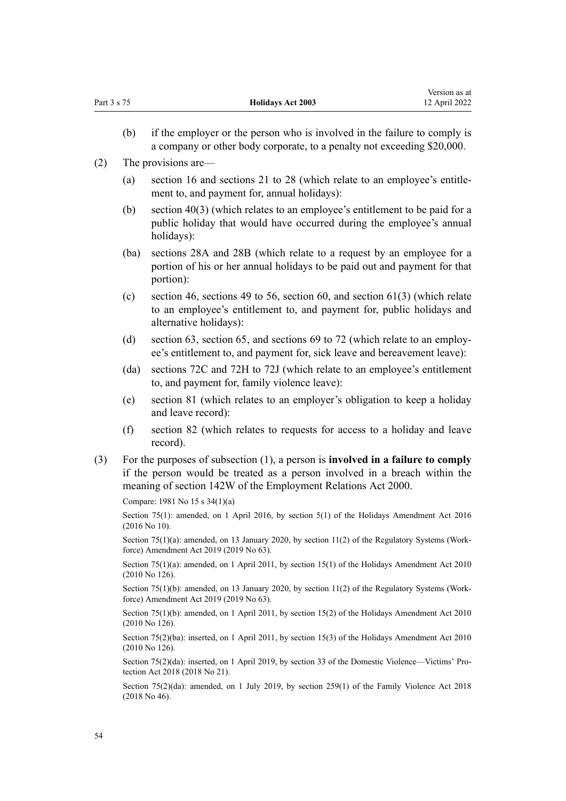| Part 3 s 75 |      | <b>Holidays Act 2003</b>                                                                                                                                                                                                                 | Version as at<br>12 April 2022 |
|-------------|------|------------------------------------------------------------------------------------------------------------------------------------------------------------------------------------------------------------------------------------------|--------------------------------|
|             | (b)  | if the employer or the person who is involved in the failure to comply is<br>a company or other body corporate, to a penalty not exceeding \$20,000.                                                                                     |                                |
| (2)         |      | The provisions are—                                                                                                                                                                                                                      |                                |
|             | (a)  | section 16 and sections 21 to 28 (which relate to an employee's entitle-<br>ment to, and payment for, annual holidays):                                                                                                                  |                                |
|             | (b)  | section $40(3)$ (which relates to an employee's entitlement to be paid for a<br>public holiday that would have occurred during the employee's annual<br>holidays):                                                                       |                                |
|             | (ba) | sections 28A and 28B (which relate to a request by an employee for a<br>portion of his or her annual holidays to be paid out and payment for that<br>portion):                                                                           |                                |
|             | (c)  | section 46, sections 49 to 56, section 60, and section $61(3)$ (which relate<br>to an employee's entitlement to, and payment for, public holidays and<br>alternative holidays):                                                          |                                |
|             | (d)  | section 63, section 65, and sections 69 to 72 (which relate to an employ-<br>ee's entitlement to, and payment for, sick leave and bereavement leave):                                                                                    |                                |
|             | (da) | sections 72C and 72H to 72J (which relate to an employee's entitlement<br>to, and payment for, family violence leave):                                                                                                                   |                                |
|             | (e)  | section 81 (which relates to an employer's obligation to keep a holiday<br>and leave record):                                                                                                                                            |                                |
|             | (f)  | section 82 (which relates to requests for access to a holiday and leave<br>record).                                                                                                                                                      |                                |
| (3)         |      | For the purposes of subsection $(1)$ , a person is <b>involved in a failure to comply</b><br>if the person would be treated as a person involved in a breach within the<br>meaning of section 142W of the Employment Relations Act 2000. |                                |
|             |      | Compare: 1981 No 15 s 34(1)(a)                                                                                                                                                                                                           |                                |
|             |      | Section 75(1): amended, on 1 April 2016, by section 5(1) of the Holidays Amendment Act 2016<br>$(2016$ No 10).                                                                                                                           |                                |
|             |      | Section $75(1)(a)$ : amended, on 13 January 2020, by section $11(2)$ of the Regulatory Systems (Work-<br>force) Amendment Act 2019 (2019 No 63).                                                                                         |                                |
|             |      | Section $75(1)(a)$ : amended, on 1 April 2011, by section 15(1) of the Holidays Amendment Act 2010<br>(2010 No 126).                                                                                                                     |                                |
|             |      | Section $75(1)(b)$ : amended, on 13 January 2020, by section $11(2)$ of the Regulatory Systems (Work-<br>force) Amendment Act 2019 (2019 No 63).                                                                                         |                                |
|             |      | Section $75(1)(b)$ : amended, on 1 April 2011, by section 15(2) of the Holidays Amendment Act 2010<br>$(2010$ No 126).                                                                                                                   |                                |
|             |      | Section 75(2)(ba): inserted, on 1 April 2011, by section 15(3) of the Holidays Amendment Act 2010<br>$(2010$ No 126).                                                                                                                    |                                |
|             |      | Section 75(2)(da): inserted, on 1 April 2019, by section 33 of the Domestic Violence—Victims' Pro-<br>tection Act 2018 (2018 No 21).                                                                                                     |                                |
|             |      | Section $75(2)(da)$ : amended, on 1 July 2019, by section 259(1) of the Family Violence Act 2018<br>$(2018$ No 46).                                                                                                                      |                                |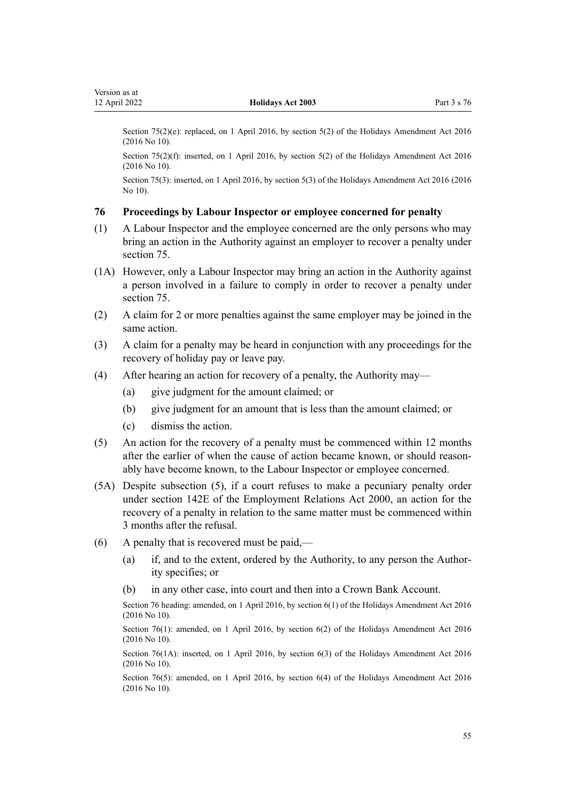<span id="page-54-0"></span>Section  $75(2)(e)$ : replaced, on 1 April 2016, by section  $5(2)$  of the Holidays Amendment Act 2016 (2016 No 10).

Section 75(2)(f): inserted, on 1 April 2016, by [section 5\(2\)](http://legislation.govt.nz/pdflink.aspx?id=DLM6773812) of the Holidays Amendment Act 2016 (2016 No 10).

Section 75(3): inserted, on 1 April 2016, by [section 5\(3\)](http://legislation.govt.nz/pdflink.aspx?id=DLM6773812) of the Holidays Amendment Act 2016 (2016 No 10).

#### **76 Proceedings by Labour Inspector or employee concerned for penalty**

- (1) A Labour Inspector and the employee concerned are the only persons who may bring an action in the Authority against an employer to recover a penalty under [section 75](#page-52-0).
- (1A) However, only a Labour Inspector may bring an action in the Authority against a person involved in a failure to comply in order to recover a penalty under [section 75](#page-52-0).
- (2) A claim for 2 or more penalties against the same employer may be joined in the same action.
- (3) A claim for a penalty may be heard in conjunction with any proceedings for the recovery of holiday pay or leave pay.
- (4) After hearing an action for recovery of a penalty, the Authority may—
	- (a) give judgment for the amount claimed; or
	- (b) give judgment for an amount that is less than the amount claimed; or
	- (c) dismiss the action.
- (5) An action for the recovery of a penalty must be commenced within 12 months after the earlier of when the cause of action became known, or should reasonably have become known, to the Labour Inspector or employee concerned.
- (5A) Despite subsection (5), if a court refuses to make a pecuniary penalty order under [section 142E](http://legislation.govt.nz/pdflink.aspx?id=DLM6803072) of the Employment Relations Act 2000, an action for the recovery of a penalty in relation to the same matter must be commenced within 3 months after the refusal.
- (6) A penalty that is recovered must be paid,—
	- (a) if, and to the extent, ordered by the Authority, to any person the Author‐ ity specifies; or
	- (b) in any other case, into court and then into a Crown Bank Account.

Section 76 heading: amended, on 1 April 2016, by [section 6\(1\)](http://legislation.govt.nz/pdflink.aspx?id=DLM6773814) of the Holidays Amendment Act 2016 (2016 No 10).

Section 76(1): amended, on 1 April 2016, by [section 6\(2\)](http://legislation.govt.nz/pdflink.aspx?id=DLM6773814) of the Holidays Amendment Act 2016 (2016 No 10).

Section 76(1A): inserted, on 1 April 2016, by [section 6\(3\)](http://legislation.govt.nz/pdflink.aspx?id=DLM6773814) of the Holidays Amendment Act 2016 (2016 No 10).

Section 76(5): amended, on 1 April 2016, by [section 6\(4\)](http://legislation.govt.nz/pdflink.aspx?id=DLM6773814) of the Holidays Amendment Act 2016 (2016 No 10).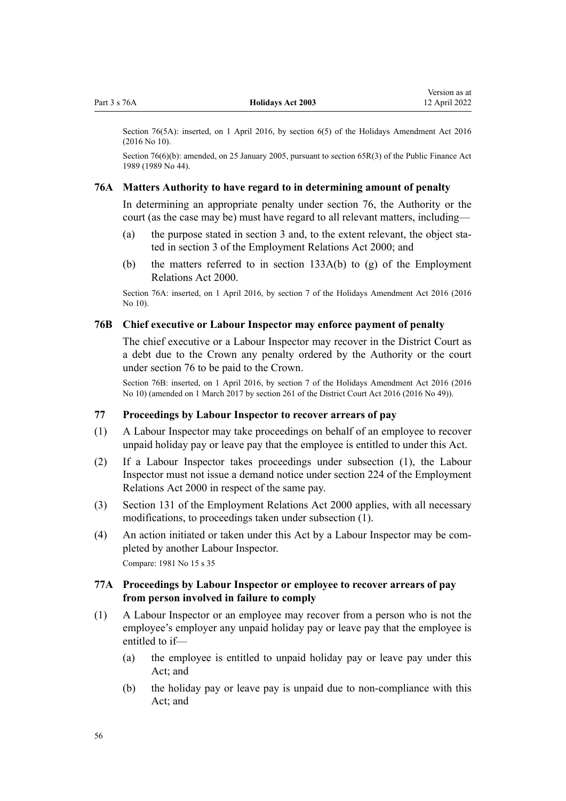<span id="page-55-0"></span>Section 76(5A): inserted, on 1 April 2016, by [section 6\(5\)](http://legislation.govt.nz/pdflink.aspx?id=DLM6773814) of the Holidays Amendment Act 2016 (2016 No 10).

Section 76(6)(b): amended, on 25 January 2005, pursuant to [section 65R\(3\)](http://legislation.govt.nz/pdflink.aspx?id=DLM162942) of the Public Finance Act 1989 (1989 No 44).

#### **76A Matters Authority to have regard to in determining amount of penalty**

In determining an appropriate penalty under [section 76,](#page-54-0) the Authority or the court (as the case may be) must have regard to all relevant matters, including—

- (a) the purpose stated in [section 3](#page-5-0) and, to the extent relevant, the object stated in [section 3](http://legislation.govt.nz/pdflink.aspx?id=DLM5198917) of the Employment Relations Act 2000; and
- (b) the matters referred to in [section 133A\(b\) to \(g\)](http://legislation.govt.nz/pdflink.aspx?id=DLM6803043) of the Employment Relations Act 2000.

Section 76A: inserted, on 1 April 2016, by [section 7](http://legislation.govt.nz/pdflink.aspx?id=DLM6773816) of the Holidays Amendment Act 2016 (2016 No 10).

#### **76B Chief executive or Labour Inspector may enforce payment of penalty**

The chief executive or a Labour Inspector may recover in the District Court as a debt due to the Crown any penalty ordered by the Authority or the court under [section 76](#page-54-0) to be paid to the Crown.

Section 76B: inserted, on 1 April 2016, by [section 7](http://legislation.govt.nz/pdflink.aspx?id=DLM6773816) of the Holidays Amendment Act 2016 (2016 No 10) (amended on 1 March 2017 by [section 261](http://legislation.govt.nz/pdflink.aspx?id=DLM6942680) of the District Court Act 2016 (2016 No 49)).

#### **77 Proceedings by Labour Inspector to recover arrears of pay**

- (1) A Labour Inspector may take proceedings on behalf of an employee to recover unpaid holiday pay or leave pay that the employee is entitled to under this Act.
- (2) If a Labour Inspector takes proceedings under subsection (1), the Labour Inspector must not issue a demand notice under [section 224](http://legislation.govt.nz/pdflink.aspx?id=DLM61448) of the Employment Relations Act 2000 in respect of the same pay.
- (3) [Section 131](http://legislation.govt.nz/pdflink.aspx?id=DLM60376) of the Employment Relations Act 2000 applies, with all necessary modifications, to proceedings taken under subsection (1).
- (4) An action initiated or taken under this Act by a Labour Inspector may be com‐ pleted by another Labour Inspector. Compare: 1981 No 15 s 35

#### **77A Proceedings by Labour Inspector or employee to recover arrears of pay from person involved in failure to comply**

- (1) A Labour Inspector or an employee may recover from a person who is not the employee's employer any unpaid holiday pay or leave pay that the employee is entitled to if—
	- (a) the employee is entitled to unpaid holiday pay or leave pay under this Act; and
	- (b) the holiday pay or leave pay is unpaid due to non-compliance with this Act; and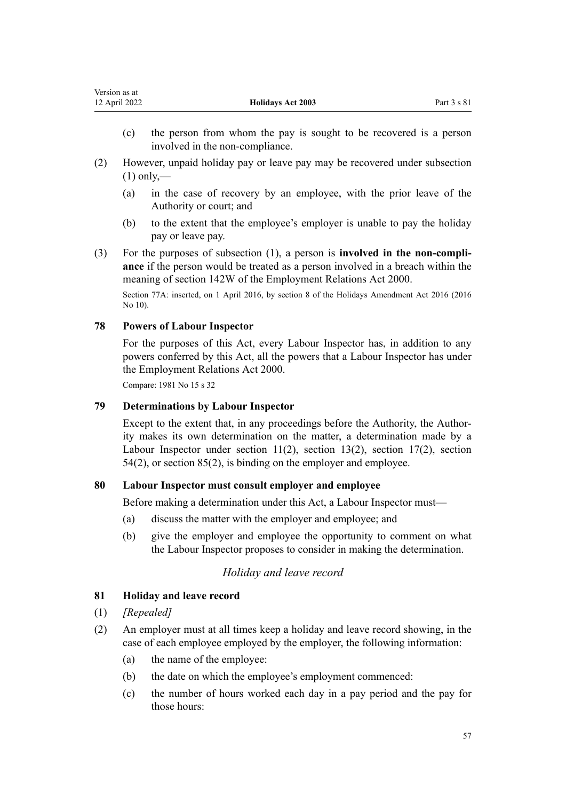<span id="page-56-0"></span>

| Version as at |                          |             |
|---------------|--------------------------|-------------|
| 12 April 2022 | <b>Holidays Act 2003</b> | Part 3 s 81 |

- (c) the person from whom the pay is sought to be recovered is a person involved in the non-compliance.
- (2) However, unpaid holiday pay or leave pay may be recovered under subsection  $(1)$  only,—
	- (a) in the case of recovery by an employee, with the prior leave of the Authority or court; and
	- (b) to the extent that the employee's employer is unable to pay the holiday pay or leave pay.
- (3) For the purposes of subsection (1), a person is **involved in the non-compli‐ ance** if the person would be treated as a person involved in a breach within the meaning of [section 142W](http://legislation.govt.nz/pdflink.aspx?id=DLM6803099) of the Employment Relations Act 2000.

Section 77A: inserted, on 1 April 2016, by [section 8](http://legislation.govt.nz/pdflink.aspx?id=DLM6773819) of the Holidays Amendment Act 2016 (2016 No 10).

## **78 Powers of Labour Inspector**

For the purposes of this Act, every Labour Inspector has, in addition to any powers conferred by this Act, all the powers that a Labour Inspector has under the [Employment Relations Act 2000](http://legislation.govt.nz/pdflink.aspx?id=DLM58316).

Compare: 1981 No 15 s 32

## **79 Determinations by Labour Inspector**

Except to the extent that, in any proceedings before the Authority, the Authority makes its own determination on the matter, a determination made by a Labour Inspector under [section 11\(2\)](#page-14-0), [section 13\(2\)](#page-15-0), [section 17\(2\),](#page-18-0) [section](#page-38-0) [54\(2\)](#page-38-0), or [section 85\(2\),](#page-60-0) is binding on the employer and employee.

### **80 Labour Inspector must consult employer and employee**

Before making a determination under this Act, a Labour Inspector must—

- (a) discuss the matter with the employer and employee; and
- (b) give the employer and employee the opportunity to comment on what the Labour Inspector proposes to consider in making the determination.

## *Holiday and leave record*

#### **81 Holiday and leave record**

- (1) *[Repealed]*
- (2) An employer must at all times keep a holiday and leave record showing, in the case of each employee employed by the employer, the following information:
	- (a) the name of the employee:
	- (b) the date on which the employee's employment commenced:
	- (c) the number of hours worked each day in a pay period and the pay for those hours: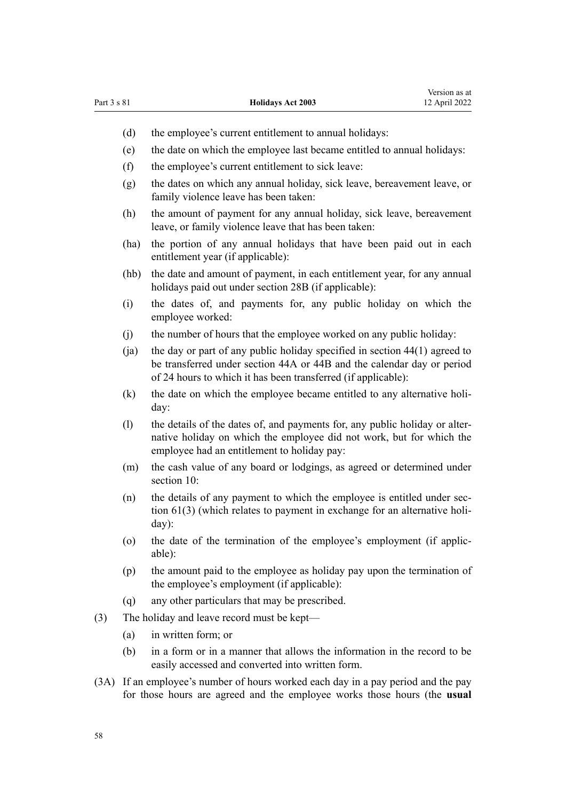- (d) the employee's current entitlement to annual holidays:
- (e) the date on which the employee last became entitled to annual holidays:
- (f) the employee's current entitlement to sick leave:
- (g) the dates on which any annual holiday, sick leave, bereavement leave, or family violence leave has been taken:
- (h) the amount of payment for any annual holiday, sick leave, bereavement leave, or family violence leave that has been taken:
- (ha) the portion of any annual holidays that have been paid out in each entitlement year (if applicable):
- (hb) the date and amount of payment, in each entitlement year, for any annual holidays paid out under [section 28B](#page-23-0) (if applicable):
- (i) the dates of, and payments for, any public holiday on which the employee worked:
- (j) the number of hours that the employee worked on any public holiday:
- (ja) the day or part of any public holiday specified in [section 44\(1\)](#page-30-0) agreed to be transferred under [section 44A](#page-31-0) or [44B](#page-32-0) and the calendar day or period of 24 hours to which it has been transferred (if applicable):
- (k) the date on which the employee became entitled to any alternative holiday:
- (l) the details of the dates of, and payments for, any public holiday or alter‐ native holiday on which the employee did not work, but for which the employee had an entitlement to holiday pay:
- (m) the cash value of any board or lodgings, as agreed or determined under [section 10](#page-13-0):
- $(n)$  the details of any payment to which the employee is entitled under section  $61(3)$  (which relates to payment in exchange for an alternative holiday):
- (o) the date of the termination of the employee's employment (if applicable):
- (p) the amount paid to the employee as holiday pay upon the termination of the employee's employment (if applicable):
- (q) any other particulars that may be prescribed.
- (3) The holiday and leave record must be kept—
	- (a) in written form; or
	- (b) in a form or in a manner that allows the information in the record to be easily accessed and converted into written form.
- (3A) If an employee's number of hours worked each day in a pay period and the pay for those hours are agreed and the employee works those hours (the **usual**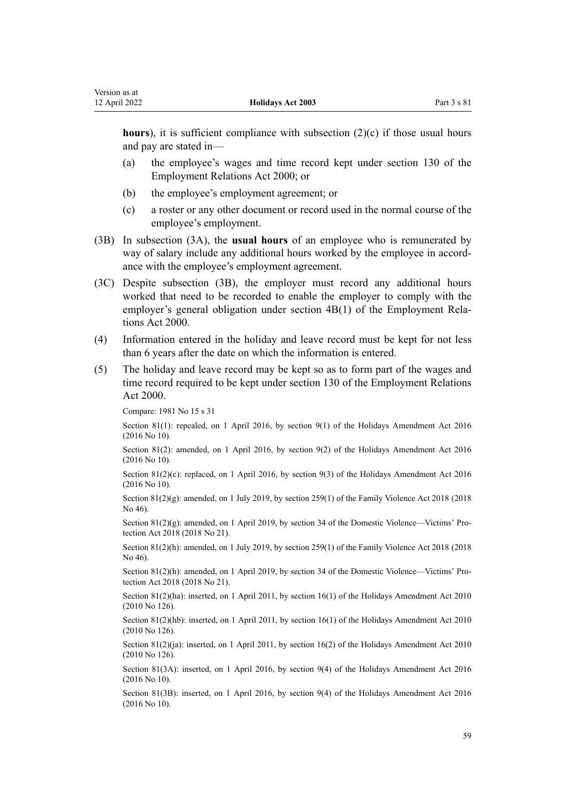**hours**), it is sufficient compliance with subsection (2)(c) if those usual hours and pay are stated in—

- (a) the employee's wages and time record kept under [section 130](http://legislation.govt.nz/pdflink.aspx?id=DLM60375) of the Employment Relations Act 2000; or
- (b) the employee's employment agreement; or
- (c) a roster or any other document or record used in the normal course of the employee's employment.
- (3B) In subsection (3A), the **usual hours** of an employee who is remunerated by way of salary include any additional hours worked by the employee in accordance with the employee's employment agreement.
- (3C) Despite subsection (3B), the employer must record any additional hours worked that need to be recorded to enable the employer to comply with the employer's general obligation under [section 4B\(1\)](http://legislation.govt.nz/pdflink.aspx?id=DLM6802603) of the Employment Relations Act 2000.
- (4) Information entered in the holiday and leave record must be kept for not less than 6 years after the date on which the information is entered.
- (5) The holiday and leave record may be kept so as to form part of the wages and time record required to be kept under [section 130](http://legislation.govt.nz/pdflink.aspx?id=DLM60375) of the Employment Relations Act 2000.

Compare: 1981 No 15 s 31

Section 81(1): repealed, on 1 April 2016, by [section 9\(1\)](http://legislation.govt.nz/pdflink.aspx?id=DLM6773822) of the Holidays Amendment Act 2016 (2016 No 10).

Section 81(2): amended, on 1 April 2016, by [section 9\(2\)](http://legislation.govt.nz/pdflink.aspx?id=DLM6773822) of the Holidays Amendment Act 2016 (2016 No 10).

Section 81(2)(c): replaced, on 1 April 2016, by [section 9\(3\)](http://legislation.govt.nz/pdflink.aspx?id=DLM6773822) of the Holidays Amendment Act 2016 (2016 No 10).

Section 81(2)(g): amended, on 1 July 2019, by [section 259\(1\)](http://legislation.govt.nz/pdflink.aspx?id=LMS113400) of the Family Violence Act 2018 (2018) No 46).

Section  $81(2)(g)$ : amended, on 1 April 2019, by [section 34](http://legislation.govt.nz/pdflink.aspx?id=LMS50994) of the Domestic Violence—Victims' Protection Act 2018 (2018 No 21).

Section 81(2)(h): amended, on 1 July 2019, by [section 259\(1\)](http://legislation.govt.nz/pdflink.aspx?id=LMS113400) of the Family Violence Act 2018 (2018) No 46).

Section 81(2)(h): amended, on 1 April 2019, by [section 34](http://legislation.govt.nz/pdflink.aspx?id=LMS50994) of the Domestic Violence—Victims' Protection Act 2018 (2018 No 21).

Section 81(2)(ha): inserted, on 1 April 2011, by [section 16\(1\)](http://legislation.govt.nz/pdflink.aspx?id=DLM3172353) of the Holidays Amendment Act 2010 (2010 No 126).

Section 81(2)(hb): inserted, on 1 April 2011, by [section 16\(1\)](http://legislation.govt.nz/pdflink.aspx?id=DLM3172353) of the Holidays Amendment Act 2010 (2010 No 126).

Section 81(2)(ja): inserted, on 1 April 2011, by [section 16\(2\)](http://legislation.govt.nz/pdflink.aspx?id=DLM3172353) of the Holidays Amendment Act 2010 (2010 No 126).

Section 81(3A): inserted, on 1 April 2016, by [section 9\(4\)](http://legislation.govt.nz/pdflink.aspx?id=DLM6773822) of the Holidays Amendment Act 2016 (2016 No 10).

Section 81(3B): inserted, on 1 April 2016, by [section 9\(4\)](http://legislation.govt.nz/pdflink.aspx?id=DLM6773822) of the Holidays Amendment Act 2016 (2016 No 10).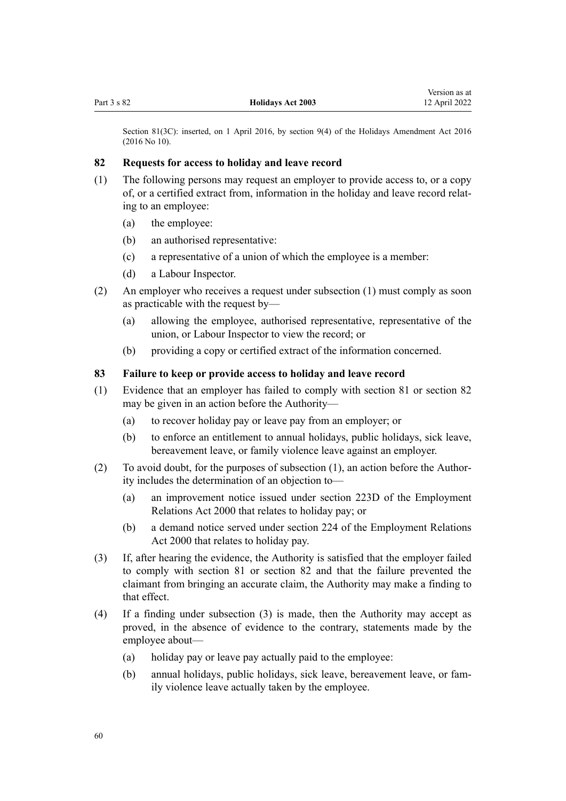<span id="page-59-0"></span>Section 81(3C): inserted, on 1 April 2016, by [section 9\(4\)](http://legislation.govt.nz/pdflink.aspx?id=DLM6773822) of the Holidays Amendment Act 2016 (2016 No 10).

Version as at

#### **82 Requests for access to holiday and leave record**

- (1) The following persons may request an employer to provide access to, or a copy of, or a certified extract from, information in the holiday and leave record relat‐ ing to an employee:
	- (a) the employee:
	- (b) an authorised representative:
	- (c) a representative of a union of which the employee is a member:
	- (d) a Labour Inspector.
- (2) An employer who receives a request under subsection (1) must comply as soon as practicable with the request by—
	- (a) allowing the employee, authorised representative, representative of the union, or Labour Inspector to view the record; or
	- (b) providing a copy or certified extract of the information concerned.

#### **83 Failure to keep or provide access to holiday and leave record**

- (1) Evidence that an employer has failed to comply with [section 81](#page-56-0) or section 82 may be given in an action before the Authority—
	- (a) to recover holiday pay or leave pay from an employer; or
	- (b) to enforce an entitlement to annual holidays, public holidays, sick leave, bereavement leave, or family violence leave against an employer.
- (2) To avoid doubt, for the purposes of subsection  $(1)$ , an action before the Authority includes the determination of an objection to—
	- (a) an improvement notice issued under [section 223D](http://legislation.govt.nz/pdflink.aspx?id=DLM3641367) of the Employment Relations Act 2000 that relates to holiday pay; or
	- (b) a demand notice served under [section 224](http://legislation.govt.nz/pdflink.aspx?id=DLM61448) of the Employment Relations Act 2000 that relates to holiday pay.
- (3) If, after hearing the evidence, the Authority is satisfied that the employer failed to comply with [section 81](#page-56-0) or section 82 and that the failure prevented the claimant from bringing an accurate claim, the Authority may make a finding to that effect.
- (4) If a finding under subsection (3) is made, then the Authority may accept as proved, in the absence of evidence to the contrary, statements made by the employee about—
	- (a) holiday pay or leave pay actually paid to the employee:
	- (b) annual holidays, public holidays, sick leave, bereavement leave, or fam‐ ily violence leave actually taken by the employee.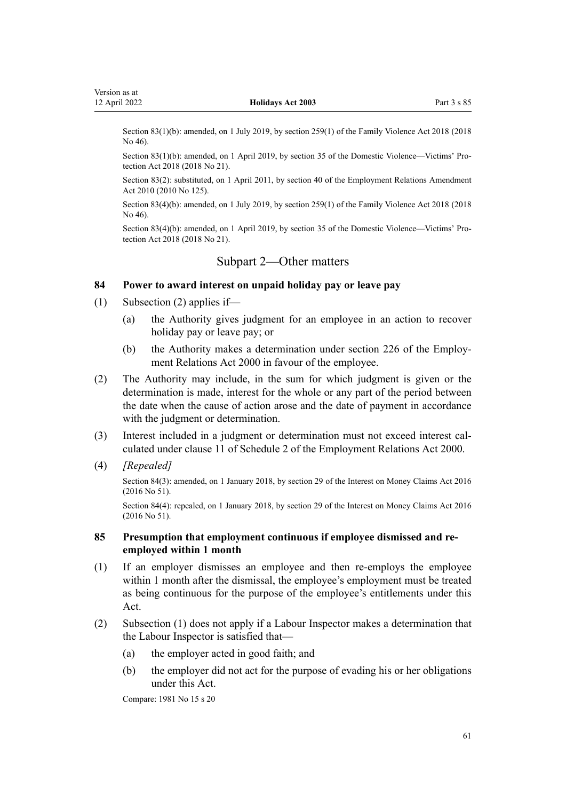<span id="page-60-0"></span>Section 83(1)(b): amended, on 1 July 2019, by [section 259\(1\)](http://legislation.govt.nz/pdflink.aspx?id=LMS113400) of the Family Violence Act 2018 (2018 No 46).

Section 83(1)(b): amended, on 1 April 2019, by [section 35](http://legislation.govt.nz/pdflink.aspx?id=LMS50995) of the Domestic Violence—Victims' Protection Act 2018 (2018 No 21).

Section 83(2): substituted, on 1 April 2011, by [section 40](http://legislation.govt.nz/pdflink.aspx?id=DLM3172577) of the Employment Relations Amendment Act 2010 (2010 No 125).

Section 83(4)(b): amended, on 1 July 2019, by [section 259\(1\)](http://legislation.govt.nz/pdflink.aspx?id=LMS113400) of the Family Violence Act 2018 (2018 No 46).

Section 83(4)(b): amended, on 1 April 2019, by [section 35](http://legislation.govt.nz/pdflink.aspx?id=LMS50995) of the Domestic Violence—Victims' Protection Act 2018 (2018 No 21).

## Subpart 2—Other matters

#### **84 Power to award interest on unpaid holiday pay or leave pay**

- (1) Subsection (2) applies if—
	- (a) the Authority gives judgment for an employee in an action to recover holiday pay or leave pay; or
	- (b) the Authority makes a determination under [section 226](http://legislation.govt.nz/pdflink.aspx?id=DLM61451) of the Employ‐ ment Relations Act 2000 in favour of the employee.
- (2) The Authority may include, in the sum for which judgment is given or the determination is made, interest for the whole or any part of the period between the date when the cause of action arose and the date of payment in accordance with the judgment or determination.
- (3) Interest included in a judgment or determination must not exceed interest cal‐ culated under [clause 11](http://legislation.govt.nz/pdflink.aspx?id=DLM61786) of Schedule 2 of the Employment Relations Act 2000.
- (4) *[Repealed]*

Section 84(3): amended, on 1 January 2018, by [section 29](http://legislation.govt.nz/pdflink.aspx?id=DLM6943370) of the Interest on Money Claims Act 2016 (2016 No 51).

Section 84(4): repealed, on 1 January 2018, by [section 29](http://legislation.govt.nz/pdflink.aspx?id=DLM6943370) of the Interest on Money Claims Act 2016 (2016 No 51).

#### **85 Presumption that employment continuous if employee dismissed and reemployed within 1 month**

- (1) If an employer dismisses an employee and then re-employs the employee within 1 month after the dismissal, the employee's employment must be treated as being continuous for the purpose of the employee's entitlements under this Act.
- (2) Subsection (1) does not apply if a Labour Inspector makes a determination that the Labour Inspector is satisfied that—
	- (a) the employer acted in good faith; and
	- (b) the employer did not act for the purpose of evading his or her obligations under this Act.

Compare: 1981 No 15 s 20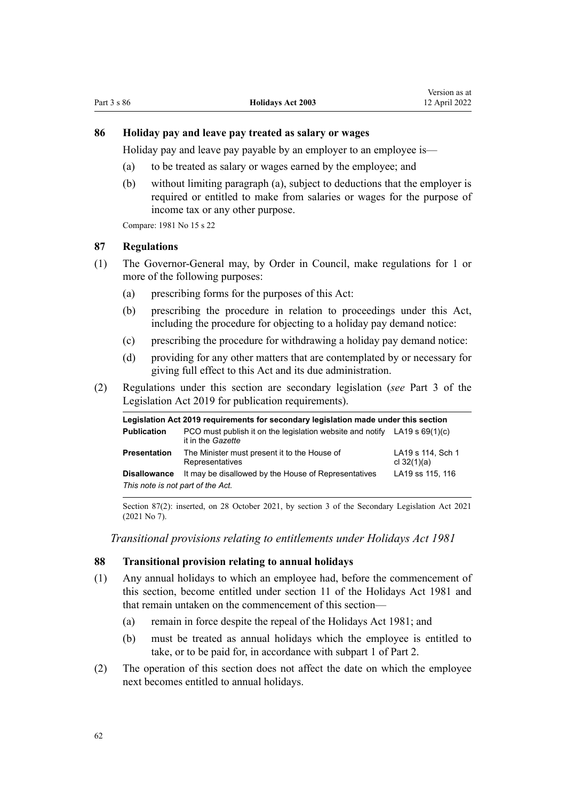#### <span id="page-61-0"></span>**86 Holiday pay and leave pay treated as salary or wages**

Holiday pay and leave pay payable by an employer to an employee is—

- (a) to be treated as salary or wages earned by the employee; and
- (b) without limiting paragraph (a), subject to deductions that the employer is required or entitled to make from salaries or wages for the purpose of income tax or any other purpose.

Compare: 1981 No 15 s 22

#### **87 Regulations**

- (1) The Governor-General may, by Order in Council, make regulations for 1 or more of the following purposes:
	- (a) prescribing forms for the purposes of this Act:
	- (b) prescribing the procedure in relation to proceedings under this Act, including the procedure for objecting to a holiday pay demand notice:
	- (c) prescribing the procedure for withdrawing a holiday pay demand notice:
	- (d) providing for any other matters that are contemplated by or necessary for giving full effect to this Act and its due administration.
- (2) Regulations under this section are secondary legislation (*see* [Part 3](http://legislation.govt.nz/pdflink.aspx?id=DLM7298343) of the Legislation Act 2019 for publication requirements).

|                                   | Legislation Act 2019 requirements for secondary legislation made under this section              |                                    |
|-----------------------------------|--------------------------------------------------------------------------------------------------|------------------------------------|
| <b>Publication</b>                | PCO must publish it on the legislation website and notify LA19 s $69(1)(c)$<br>it in the Gazette |                                    |
| <b>Presentation</b>               | The Minister must present it to the House of<br>Representatives                                  | LA19 s 114, Sch 1<br>cl $32(1)(a)$ |
| <b>Disallowance</b>               | It may be disallowed by the House of Representatives                                             | LA19 ss 115, 116                   |
| This note is not part of the Act. |                                                                                                  |                                    |

Section 87(2): inserted, on 28 October 2021, by [section 3](http://legislation.govt.nz/pdflink.aspx?id=LMS268932) of the Secondary Legislation Act 2021 (2021 No 7).

*Transitional provisions relating to entitlements under Holidays Act 1981*

#### **88 Transitional provision relating to annual holidays**

- (1) Any annual holidays to which an employee had, before the commencement of this section, become entitled under section 11 of the Holidays Act 1981 and that remain untaken on the commencement of this section—
	- (a) remain in force despite the repeal of the Holidays Act 1981; and
	- (b) must be treated as annual holidays which the employee is entitled to take, or to be paid for, in accordance with [subpart 1](#page-17-0) of Part 2.
- (2) The operation of this section does not affect the date on which the employee next becomes entitled to annual holidays.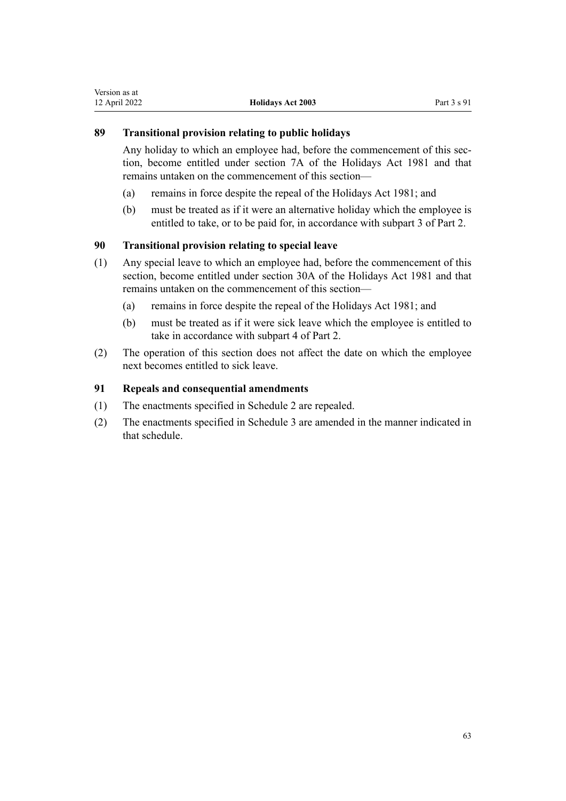## <span id="page-62-0"></span>**89 Transitional provision relating to public holidays**

Any holiday to which an employee had, before the commencement of this section, become entitled under section 7A of the Holidays Act 1981 and that remains untaken on the commencement of this section—

- (a) remains in force despite the repeal of the Holidays Act 1981; and
- (b) must be treated as if it were an alternative holiday which the employee is entitled to take, or to be paid for, in accordance with [subpart 3](#page-30-0) of Part 2.

## **90 Transitional provision relating to special leave**

- (1) Any special leave to which an employee had, before the commencement of this section, become entitled under section 30A of the Holidays Act 1981 and that remains untaken on the commencement of this section—
	- (a) remains in force despite the repeal of the Holidays Act 1981; and
	- (b) must be treated as if it were sick leave which the employee is entitled to take in accordance with [subpart 4](#page-42-0) of Part 2.
- (2) The operation of this section does not affect the date on which the employee next becomes entitled to sick leave.

#### **91 Repeals and consequential amendments**

- (1) The enactments specified in [Schedule 2](#page-65-0) are repealed.
- (2) The enactments specified in [Schedule 3](#page-66-0) are amended in the manner indicated in that schedule.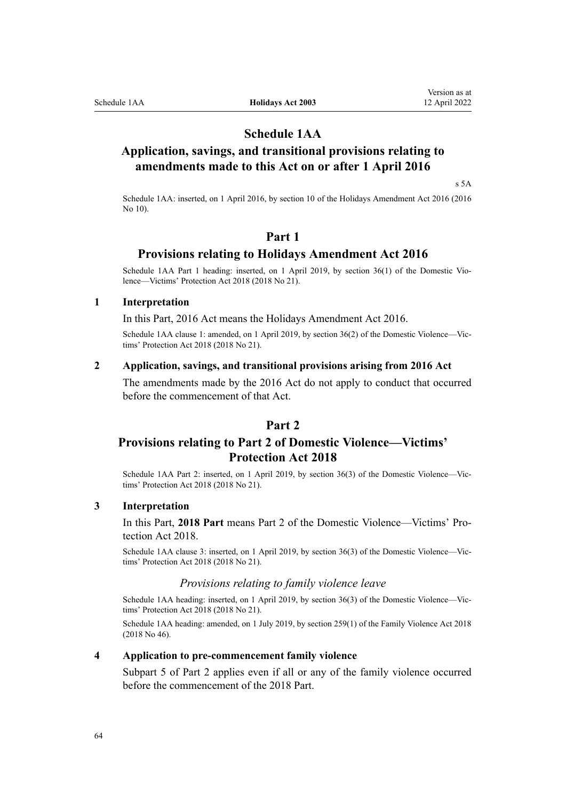## **Schedule 1AA**

# <span id="page-63-0"></span>**Application, savings, and transitional provisions relating to amendments made to this Act on or after 1 April 2016**

[s 5A](#page-10-0)

Schedule 1AA: inserted, on 1 April 2016, by [section 10](http://legislation.govt.nz/pdflink.aspx?id=DLM6773825) of the Holidays Amendment Act 2016 (2016 No 10).

## **Part 1**

## **Provisions relating to Holidays Amendment Act 2016**

Schedule 1AA Part 1 heading: inserted, on 1 April 2019, by [section 36\(1\)](http://legislation.govt.nz/pdflink.aspx?id=LMS50997) of the Domestic Violence—Victims' Protection Act 2018 (2018 No 21).

#### **1 Interpretation**

In this Part, 2016 Act means the [Holidays Amendment Act 2016.](http://legislation.govt.nz/pdflink.aspx?id=DLM6773804)

Schedule 1AA clause 1: amended, on 1 April 2019, by [section 36\(2\)](http://legislation.govt.nz/pdflink.aspx?id=LMS50997) of the Domestic Violence—Victims' Protection Act 2018 (2018 No 21).

#### **2 Application, savings, and transitional provisions arising from 2016 Act**

The amendments made by the 2016 Act do not apply to conduct that occurred before the commencement of that Act.

## **Part 2**

# **Provisions relating to Part 2 of Domestic Violence—Victims' Protection Act 2018**

Schedule 1AA Part 2: inserted, on 1 April 2019, by [section 36\(3\)](http://legislation.govt.nz/pdflink.aspx?id=LMS50997) of the Domestic Violence—Victims' Protection Act 2018 (2018 No 21).

## **3 Interpretation**

In this Part, **2018 Part** means [Part 2](http://legislation.govt.nz/pdflink.aspx?id=DLM7054364) of the Domestic Violence—Victims' Pro‐ tection Act 2018.

Schedule 1AA clause 3: inserted, on 1 April 2019, by [section 36\(3\)](http://legislation.govt.nz/pdflink.aspx?id=LMS50997) of the Domestic Violence—Victims' Protection Act 2018 (2018 No 21).

#### *Provisions relating to family violence leave*

Schedule 1AA heading: inserted, on 1 April 2019, by [section 36\(3\)](http://legislation.govt.nz/pdflink.aspx?id=LMS50997) of the Domestic Violence—Victims' Protection Act 2018 (2018 No 21).

Schedule 1AA heading: amended, on 1 July 2019, by [section 259\(1\)](http://legislation.govt.nz/pdflink.aspx?id=LMS113400) of the Family Violence Act 2018 (2018 No 46).

## **4 Application to pre-commencement family violence**

[Subpart 5](#page-47-0) of Part 2 applies even if all or any of the family violence occurred before the commencement of the 2018 Part.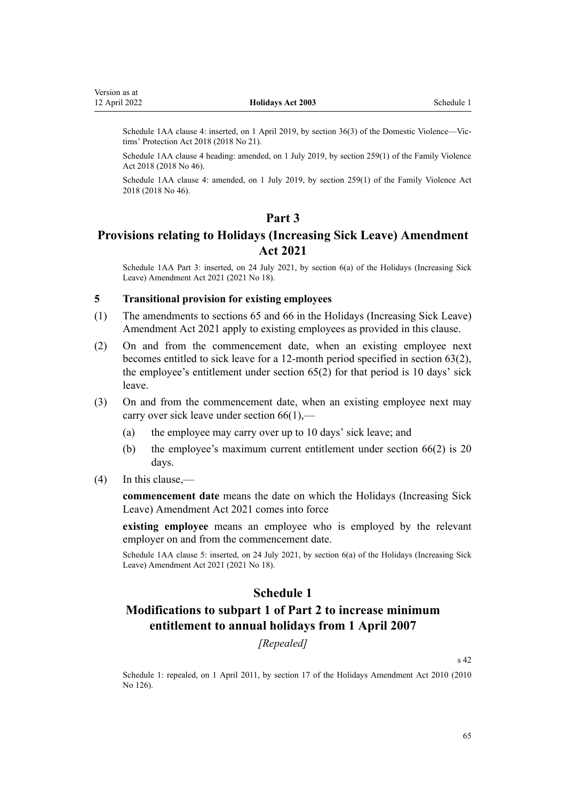<span id="page-64-0"></span>Schedule 1AA clause 4: inserted, on 1 April 2019, by [section 36\(3\)](http://legislation.govt.nz/pdflink.aspx?id=LMS50997) of the Domestic Violence—Victims' Protection Act 2018 (2018 No 21).

Schedule 1AA clause 4 heading: amended, on 1 July 2019, by [section 259\(1\)](http://legislation.govt.nz/pdflink.aspx?id=LMS113400) of the Family Violence Act 2018 (2018 No 46).

Schedule 1AA clause 4: amended, on 1 July 2019, by [section 259\(1\)](http://legislation.govt.nz/pdflink.aspx?id=LMS113400) of the Family Violence Act 2018 (2018 No 46).

## **Part 3**

## **Provisions relating to Holidays (Increasing Sick Leave) Amendment Act 2021**

Schedule 1AA Part 3: inserted, on 24 July 2021, by [section 6\(a\)](http://legislation.govt.nz/pdflink.aspx?id=LMS430539) of the Holidays (Increasing Sick Leave) Amendment Act 2021 (2021 No 18).

#### **5 Transitional provision for existing employees**

- (1) The amendments to [sections 65](#page-43-0) and [66](#page-43-0) in the [Holidays \(Increasing Sick Leave\)](http://legislation.govt.nz/pdflink.aspx?id=LMS430529) [Amendment Act 2021](http://legislation.govt.nz/pdflink.aspx?id=LMS430529) apply to existing employees as provided in this clause.
- (2) On and from the commencement date, when an existing employee next becomes entitled to sick leave for a 12-month period specified in [section 63\(2\)](#page-42-0), the employee's entitlement under [section 65\(2\)](#page-43-0) for that period is 10 days' sick leave.
- (3) On and from the commencement date, when an existing employee next may carry over sick leave under [section 66\(1\),](#page-43-0)—
	- (a) the employee may carry over up to 10 days' sick leave; and
	- (b) the employee's maximum current entitlement under [section 66\(2\)](#page-43-0) is 20 days.
- (4) In this clause,—

**commencement date** means the date on which the [Holidays \(Increasing Sick](http://legislation.govt.nz/pdflink.aspx?id=LMS430529) [Leave\) Amendment Act 2021](http://legislation.govt.nz/pdflink.aspx?id=LMS430529) comes into force

**existing employee** means an employee who is employed by the relevant employer on and from the commencement date.

Schedule 1AA clause 5: inserted, on 24 July 2021, by [section 6\(a\)](http://legislation.govt.nz/pdflink.aspx?id=LMS430539) of the Holidays (Increasing Sick Leave) Amendment Act 2021 (2021 No 18).

#### **Schedule 1**

# **Modifications to subpart 1 of Part 2 to increase minimum entitlement to annual holidays from 1 April 2007**

*[Repealed]*

 $\epsilon$  42

Schedule 1: repealed, on 1 April 2011, by [section 17](http://legislation.govt.nz/pdflink.aspx?id=DLM3172354) of the Holidays Amendment Act 2010 (2010 No 126).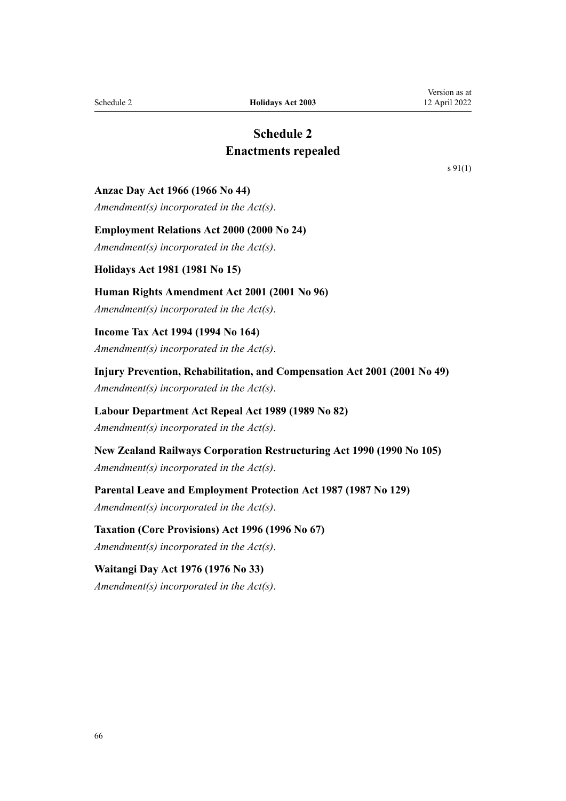# **Schedule 2 Enactments repealed**

[s 91\(1\)](#page-62-0)

Version as at 12 April 2022

<span id="page-65-0"></span>**Anzac Day Act 1966 (1966 No 44)**

*Amendment(s) incorporated in the [Act\(s\)](http://legislation.govt.nz/pdflink.aspx?id=DLM379816)*.

**Employment Relations Act 2000 (2000 No 24)**

*Amendment(s) incorporated in the [Act\(s\)](http://legislation.govt.nz/pdflink.aspx?id=DLM62251)*.

**Holidays Act 1981 (1981 No 15)**

**Human Rights Amendment Act 2001 (2001 No 96)** *Amendment(s) incorporated in the [Act\(s\)](http://legislation.govt.nz/pdflink.aspx?id=DLM122534)*.

**Income Tax Act 1994 (1994 No 164)** *Amendment(s) incorporated in the [Act\(s\)](http://legislation.govt.nz/pdflink.aspx?id=DLM1184504)*.

**Injury Prevention, Rehabilitation, and Compensation Act 2001 (2001 No 49)** *Amendment(s) incorporated in the [Act\(s\)](http://legislation.govt.nz/pdflink.aspx?id=DLM106300)*.

**Labour Department Act Repeal Act 1989 (1989 No 82)** *Amendment(s) incorporated in the [Act\(s\)](http://legislation.govt.nz/pdflink.aspx?id=DLM191734)*.

**New Zealand Railways Corporation Restructuring Act 1990 (1990 No 105)** *Amendment(s) incorporated in the [Act\(s\)](http://legislation.govt.nz/pdflink.aspx?id=DLM223180)*.

**Parental Leave and Employment Protection Act 1987 (1987 No 129)** *Amendment(s) incorporated in the [Act\(s\)](http://legislation.govt.nz/pdflink.aspx?id=DLM120104)*.

**Taxation (Core Provisions) Act 1996 (1996 No 67)** *Amendment(s) incorporated in the Act(s)*.

**Waitangi Day Act 1976 (1976 No 33)** *Amendment(s) incorporated in the [Act\(s\)](http://legislation.govt.nz/pdflink.aspx?id=DLM439058)*.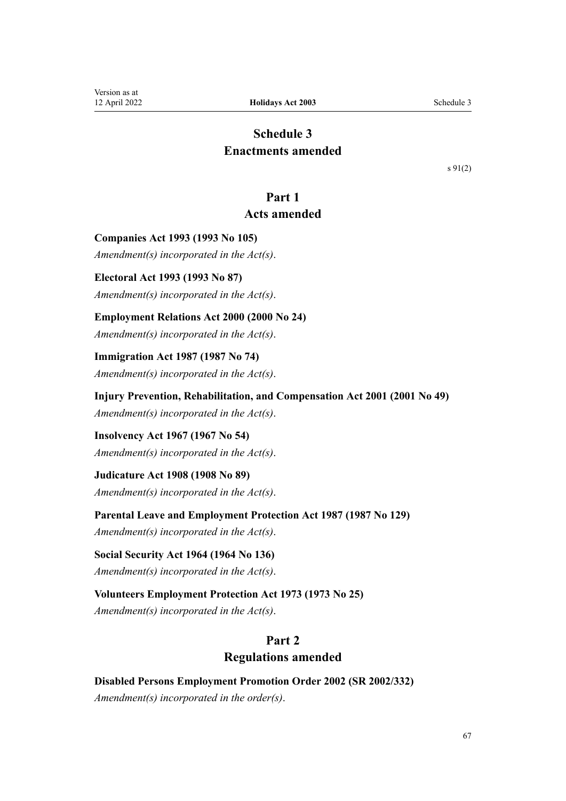# **Schedule 3 Enactments amended**

[s 91\(2\)](#page-62-0)

## **Part 1**

## **Acts amended**

<span id="page-66-0"></span>**Companies Act 1993 (1993 No 105)** *Amendment(s) incorporated in the [Act\(s\)](http://legislation.govt.nz/pdflink.aspx?id=DLM323545)*.

**Electoral Act 1993 (1993 No 87)** *Amendment(s) incorporated in the [Act\(s\)](http://legislation.govt.nz/pdflink.aspx?id=DLM309807)*.

**Employment Relations Act 2000 (2000 No 24)** *Amendment(s) incorporated in the [Act\(s\)](http://legislation.govt.nz/pdflink.aspx?id=DLM59161)*.

**Immigration Act 1987 (1987 No 74)** *Amendment(s) incorporated in the [Act\(s\)](http://legislation.govt.nz/pdflink.aspx?id=DLM111300)*.

**Injury Prevention, Rehabilitation, and Compensation Act 2001 (2001 No 49)**

*Amendment(s) incorporated in the [Act\(s\)](http://legislation.govt.nz/pdflink.aspx?id=DLM103448)*.

**Insolvency Act 1967 (1967 No 54)** *Amendment(s) incorporated in the [Act\(s\)](http://legislation.govt.nz/pdflink.aspx?id=DLM383234)*.

**Judicature Act 1908 (1908 No 89)** *Amendment(s) incorporated in the [Act\(s\)](http://legislation.govt.nz/pdflink.aspx?id=DLM147653)*.

**Parental Leave and Employment Protection Act 1987 (1987 No 129)** *Amendment(s) incorporated in the [Act\(s\)](http://legislation.govt.nz/pdflink.aspx?id=DLM120699)*.

**Social Security Act 1964 (1964 No 136)** *Amendment(s) incorporated in the [Act\(s\)](http://legislation.govt.nz/pdflink.aspx?id=DLM364876)*.

**Volunteers Employment Protection Act 1973 (1973 No 25)** *Amendment(s) incorporated in the [Act\(s\)](http://legislation.govt.nz/pdflink.aspx?id=DLM410135)*.

# **Part 2 Regulations amended**

**Disabled Persons Employment Promotion Order 2002 (SR 2002/332)** *Amendment(s) incorporated in the [order\(s\)](http://legislation.govt.nz/pdflink.aspx?id=DLM164398)*.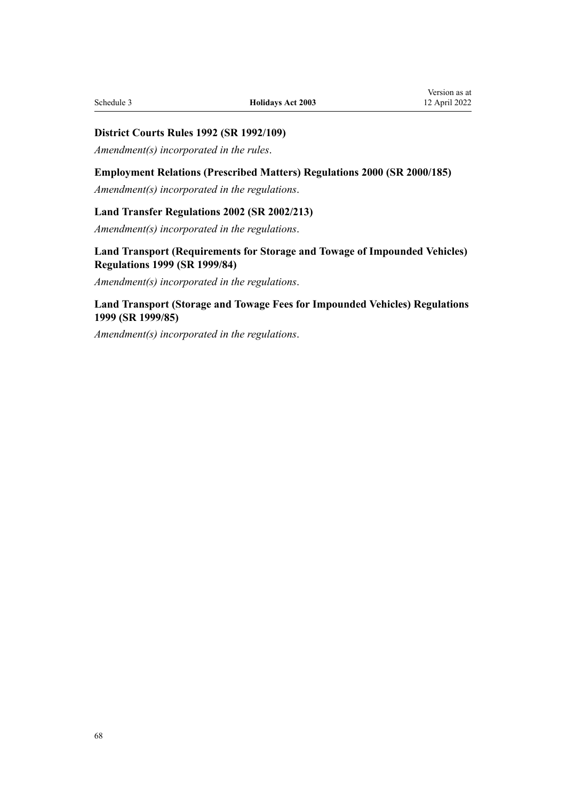## **District Courts Rules 1992 (SR 1992/109)**

*Amendment(s) incorporated in the [rules](http://legislation.govt.nz/pdflink.aspx?id=DLM155456)*.

## **Employment Relations (Prescribed Matters) Regulations 2000 (SR 2000/185)**

*Amendment(s) incorporated in the [regulations](http://legislation.govt.nz/pdflink.aspx?id=DLM7972)*.

#### **Land Transfer Regulations 2002 (SR 2002/213)**

*Amendment(s) incorporated in the [regulations](http://legislation.govt.nz/pdflink.aspx?id=DLM138092)*.

## **Land Transport (Requirements for Storage and Towage of Impounded Vehicles) Regulations 1999 (SR 1999/84)**

*Amendment(s) incorporated in the [regulations](http://legislation.govt.nz/pdflink.aspx?id=DLM278649)*.

## **Land Transport (Storage and Towage Fees for Impounded Vehicles) Regulations 1999 (SR 1999/85)**

*Amendment(s) incorporated in the [regulations](http://legislation.govt.nz/pdflink.aspx?id=DLM278688)*.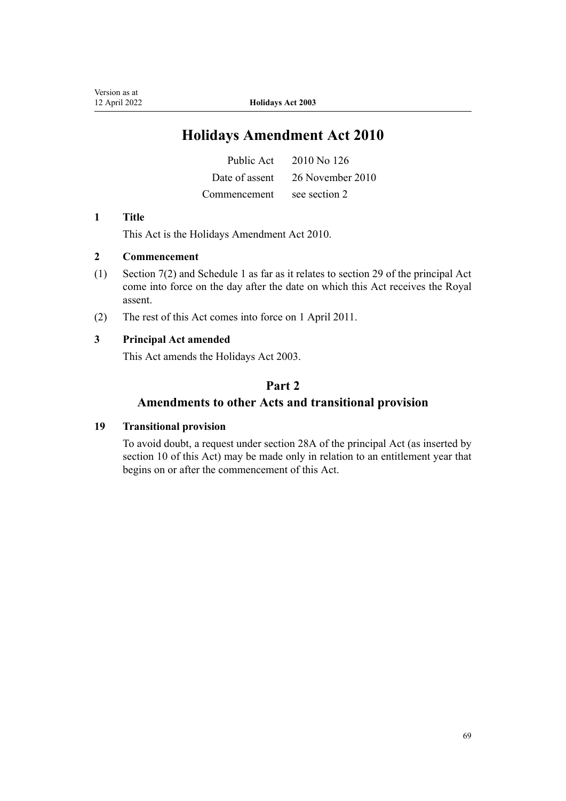# **Holidays Amendment Act 2010**

|                            | Public Act 2010 No 126          |
|----------------------------|---------------------------------|
|                            | Date of assent 26 November 2010 |
| Commencement see section 2 |                                 |

## **1 Title**

This Act is the [Holidays Amendment Act 2010](http://legislation.govt.nz/pdflink.aspx?id=DLM3172302).

## **2 Commencement**

- (1) Section 7(2) and Schedule 1 as far as it relates to section 29 of the principal Act come into force on the day after the date on which this Act receives the Royal assent.
- (2) The rest of this Act comes into force on 1 April 2011.

## **3 Principal Act amended**

This Act amends the Holidays Act 2003.

## **Part 2**

## **Amendments to other Acts and transitional provision**

## **19 Transitional provision**

To avoid doubt, a request under section 28A of the principal Act (as inserted by section 10 of this Act) may be made only in relation to an entitlement year that begins on or after the commencement of this Act.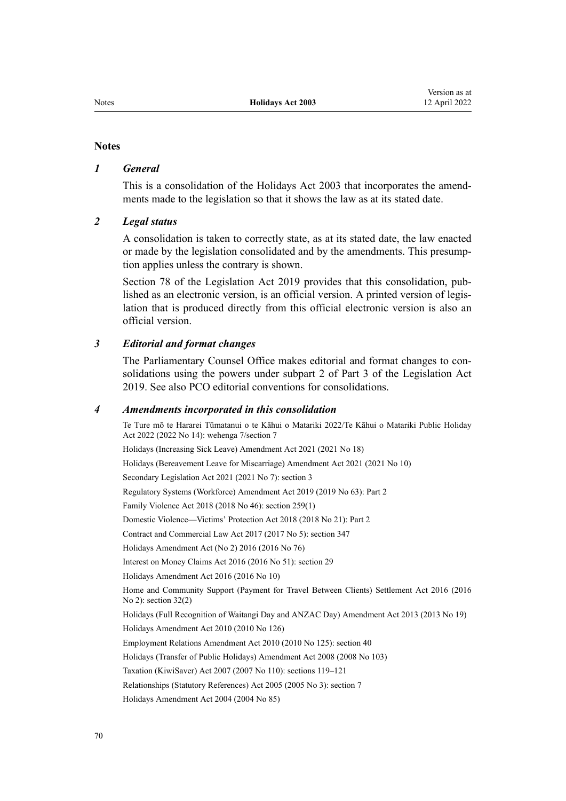#### **Notes**

#### *1 General*

This is a consolidation of the Holidays Act 2003 that incorporates the amendments made to the legislation so that it shows the law as at its stated date.

#### *2 Legal status*

A consolidation is taken to correctly state, as at its stated date, the law enacted or made by the legislation consolidated and by the amendments. This presump‐ tion applies unless the contrary is shown.

[Section 78](http://legislation.govt.nz/pdflink.aspx?id=DLM7298365) of the Legislation Act 2019 provides that this consolidation, pub‐ lished as an electronic version, is an official version. A printed version of legis‐ lation that is produced directly from this official electronic version is also an official version.

#### *3 Editorial and format changes*

The Parliamentary Counsel Office makes editorial and format changes to consolidations using the powers under [subpart 2](http://legislation.govt.nz/pdflink.aspx?id=DLM7298371) of Part 3 of the Legislation Act 2019. See also [PCO editorial conventions for consolidations](http://www.pco.govt.nz/editorial-conventions/).

#### *4 Amendments incorporated in this consolidation*

Te Ture mō te Hararei Tūmatanui o te Kāhui o Matariki 2022/Te Kāhui o Matariki Public Holiday Act 2022 (2022 No 14): [wehenga 7/](http://legislation.govt.nz/pdflink.aspx?id=LMS557838)[section 7](http://legislation.govt.nz/pdflink.aspx?id=LMS557848) [Holidays \(Increasing Sick Leave\) Amendment Act 2021](http://legislation.govt.nz/pdflink.aspx?id=LMS430529) (2021 No 18)

[Holidays \(Bereavement Leave for Miscarriage\) Amendment Act 2021](http://legislation.govt.nz/pdflink.aspx?id=LMS220703) (2021 No 10)

Secondary Legislation Act 2021 (2021 No 7): [section 3](http://legislation.govt.nz/pdflink.aspx?id=LMS268932)

Regulatory Systems (Workforce) Amendment Act 2019 (2019 No 63): [Part 2](http://legislation.govt.nz/pdflink.aspx?id=LMS83692)

Family Violence Act 2018 (2018 No 46): [section 259\(1\)](http://legislation.govt.nz/pdflink.aspx?id=LMS113400)

Domestic Violence—Victims' Protection Act 2018 (2018 No 21): [Part 2](http://legislation.govt.nz/pdflink.aspx?id=DLM7054364)

Contract and Commercial Law Act 2017 (2017 No 5): [section 347](http://legislation.govt.nz/pdflink.aspx?id=DLM6844761)

[Holidays Amendment Act \(No 2\) 2016](http://legislation.govt.nz/pdflink.aspx?id=DLM6984000) (2016 No 76)

Interest on Money Claims Act 2016 (2016 No 51): [section 29](http://legislation.govt.nz/pdflink.aspx?id=DLM6943370)

[Holidays Amendment Act 2016](http://legislation.govt.nz/pdflink.aspx?id=DLM6773804) (2016 No 10)

Home and Community Support (Payment for Travel Between Clients) Settlement Act 2016 (2016 No 2): [section 32\(2\)](http://legislation.govt.nz/pdflink.aspx?id=DLM6601011)

[Holidays \(Full Recognition of Waitangi Day and ANZAC Day\) Amendment Act 2013](http://legislation.govt.nz/pdflink.aspx?id=DLM4274700) (2013 No 19) [Holidays Amendment Act 2010](http://legislation.govt.nz/pdflink.aspx?id=DLM3172302) (2010 No 126)

Employment Relations Amendment Act 2010 (2010 No 125): [section 40](http://legislation.govt.nz/pdflink.aspx?id=DLM3172577)

[Holidays \(Transfer of Public Holidays\) Amendment Act 2008](http://legislation.govt.nz/pdflink.aspx?id=DLM1242400) (2008 No 103)

Taxation (KiwiSaver) Act 2007 (2007 No 110): [sections 119–121](http://legislation.govt.nz/pdflink.aspx?id=DLM1107383)

Relationships (Statutory References) Act 2005 (2005 No 3): [section 7](http://legislation.govt.nz/pdflink.aspx?id=DLM333795)

[Holidays Amendment Act 2004](http://legislation.govt.nz/pdflink.aspx?id=DLM315681) (2004 No 85)